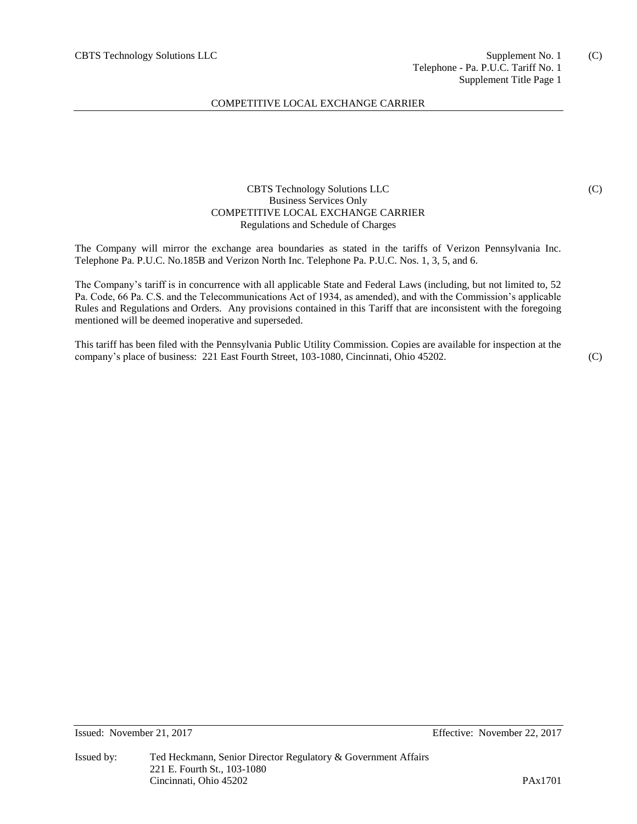# COMPETITIVE LOCAL EXCHANGE CARRIER

# CBTS Technology Solutions LLC Business Services Only COMPETITIVE LOCAL EXCHANGE CARRIER Regulations and Schedule of Charges

The Company will mirror the exchange area boundaries as stated in the tariffs of Verizon Pennsylvania Inc. Telephone Pa. P.U.C. No.185B and Verizon North Inc. Telephone Pa. P.U.C. Nos. 1, 3, 5, and 6.

The Company's tariff is in concurrence with all applicable State and Federal Laws (including, but not limited to, 52 Pa. Code, 66 Pa. C.S. and the Telecommunications Act of 1934, as amended), and with the Commission's applicable Rules and Regulations and Orders. Any provisions contained in this Tariff that are inconsistent with the foregoing mentioned will be deemed inoperative and superseded.

This tariff has been filed with the Pennsylvania Public Utility Commission. Copies are available for inspection at the company's place of business: 221 East Fourth Street, 103-1080, Cincinnati, Ohio 45202.

(C)

(C)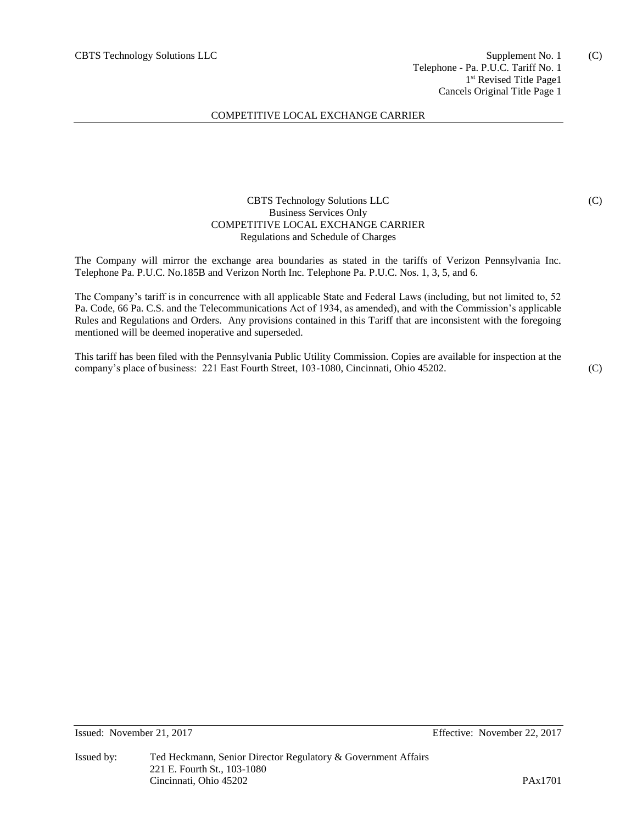## COMPETITIVE LOCAL EXCHANGE CARRIER

## CBTS Technology Solutions LLC Business Services Only COMPETITIVE LOCAL EXCHANGE CARRIER Regulations and Schedule of Charges

The Company will mirror the exchange area boundaries as stated in the tariffs of Verizon Pennsylvania Inc. Telephone Pa. P.U.C. No.185B and Verizon North Inc. Telephone Pa. P.U.C. Nos. 1, 3, 5, and 6.

The Company's tariff is in concurrence with all applicable State and Federal Laws (including, but not limited to, 52 Pa. Code, 66 Pa. C.S. and the Telecommunications Act of 1934, as amended), and with the Commission's applicable Rules and Regulations and Orders. Any provisions contained in this Tariff that are inconsistent with the foregoing mentioned will be deemed inoperative and superseded.

This tariff has been filed with the Pennsylvania Public Utility Commission. Copies are available for inspection at the company's place of business: 221 East Fourth Street, 103-1080, Cincinnati, Ohio 45202.

(C)

(C)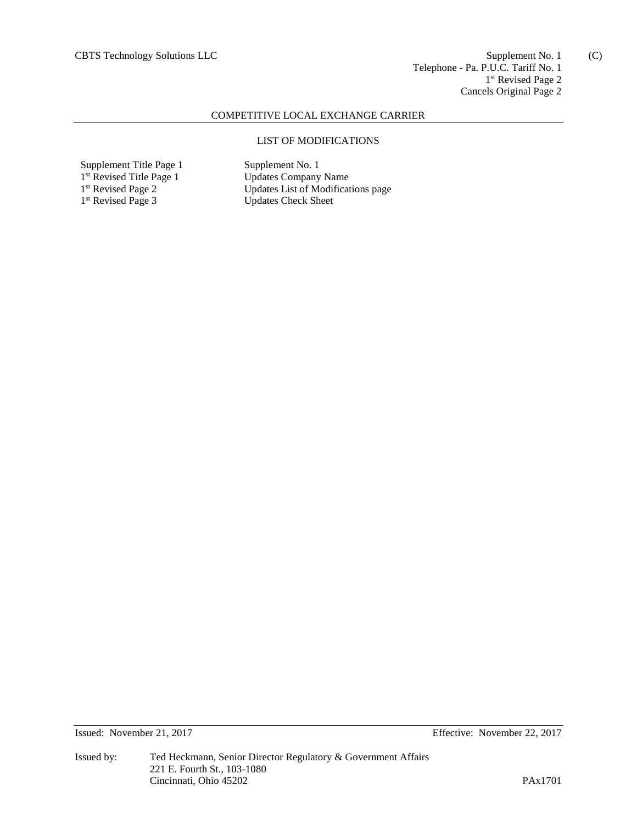(C)

## COMPETITIVE LOCAL EXCHANGE CARRIER

## LIST OF MODIFICATIONS

Supplement Title Page 1 Supplement No. 1 1<sup>st</sup> Revised Title Page 1 1<sup>st</sup> Revised Page 2 1<sup>st</sup> Revised Page 3

Updates Company Name Updates List of Modifications page Updates Check Sheet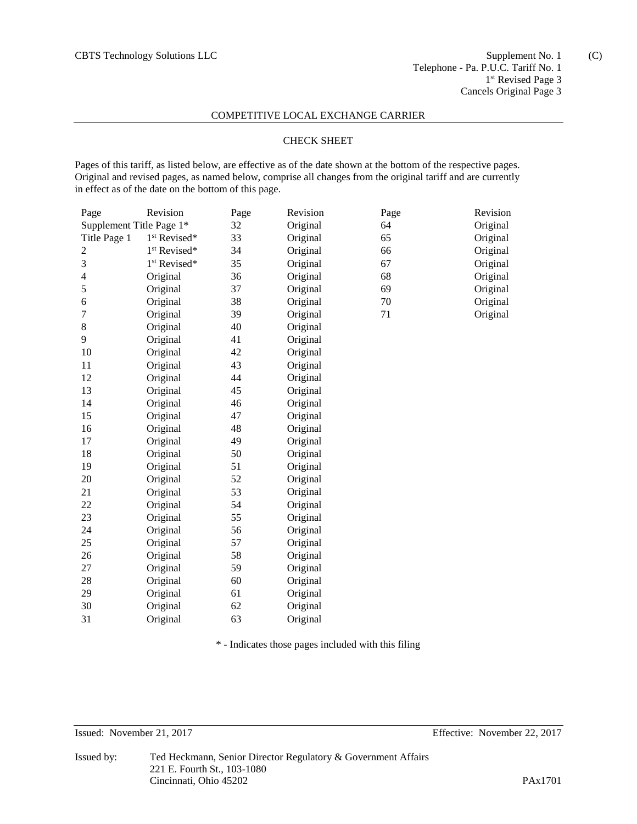(C)

#### COMPETITIVE LOCAL EXCHANGE CARRIER

## CHECK SHEET

Pages of this tariff, as listed below, are effective as of the date shown at the bottom of the respective pages. Original and revised pages, as named below, comprise all changes from the original tariff and are currently in effect as of the date on the bottom of this page.

| Page                     | Revision                 | Page | Revision | Page | Revision |
|--------------------------|--------------------------|------|----------|------|----------|
| Supplement Title Page 1* |                          | 32   | Original | 64   | Original |
| Title Page 1             | 1 <sup>st</sup> Revised* | 33   | Original | 65   | Original |
| $\overline{c}$           | 1 <sup>st</sup> Revised* | 34   | Original | 66   | Original |
| 3                        | 1 <sup>st</sup> Revised* | 35   | Original | 67   | Original |
| $\overline{\mathcal{A}}$ | Original                 | 36   | Original | 68   | Original |
| 5                        | Original                 | 37   | Original | 69   | Original |
| 6                        | Original                 | 38   | Original | 70   | Original |
| 7                        | Original                 | 39   | Original | 71   | Original |
| 8                        | Original                 | 40   | Original |      |          |
| 9                        | Original                 | 41   | Original |      |          |
| 10                       | Original                 | 42   | Original |      |          |
| 11                       | Original                 | 43   | Original |      |          |
| 12                       | Original                 | 44   | Original |      |          |
| 13                       | Original                 | 45   | Original |      |          |
| 14                       | Original                 | 46   | Original |      |          |
| 15                       | Original                 | 47   | Original |      |          |
| 16                       | Original                 | 48   | Original |      |          |
| 17                       | Original                 | 49   | Original |      |          |
| 18                       | Original                 | 50   | Original |      |          |
| 19                       | Original                 | 51   | Original |      |          |
| 20                       | Original                 | 52   | Original |      |          |
| 21                       | Original                 | 53   | Original |      |          |
| 22                       | Original                 | 54   | Original |      |          |
| 23                       | Original                 | 55   | Original |      |          |
| 24                       | Original                 | 56   | Original |      |          |
| 25                       | Original                 | 57   | Original |      |          |
| 26                       | Original                 | 58   | Original |      |          |
| 27                       | Original                 | 59   | Original |      |          |
| 28                       | Original                 | 60   | Original |      |          |
| 29                       | Original                 | 61   | Original |      |          |
| 30                       | Original                 | 62   | Original |      |          |
| 31                       | Original                 | 63   | Original |      |          |

\* - Indicates those pages included with this filing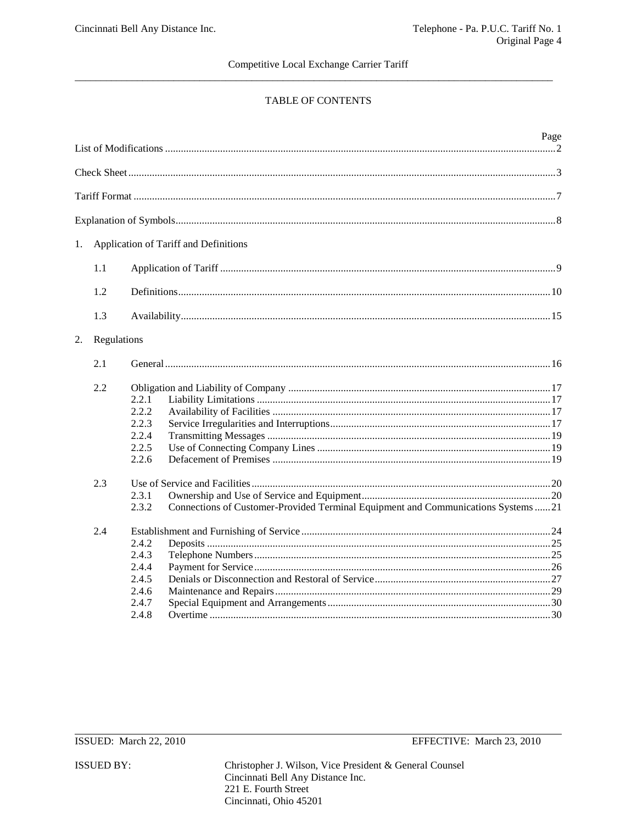# TABLE OF CONTENTS

|    |             |                |                                                                                  | Page |
|----|-------------|----------------|----------------------------------------------------------------------------------|------|
|    |             |                |                                                                                  |      |
|    |             |                |                                                                                  |      |
|    |             |                |                                                                                  |      |
| 1. |             |                | Application of Tariff and Definitions                                            |      |
|    |             |                |                                                                                  |      |
|    | 1.1         |                |                                                                                  |      |
|    | 1.2         |                |                                                                                  |      |
|    | 1.3         |                |                                                                                  |      |
| 2. | Regulations |                |                                                                                  |      |
|    | 2.1         |                |                                                                                  |      |
|    | 2.2         | 2.2.1          |                                                                                  |      |
|    |             | 2.2.2<br>2.2.3 |                                                                                  |      |
|    |             | 2.2.4          |                                                                                  |      |
|    |             | 2.2.5<br>2.2.6 |                                                                                  |      |
|    | 2.3         |                |                                                                                  |      |
|    |             | 2.3.1          |                                                                                  |      |
|    |             | 2.3.2          | Connections of Customer-Provided Terminal Equipment and Communications Systems21 |      |
|    | 2.4         |                |                                                                                  |      |
|    |             | 2.4.2          |                                                                                  |      |
|    |             | 2.4.3          |                                                                                  |      |
|    |             | 2.4.4          |                                                                                  |      |
|    |             | 2.4.5          |                                                                                  |      |
|    |             | 2.4.6          |                                                                                  |      |
|    |             | 2.4.7          |                                                                                  |      |
|    |             | 2.4.8          |                                                                                  |      |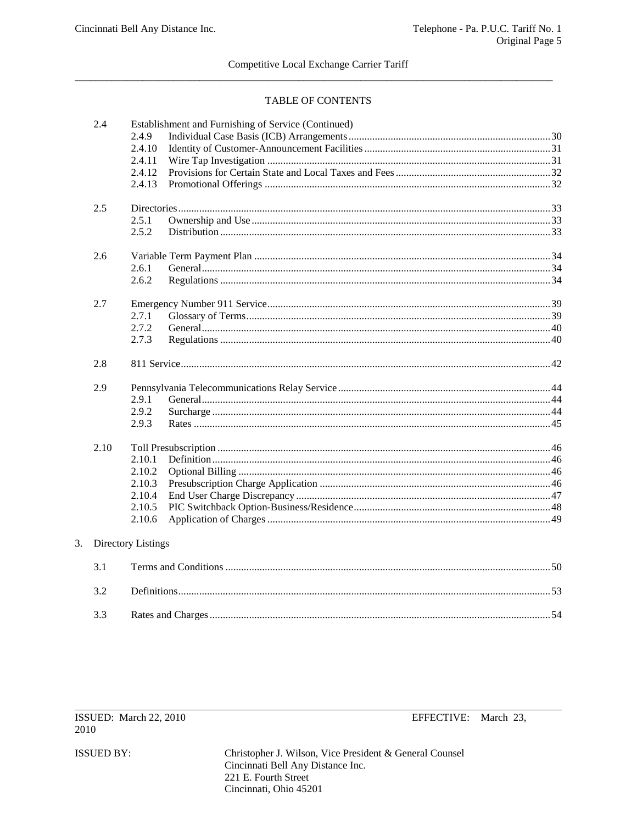## TABLE OF CONTENTS

| 2.4  | Establishment and Furnishing of Service (Continued) |  |
|------|-----------------------------------------------------|--|
|      | 2.4.9                                               |  |
|      | 2.4.10                                              |  |
|      | 2.4.11                                              |  |
|      | 2.4.12<br>2.4.13                                    |  |
|      |                                                     |  |
| 2.5  |                                                     |  |
|      | 2.5.1                                               |  |
|      | 2.5.2                                               |  |
| 2.6  |                                                     |  |
|      | 2.6.1                                               |  |
|      | 2.6.2                                               |  |
| 2.7  |                                                     |  |
|      | 2.7.1                                               |  |
|      | 2.7.2                                               |  |
|      | 2.7.3                                               |  |
| 2.8  |                                                     |  |
| 2.9  |                                                     |  |
|      | 2.9.1                                               |  |
|      | 2.9.2                                               |  |
|      | 2.9.3                                               |  |
| 2.10 |                                                     |  |
|      | 2.10.1                                              |  |
|      | 2.10.2                                              |  |
|      | 2.10.3                                              |  |
|      | 2.10.4                                              |  |
|      | 2.10.5                                              |  |
|      | 2.10.6                                              |  |
|      | Directory Listings                                  |  |
| 3.1  |                                                     |  |
| 3.2  |                                                     |  |
| 3.3  |                                                     |  |

ISSUED BY:

 $3.$ 

Cincinnati, Ohio 45201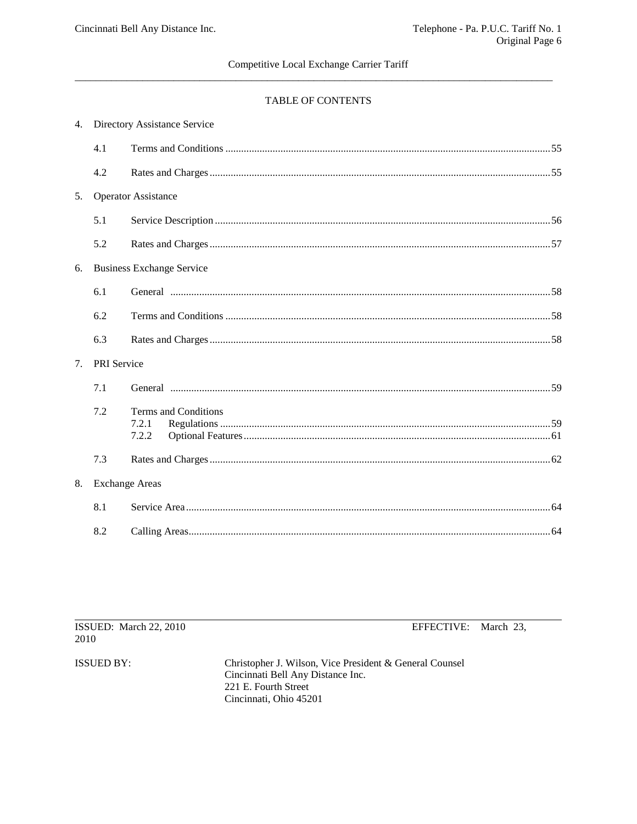# TABLE OF CONTENTS

|    | 4. Directory Assistance Service |                                        |  |
|----|---------------------------------|----------------------------------------|--|
|    | 4.1                             |                                        |  |
|    | 4.2                             |                                        |  |
| 5. |                                 | <b>Operator Assistance</b>             |  |
|    | 5.1                             |                                        |  |
|    | 5.2                             |                                        |  |
| 6. |                                 | <b>Business Exchange Service</b>       |  |
|    | 6.1                             |                                        |  |
|    | 6.2                             |                                        |  |
|    | 6.3                             |                                        |  |
| 7. | PRI Service                     |                                        |  |
|    | 7.1                             |                                        |  |
|    | 7.2                             | Terms and Conditions<br>7.2.1<br>7.2.2 |  |
|    | 7.3                             |                                        |  |
| 8. |                                 | <b>Exchange Areas</b>                  |  |
|    | 8.1                             |                                        |  |
|    | 8.2                             |                                        |  |

| ISSUED: March 22, 2010<br>2010 | EFFECTIVE: March 23,                                                                         |  |
|--------------------------------|----------------------------------------------------------------------------------------------|--|
| ISSUED BY:                     | Christopher J. Wilson, Vice President & General Counsel<br>Cincinnati Bell Any Distance Inc. |  |
|                                | 221 E. Fourth Street<br>Cincinnati, Ohio 45201                                               |  |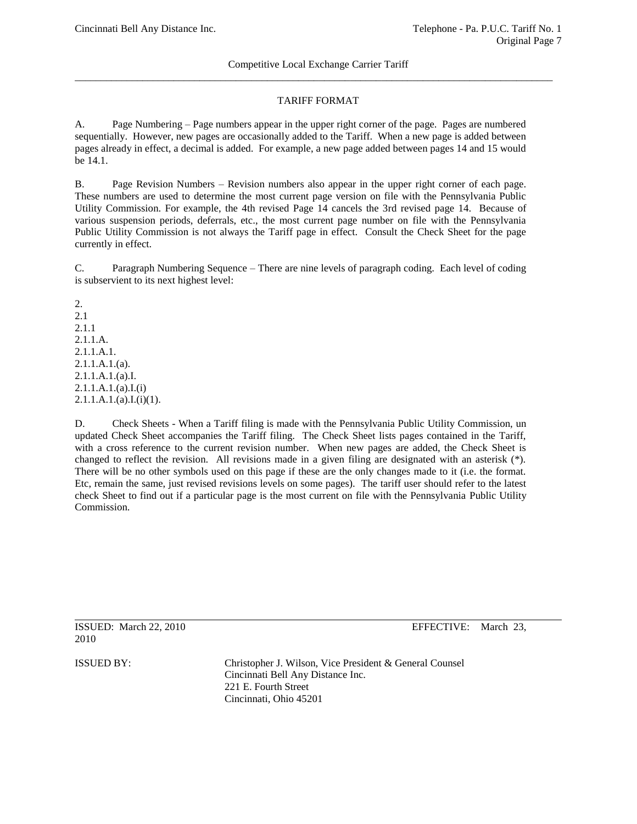# TARIFF FORMAT

A. Page Numbering – Page numbers appear in the upper right corner of the page. Pages are numbered sequentially. However, new pages are occasionally added to the Tariff. When a new page is added between pages already in effect, a decimal is added. For example, a new page added between pages 14 and 15 would be 14.1.

B. Page Revision Numbers – Revision numbers also appear in the upper right corner of each page. These numbers are used to determine the most current page version on file with the Pennsylvania Public Utility Commission. For example, the 4th revised Page 14 cancels the 3rd revised page 14. Because of various suspension periods, deferrals, etc., the most current page number on file with the Pennsylvania Public Utility Commission is not always the Tariff page in effect. Consult the Check Sheet for the page currently in effect.

C. Paragraph Numbering Sequence – There are nine levels of paragraph coding. Each level of coding is subservient to its next highest level:

2. 2.1 2.1.1 2.1.1.A. 2.1.1.A.1. 2.1.1.A.1.(a). 2.1.1.A.1.(a).I. 2.1.1.A.1.(a).I.(i) 2.1.1.A.1.(a).I.(i)(1).

D. Check Sheets - When a Tariff filing is made with the Pennsylvania Public Utility Commission, un updated Check Sheet accompanies the Tariff filing. The Check Sheet lists pages contained in the Tariff, with a cross reference to the current revision number. When new pages are added, the Check Sheet is changed to reflect the revision. All revisions made in a given filing are designated with an asterisk  $(*)$ . There will be no other symbols used on this page if these are the only changes made to it (i.e. the format. Etc, remain the same, just revised revisions levels on some pages). The tariff user should refer to the latest check Sheet to find out if a particular page is the most current on file with the Pennsylvania Public Utility Commission.

```
2010
```
ISSUED: March 22, 2010 EFFECTIVE: March 23,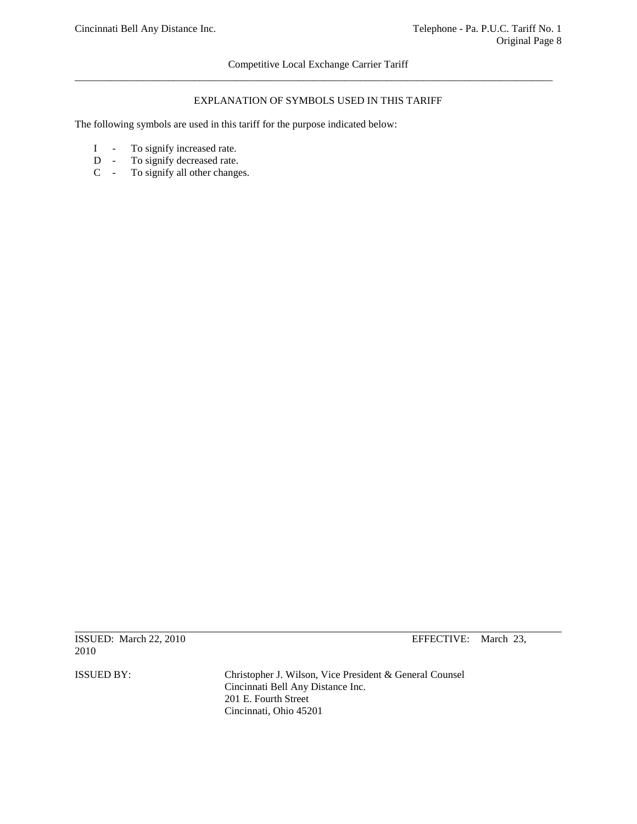## EXPLANATION OF SYMBOLS USED IN THIS TARIFF

The following symbols are used in this tariff for the purpose indicated below:

- I To signify increased rate.<br>D To signify decreased rate.
- D To signify decreased rate.<br>C To signify all other change
- To signify all other changes.

2010

ISSUED: March 22, 2010 EFFECTIVE: March 23,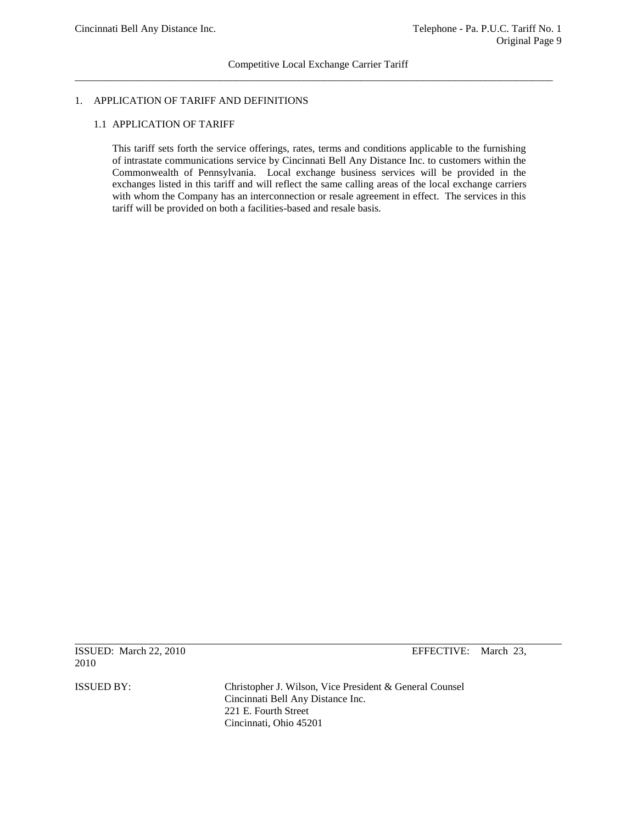## 1. APPLICATION OF TARIFF AND DEFINITIONS

## 1.1 APPLICATION OF TARIFF

This tariff sets forth the service offerings, rates, terms and conditions applicable to the furnishing of intrastate communications service by Cincinnati Bell Any Distance Inc. to customers within the Commonwealth of Pennsylvania. Local exchange business services will be provided in the exchanges listed in this tariff and will reflect the same calling areas of the local exchange carriers with whom the Company has an interconnection or resale agreement in effect. The services in this tariff will be provided on both a facilities-based and resale basis.

ISSUED: March 22, 2010 EFFECTIVE: March 23, 2010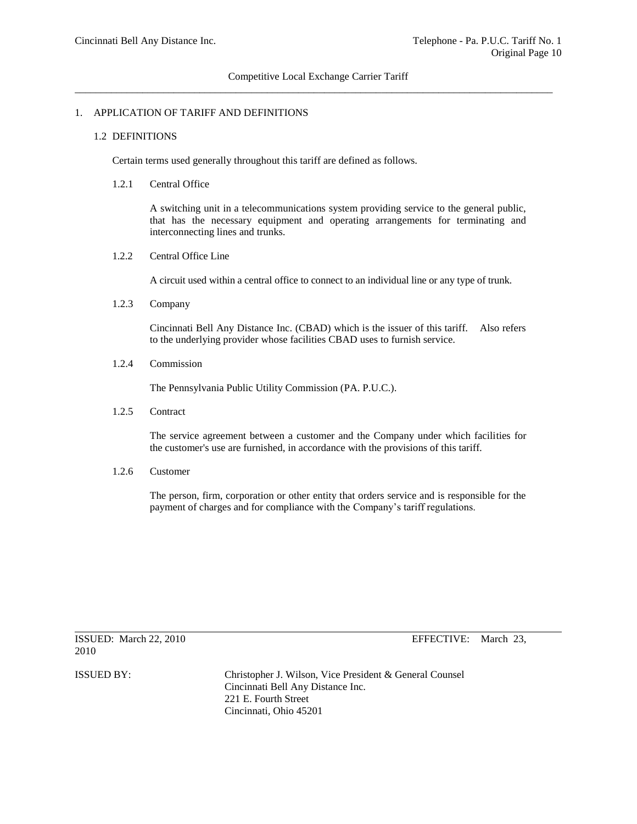## 1. APPLICATION OF TARIFF AND DEFINITIONS

#### 1.2 DEFINITIONS

Certain terms used generally throughout this tariff are defined as follows.

#### 1.2.1 Central Office

A switching unit in a telecommunications system providing service to the general public, that has the necessary equipment and operating arrangements for terminating and interconnecting lines and trunks.

## 1.2.2 Central Office Line

A circuit used within a central office to connect to an individual line or any type of trunk.

1.2.3 Company

Cincinnati Bell Any Distance Inc. (CBAD) which is the issuer of this tariff. Also refers to the underlying provider whose facilities CBAD uses to furnish service.

1.2.4 Commission

The Pennsylvania Public Utility Commission (PA. P.U.C.).

1.2.5 Contract

The service agreement between a customer and the Company under which facilities for the customer's use are furnished, in accordance with the provisions of this tariff.

1.2.6 Customer

The person, firm, corporation or other entity that orders service and is responsible for the payment of charges and for compliance with the Company's tariff regulations.

2010

ISSUED: March 22, 2010 EFFECTIVE: March 23,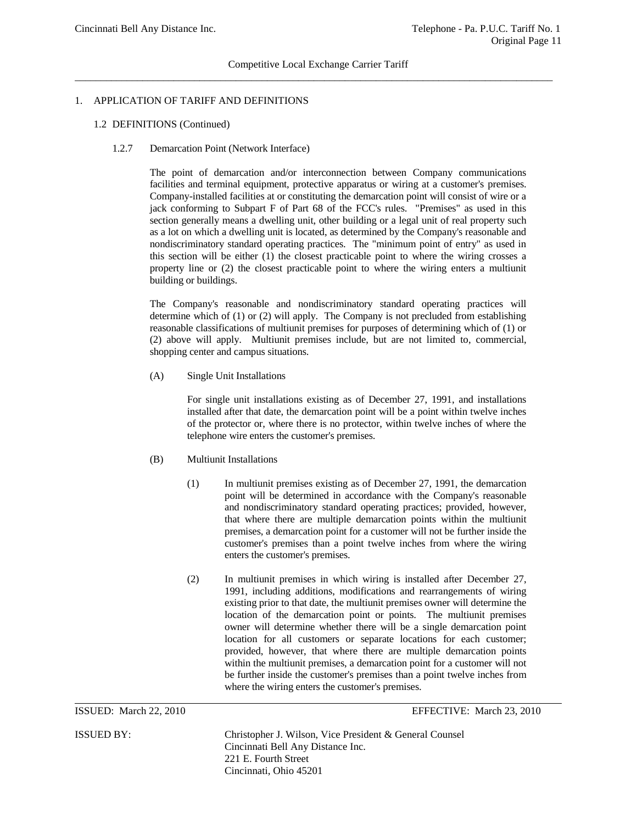## 1. APPLICATION OF TARIFF AND DEFINITIONS

- 1.2 DEFINITIONS (Continued)
	- 1.2.7 Demarcation Point (Network Interface)

The point of demarcation and/or interconnection between Company communications facilities and terminal equipment, protective apparatus or wiring at a customer's premises. Company-installed facilities at or constituting the demarcation point will consist of wire or a jack conforming to Subpart F of Part 68 of the FCC's rules. "Premises" as used in this section generally means a dwelling unit, other building or a legal unit of real property such as a lot on which a dwelling unit is located, as determined by the Company's reasonable and nondiscriminatory standard operating practices. The "minimum point of entry" as used in this section will be either (1) the closest practicable point to where the wiring crosses a property line or (2) the closest practicable point to where the wiring enters a multiunit building or buildings.

The Company's reasonable and nondiscriminatory standard operating practices will determine which of (1) or (2) will apply. The Company is not precluded from establishing reasonable classifications of multiunit premises for purposes of determining which of (1) or (2) above will apply. Multiunit premises include, but are not limited to, commercial, shopping center and campus situations.

(A) Single Unit Installations

For single unit installations existing as of December 27, 1991, and installations installed after that date, the demarcation point will be a point within twelve inches of the protector or, where there is no protector, within twelve inches of where the telephone wire enters the customer's premises.

#### (B) Multiunit Installations

- (1) In multiunit premises existing as of December 27, 1991, the demarcation point will be determined in accordance with the Company's reasonable and nondiscriminatory standard operating practices; provided, however, that where there are multiple demarcation points within the multiunit premises, a demarcation point for a customer will not be further inside the customer's premises than a point twelve inches from where the wiring enters the customer's premises.
- (2) In multiunit premises in which wiring is installed after December 27, 1991, including additions, modifications and rearrangements of wiring existing prior to that date, the multiunit premises owner will determine the location of the demarcation point or points. The multiunit premises owner will determine whether there will be a single demarcation point location for all customers or separate locations for each customer; provided, however, that where there are multiple demarcation points within the multiunit premises, a demarcation point for a customer will not be further inside the customer's premises than a point twelve inches from where the wiring enters the customer's premises.

ISSUED: March 22, 2010 EFFECTIVE: March 23, 2010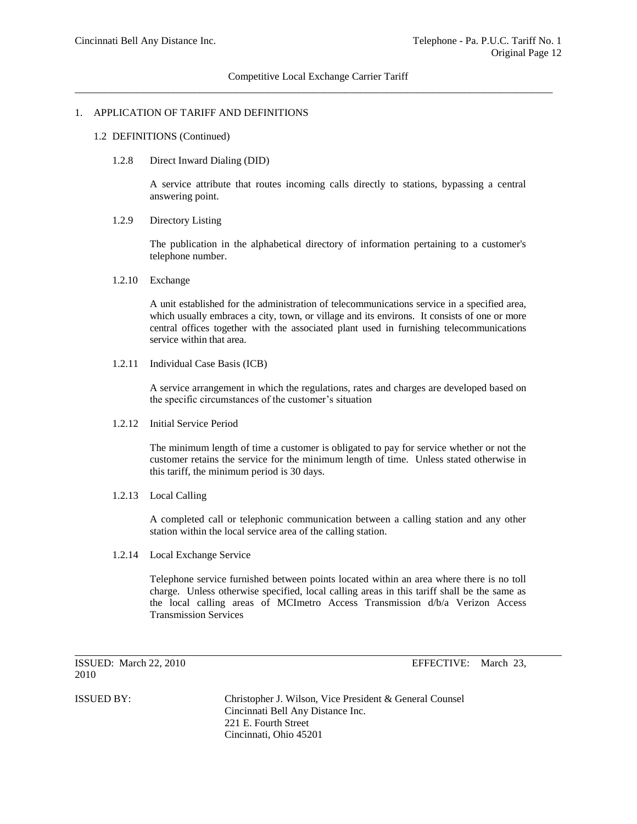#### 1. APPLICATION OF TARIFF AND DEFINITIONS

#### 1.2 DEFINITIONS (Continued)

1.2.8 Direct Inward Dialing (DID)

A service attribute that routes incoming calls directly to stations, bypassing a central answering point.

1.2.9 Directory Listing

The publication in the alphabetical directory of information pertaining to a customer's telephone number.

1.2.10 Exchange

A unit established for the administration of telecommunications service in a specified area, which usually embraces a city, town, or village and its environs. It consists of one or more central offices together with the associated plant used in furnishing telecommunications service within that area.

1.2.11 Individual Case Basis (ICB)

A service arrangement in which the regulations, rates and charges are developed based on the specific circumstances of the customer's situation

1.2.12 Initial Service Period

The minimum length of time a customer is obligated to pay for service whether or not the customer retains the service for the minimum length of time. Unless stated otherwise in this tariff, the minimum period is 30 days.

1.2.13 Local Calling

A completed call or telephonic communication between a calling station and any other station within the local service area of the calling station.

1.2.14 Local Exchange Service

Telephone service furnished between points located within an area where there is no toll charge. Unless otherwise specified, local calling areas in this tariff shall be the same as the local calling areas of MCImetro Access Transmission d/b/a Verizon Access Transmission Services

ISSUED: March 22, 2010 EFFECTIVE: March 23, 2010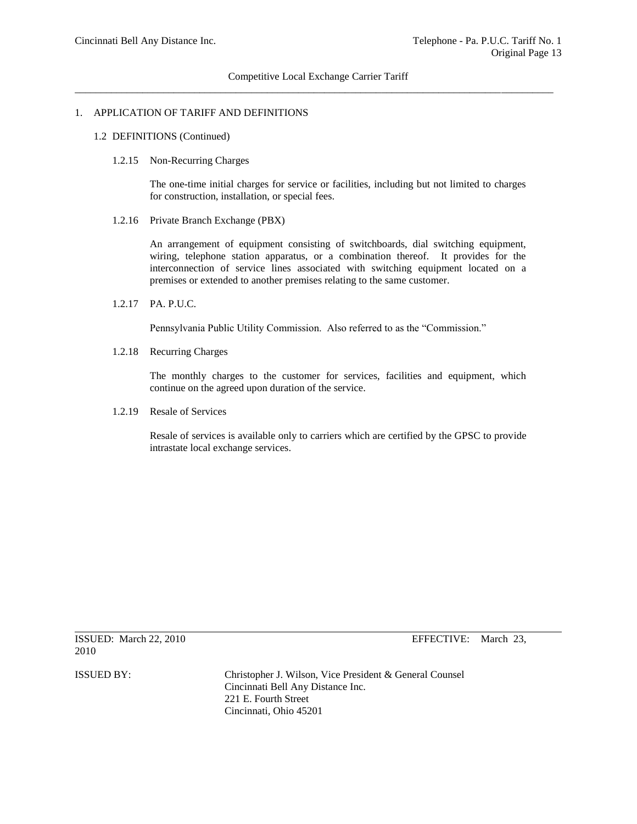#### 1. APPLICATION OF TARIFF AND DEFINITIONS

- 1.2 DEFINITIONS (Continued)
	- 1.2.15 Non-Recurring Charges

The one-time initial charges for service or facilities, including but not limited to charges for construction, installation, or special fees.

1.2.16 Private Branch Exchange (PBX)

An arrangement of equipment consisting of switchboards, dial switching equipment, wiring, telephone station apparatus, or a combination thereof. It provides for the interconnection of service lines associated with switching equipment located on a premises or extended to another premises relating to the same customer.

1.2.17 PA. P.U.C.

Pennsylvania Public Utility Commission. Also referred to as the "Commission."

1.2.18 Recurring Charges

The monthly charges to the customer for services, facilities and equipment, which continue on the agreed upon duration of the service.

1.2.19 Resale of Services

Resale of services is available only to carriers which are certified by the GPSC to provide intrastate local exchange services.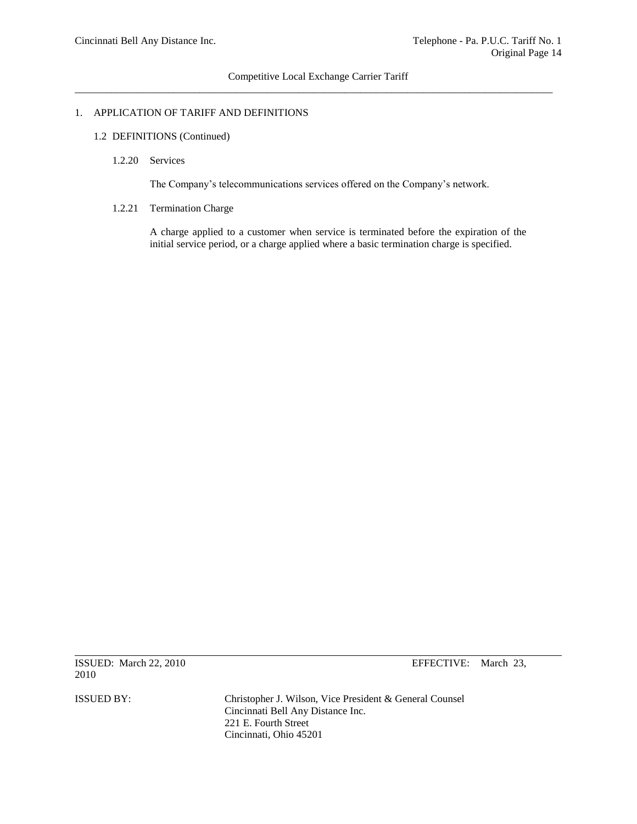## 1. APPLICATION OF TARIFF AND DEFINITIONS

- 1.2 DEFINITIONS (Continued)
	- 1.2.20 Services

The Company's telecommunications services offered on the Company's network.

1.2.21 Termination Charge

A charge applied to a customer when service is terminated before the expiration of the initial service period, or a charge applied where a basic termination charge is specified.

ISSUED: March 22, 2010 EFFECTIVE: March 23, 2010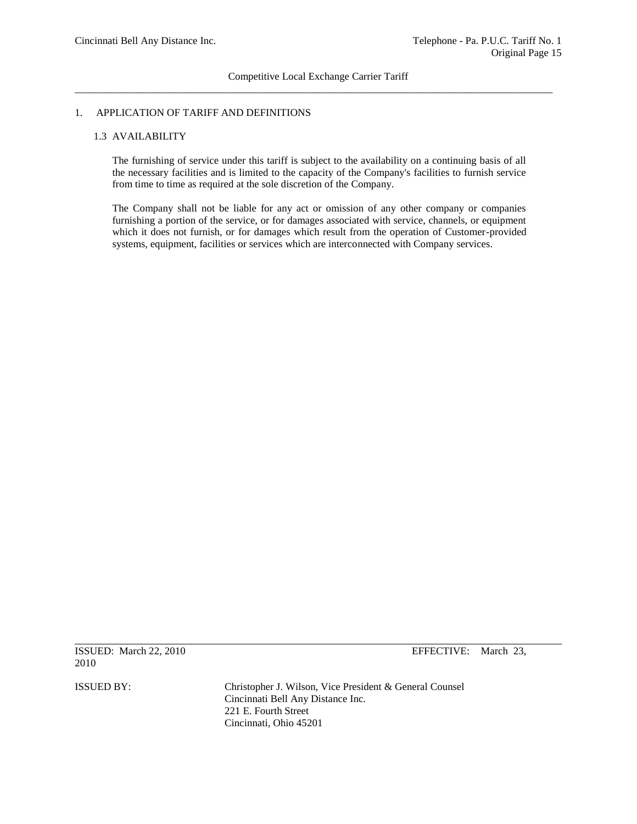## 1. APPLICATION OF TARIFF AND DEFINITIONS

## 1.3 AVAILABILITY

The furnishing of service under this tariff is subject to the availability on a continuing basis of all the necessary facilities and is limited to the capacity of the Company's facilities to furnish service from time to time as required at the sole discretion of the Company.

The Company shall not be liable for any act or omission of any other company or companies furnishing a portion of the service, or for damages associated with service, channels, or equipment which it does not furnish, or for damages which result from the operation of Customer-provided systems, equipment, facilities or services which are interconnected with Company services.

ISSUED: March 22, 2010 EFFECTIVE: March 23, 2010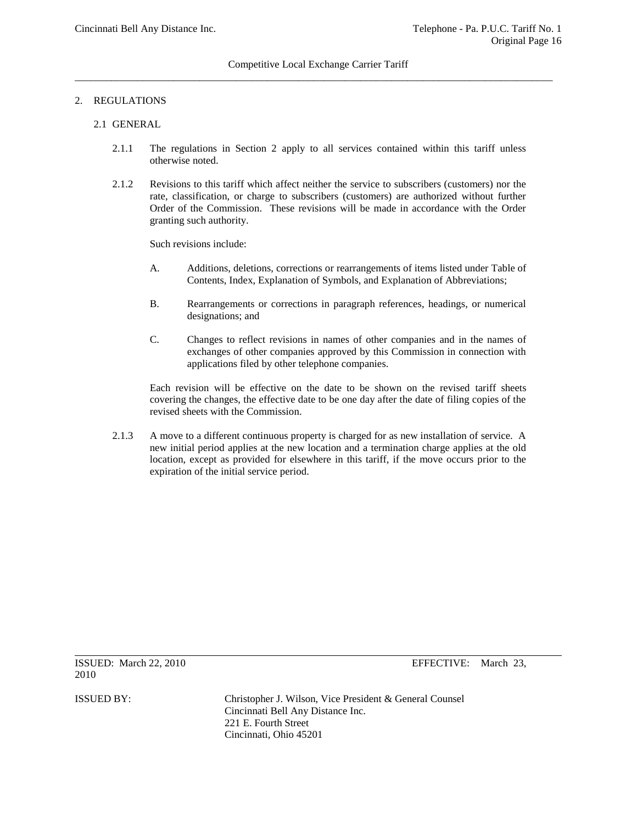## 2. REGULATIONS

## 2.1 GENERAL

- 2.1.1 The regulations in Section 2 apply to all services contained within this tariff unless otherwise noted.
- 2.1.2 Revisions to this tariff which affect neither the service to subscribers (customers) nor the rate, classification, or charge to subscribers (customers) are authorized without further Order of the Commission. These revisions will be made in accordance with the Order granting such authority.

Such revisions include:

- A. Additions, deletions, corrections or rearrangements of items listed under Table of Contents, Index, Explanation of Symbols, and Explanation of Abbreviations;
- B. Rearrangements or corrections in paragraph references, headings, or numerical designations; and
- C. Changes to reflect revisions in names of other companies and in the names of exchanges of other companies approved by this Commission in connection with applications filed by other telephone companies.

Each revision will be effective on the date to be shown on the revised tariff sheets covering the changes, the effective date to be one day after the date of filing copies of the revised sheets with the Commission.

2.1.3 A move to a different continuous property is charged for as new installation of service. A new initial period applies at the new location and a termination charge applies at the old location, except as provided for elsewhere in this tariff, if the move occurs prior to the expiration of the initial service period.

ISSUED: March 22, 2010 EFFECTIVE: March 23, 2010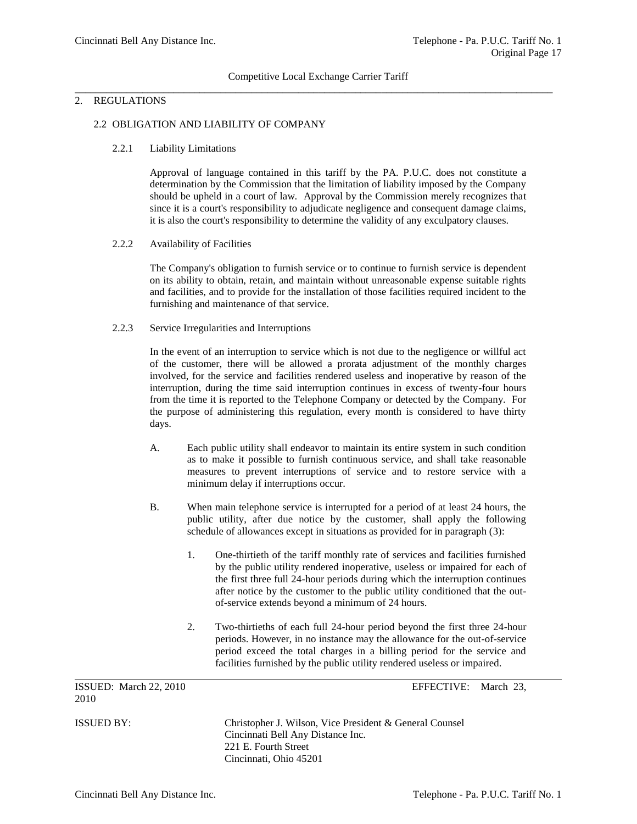## 2. REGULATIONS

#### 2.2 OBLIGATION AND LIABILITY OF COMPANY

## 2.2.1 Liability Limitations

Approval of language contained in this tariff by the PA. P.U.C. does not constitute a determination by the Commission that the limitation of liability imposed by the Company should be upheld in a court of law. Approval by the Commission merely recognizes that since it is a court's responsibility to adjudicate negligence and consequent damage claims, it is also the court's responsibility to determine the validity of any exculpatory clauses.

#### 2.2.2 Availability of Facilities

The Company's obligation to furnish service or to continue to furnish service is dependent on its ability to obtain, retain, and maintain without unreasonable expense suitable rights and facilities, and to provide for the installation of those facilities required incident to the furnishing and maintenance of that service.

## 2.2.3 Service Irregularities and Interruptions

In the event of an interruption to service which is not due to the negligence or willful act of the customer, there will be allowed a prorata adjustment of the monthly charges involved, for the service and facilities rendered useless and inoperative by reason of the interruption, during the time said interruption continues in excess of twenty-four hours from the time it is reported to the Telephone Company or detected by the Company. For the purpose of administering this regulation, every month is considered to have thirty days.

- A. Each public utility shall endeavor to maintain its entire system in such condition as to make it possible to furnish continuous service, and shall take reasonable measures to prevent interruptions of service and to restore service with a minimum delay if interruptions occur.
- B. When main telephone service is interrupted for a period of at least 24 hours, the public utility, after due notice by the customer, shall apply the following schedule of allowances except in situations as provided for in paragraph (3):
	- 1. One-thirtieth of the tariff monthly rate of services and facilities furnished by the public utility rendered inoperative, useless or impaired for each of the first three full 24-hour periods during which the interruption continues after notice by the customer to the public utility conditioned that the outof-service extends beyond a minimum of 24 hours.
	- 2. Two-thirtieths of each full 24-hour period beyond the first three 24-hour periods. However, in no instance may the allowance for the out-of-service period exceed the total charges in a billing period for the service and facilities furnished by the public utility rendered useless or impaired.

ISSUED: March 22, 2010 EFFECTIVE: March 23, 2010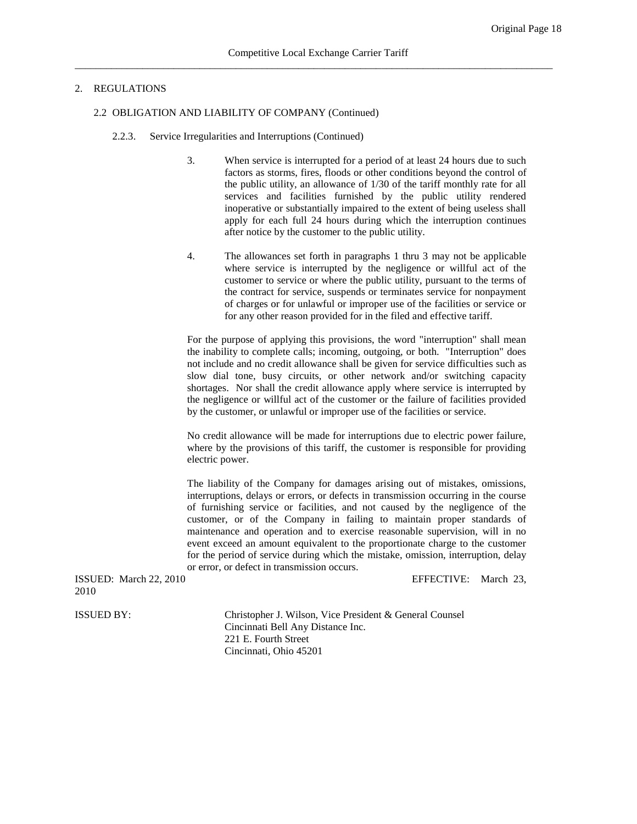#### 2.2 OBLIGATION AND LIABILITY OF COMPANY (Continued)

- 2.2.3. Service Irregularities and Interruptions (Continued)
	- 3. When service is interrupted for a period of at least 24 hours due to such factors as storms, fires, floods or other conditions beyond the control of the public utility, an allowance of 1/30 of the tariff monthly rate for all services and facilities furnished by the public utility rendered inoperative or substantially impaired to the extent of being useless shall apply for each full 24 hours during which the interruption continues after notice by the customer to the public utility.
	- 4. The allowances set forth in paragraphs 1 thru 3 may not be applicable where service is interrupted by the negligence or willful act of the customer to service or where the public utility, pursuant to the terms of the contract for service, suspends or terminates service for nonpayment of charges or for unlawful or improper use of the facilities or service or for any other reason provided for in the filed and effective tariff.

For the purpose of applying this provisions, the word "interruption" shall mean the inability to complete calls; incoming, outgoing, or both. "Interruption" does not include and no credit allowance shall be given for service difficulties such as slow dial tone, busy circuits, or other network and/or switching capacity shortages. Nor shall the credit allowance apply where service is interrupted by the negligence or willful act of the customer or the failure of facilities provided by the customer, or unlawful or improper use of the facilities or service.

No credit allowance will be made for interruptions due to electric power failure, where by the provisions of this tariff, the customer is responsible for providing electric power.

The liability of the Company for damages arising out of mistakes, omissions, interruptions, delays or errors, or defects in transmission occurring in the course of furnishing service or facilities, and not caused by the negligence of the customer, or of the Company in failing to maintain proper standards of maintenance and operation and to exercise reasonable supervision, will in no event exceed an amount equivalent to the proportionate charge to the customer for the period of service during which the mistake, omission, interruption, delay or error, or defect in transmission occurs.

ISSUED: March 22, 2010 EFFECTIVE: March 23, 2010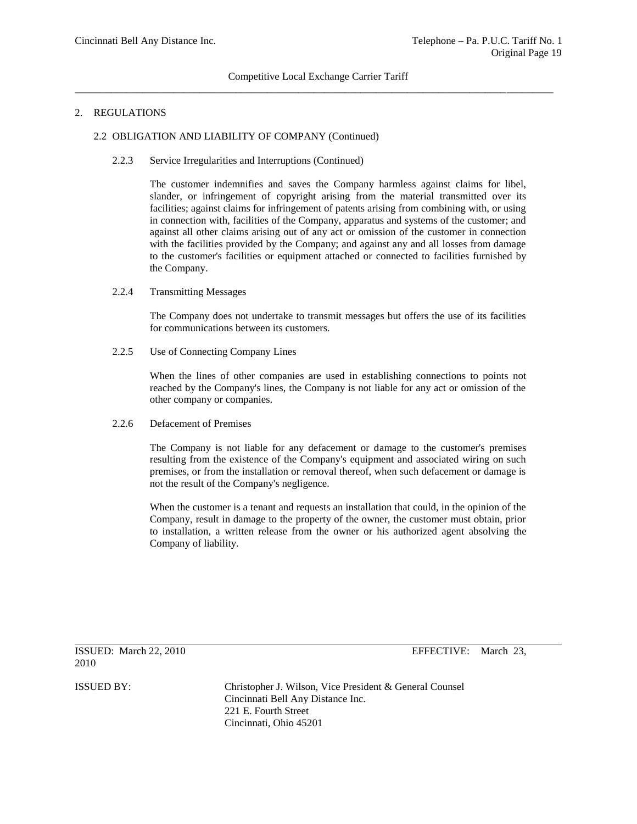#### 2.2 OBLIGATION AND LIABILITY OF COMPANY (Continued)

2.2.3 Service Irregularities and Interruptions (Continued)

The customer indemnifies and saves the Company harmless against claims for libel, slander, or infringement of copyright arising from the material transmitted over its facilities; against claims for infringement of patents arising from combining with, or using in connection with, facilities of the Company, apparatus and systems of the customer; and against all other claims arising out of any act or omission of the customer in connection with the facilities provided by the Company; and against any and all losses from damage to the customer's facilities or equipment attached or connected to facilities furnished by the Company.

## 2.2.4 Transmitting Messages

The Company does not undertake to transmit messages but offers the use of its facilities for communications between its customers.

2.2.5 Use of Connecting Company Lines

When the lines of other companies are used in establishing connections to points not reached by the Company's lines, the Company is not liable for any act or omission of the other company or companies.

## 2.2.6 Defacement of Premises

The Company is not liable for any defacement or damage to the customer's premises resulting from the existence of the Company's equipment and associated wiring on such premises, or from the installation or removal thereof, when such defacement or damage is not the result of the Company's negligence.

When the customer is a tenant and requests an installation that could, in the opinion of the Company, result in damage to the property of the owner, the customer must obtain, prior to installation, a written release from the owner or his authorized agent absolving the Company of liability.

ISSUED: March 22, 2010 EFFECTIVE: March 23, 2010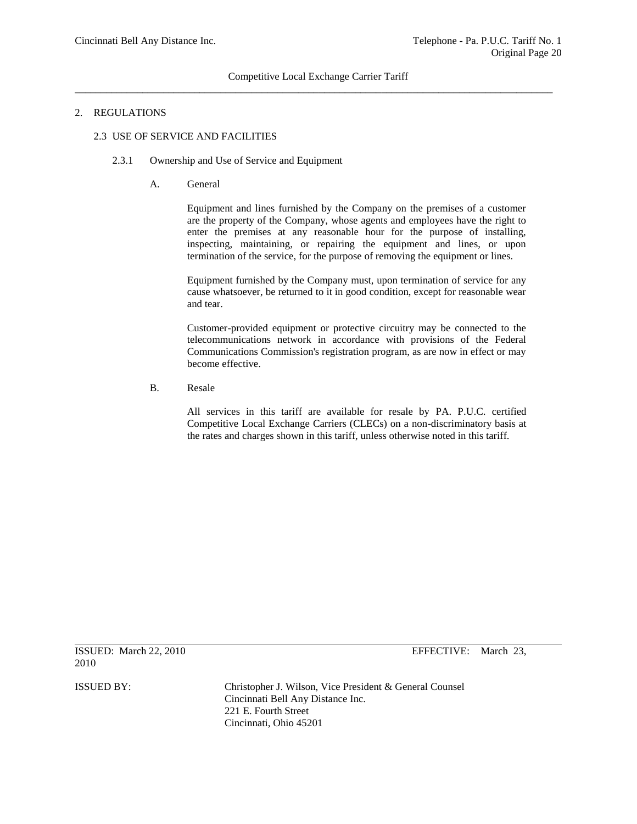## 2. REGULATIONS

## 2.3 USE OF SERVICE AND FACILITIES

## 2.3.1 Ownership and Use of Service and Equipment

A. General

Equipment and lines furnished by the Company on the premises of a customer are the property of the Company, whose agents and employees have the right to enter the premises at any reasonable hour for the purpose of installing, inspecting, maintaining, or repairing the equipment and lines, or upon termination of the service, for the purpose of removing the equipment or lines.

Equipment furnished by the Company must, upon termination of service for any cause whatsoever, be returned to it in good condition, except for reasonable wear and tear.

Customer-provided equipment or protective circuitry may be connected to the telecommunications network in accordance with provisions of the Federal Communications Commission's registration program, as are now in effect or may become effective.

B. Resale

All services in this tariff are available for resale by PA. P.U.C. certified Competitive Local Exchange Carriers (CLECs) on a non-discriminatory basis at the rates and charges shown in this tariff, unless otherwise noted in this tariff.

2010

ISSUED: March 22, 2010 EFFECTIVE: March 23,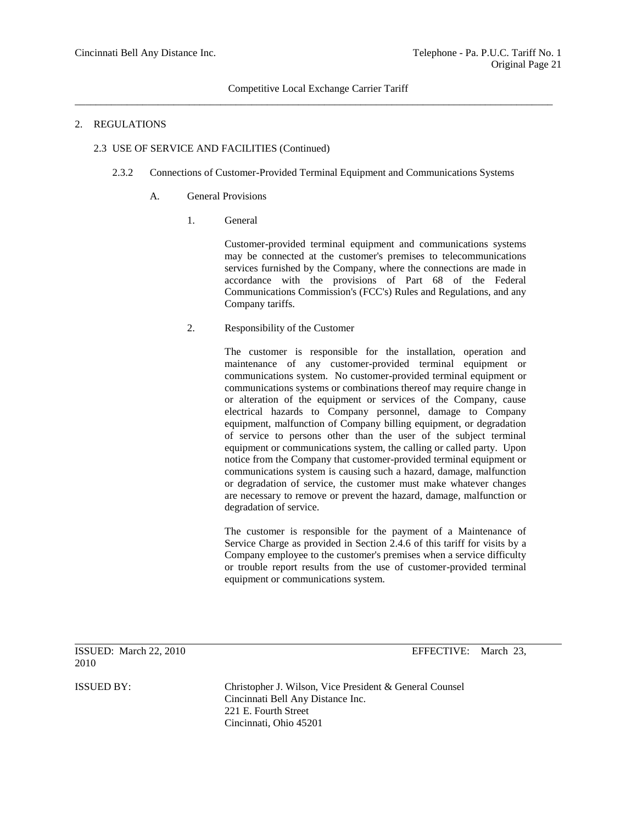## Competitive Local Exchange Carrier Tariff \_\_\_\_\_\_\_\_\_\_\_\_\_\_\_\_\_\_\_\_\_\_\_\_\_\_\_\_\_\_\_\_\_\_\_\_\_\_\_\_\_\_\_\_\_\_\_\_\_\_\_\_\_\_\_\_\_\_\_\_\_\_\_\_\_\_\_\_\_\_\_\_\_\_\_\_\_\_\_\_\_\_\_\_\_\_\_\_\_\_\_\_

## 2. REGULATIONS

## 2.3 USE OF SERVICE AND FACILITIES (Continued)

- 2.3.2 Connections of Customer-Provided Terminal Equipment and Communications Systems
	- A. General Provisions
		- 1. General

Customer-provided terminal equipment and communications systems may be connected at the customer's premises to telecommunications services furnished by the Company, where the connections are made in accordance with the provisions of Part 68 of the Federal Communications Commission's (FCC's) Rules and Regulations, and any Company tariffs.

2. Responsibility of the Customer

The customer is responsible for the installation, operation and maintenance of any customer-provided terminal equipment or communications system. No customer-provided terminal equipment or communications systems or combinations thereof may require change in or alteration of the equipment or services of the Company, cause electrical hazards to Company personnel, damage to Company equipment, malfunction of Company billing equipment, or degradation of service to persons other than the user of the subject terminal equipment or communications system, the calling or called party. Upon notice from the Company that customer-provided terminal equipment or communications system is causing such a hazard, damage, malfunction or degradation of service, the customer must make whatever changes are necessary to remove or prevent the hazard, damage, malfunction or degradation of service.

The customer is responsible for the payment of a Maintenance of Service Charge as provided in Section 2.4.6 of this tariff for visits by a Company employee to the customer's premises when a service difficulty or trouble report results from the use of customer-provided terminal equipment or communications system.

ISSUED: March 22, 2010 EFFECTIVE: March 23, 2010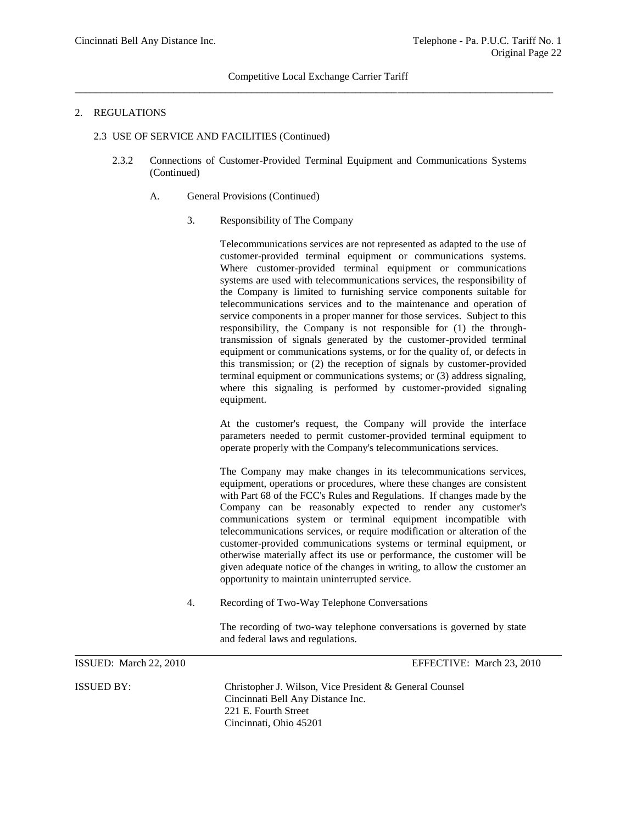## Competitive Local Exchange Carrier Tariff  $\overline{a}$  , and the contribution of the contribution of the contribution of the contribution of the contribution of the contribution of the contribution of the contribution of the contribution of the contribution of the co

#### 2. REGULATIONS

#### 2.3 USE OF SERVICE AND FACILITIES (Continued)

- 2.3.2 Connections of Customer-Provided Terminal Equipment and Communications Systems (Continued)
	- A. General Provisions (Continued)
		- 3. Responsibility of The Company

Telecommunications services are not represented as adapted to the use of customer-provided terminal equipment or communications systems. Where customer-provided terminal equipment or communications systems are used with telecommunications services, the responsibility of the Company is limited to furnishing service components suitable for telecommunications services and to the maintenance and operation of service components in a proper manner for those services. Subject to this responsibility, the Company is not responsible for (1) the throughtransmission of signals generated by the customer-provided terminal equipment or communications systems, or for the quality of, or defects in this transmission; or (2) the reception of signals by customer-provided terminal equipment or communications systems; or (3) address signaling, where this signaling is performed by customer-provided signaling equipment.

At the customer's request, the Company will provide the interface parameters needed to permit customer-provided terminal equipment to operate properly with the Company's telecommunications services.

The Company may make changes in its telecommunications services, equipment, operations or procedures, where these changes are consistent with Part 68 of the FCC's Rules and Regulations. If changes made by the Company can be reasonably expected to render any customer's communications system or terminal equipment incompatible with telecommunications services, or require modification or alteration of the customer-provided communications systems or terminal equipment, or otherwise materially affect its use or performance, the customer will be given adequate notice of the changes in writing, to allow the customer an opportunity to maintain uninterrupted service.

4. Recording of Two-Way Telephone Conversations

The recording of two-way telephone conversations is governed by state and federal laws and regulations.

ISSUED: March 22, 2010 EFFECTIVE: March 23, 2010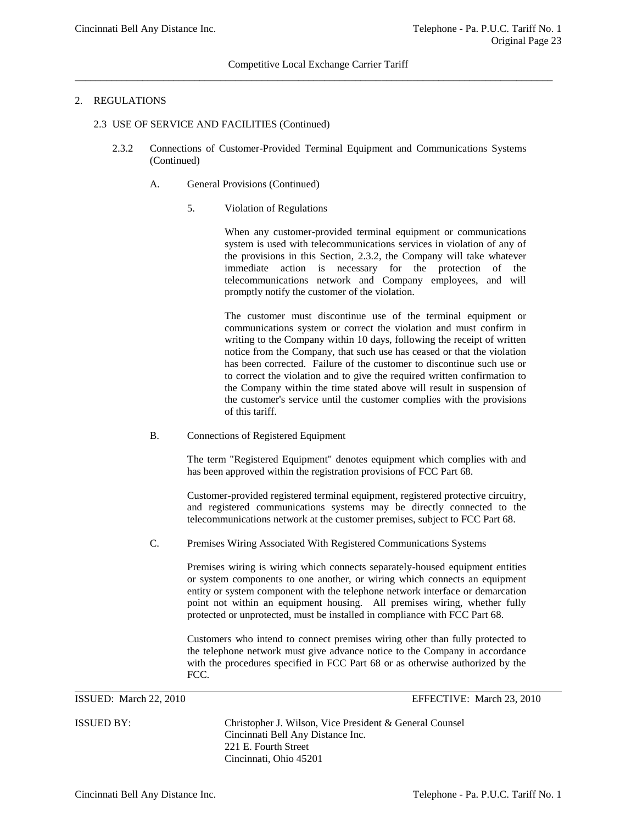## 2. REGULATIONS

- 2.3 USE OF SERVICE AND FACILITIES (Continued)
	- 2.3.2 Connections of Customer-Provided Terminal Equipment and Communications Systems (Continued)
		- A. General Provisions (Continued)
			- 5. Violation of Regulations

When any customer-provided terminal equipment or communications system is used with telecommunications services in violation of any of the provisions in this Section, 2.3.2, the Company will take whatever immediate action is necessary for the protection of the telecommunications network and Company employees, and will promptly notify the customer of the violation.

The customer must discontinue use of the terminal equipment or communications system or correct the violation and must confirm in writing to the Company within 10 days, following the receipt of written notice from the Company, that such use has ceased or that the violation has been corrected. Failure of the customer to discontinue such use or to correct the violation and to give the required written confirmation to the Company within the time stated above will result in suspension of the customer's service until the customer complies with the provisions of this tariff.

B. Connections of Registered Equipment

The term "Registered Equipment" denotes equipment which complies with and has been approved within the registration provisions of FCC Part 68.

Customer-provided registered terminal equipment, registered protective circuitry, and registered communications systems may be directly connected to the telecommunications network at the customer premises, subject to FCC Part 68.

C. Premises Wiring Associated With Registered Communications Systems

Premises wiring is wiring which connects separately-housed equipment entities or system components to one another, or wiring which connects an equipment entity or system component with the telephone network interface or demarcation point not within an equipment housing. All premises wiring, whether fully protected or unprotected, must be installed in compliance with FCC Part 68.

Customers who intend to connect premises wiring other than fully protected to the telephone network must give advance notice to the Company in accordance with the procedures specified in FCC Part 68 or as otherwise authorized by the FCC.

ISSUED: March 22, 2010 EFFECTIVE: March 23, 2010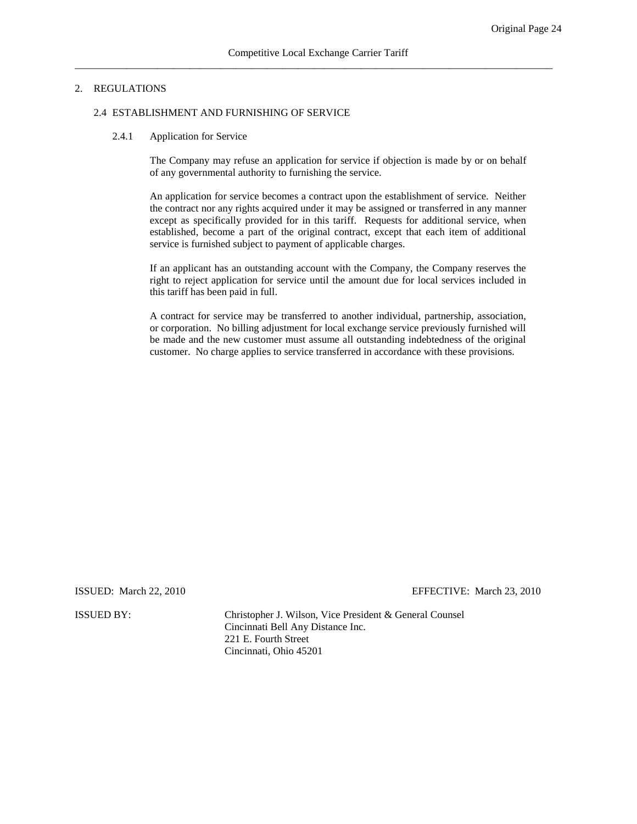#### 2.4 ESTABLISHMENT AND FURNISHING OF SERVICE

#### 2.4.1 Application for Service

The Company may refuse an application for service if objection is made by or on behalf of any governmental authority to furnishing the service.

An application for service becomes a contract upon the establishment of service. Neither the contract nor any rights acquired under it may be assigned or transferred in any manner except as specifically provided for in this tariff. Requests for additional service, when established, become a part of the original contract, except that each item of additional service is furnished subject to payment of applicable charges.

If an applicant has an outstanding account with the Company, the Company reserves the right to reject application for service until the amount due for local services included in this tariff has been paid in full.

A contract for service may be transferred to another individual, partnership, association, or corporation. No billing adjustment for local exchange service previously furnished will be made and the new customer must assume all outstanding indebtedness of the original customer. No charge applies to service transferred in accordance with these provisions.

ISSUED: March 22, 2010 EFFECTIVE: March 23, 2010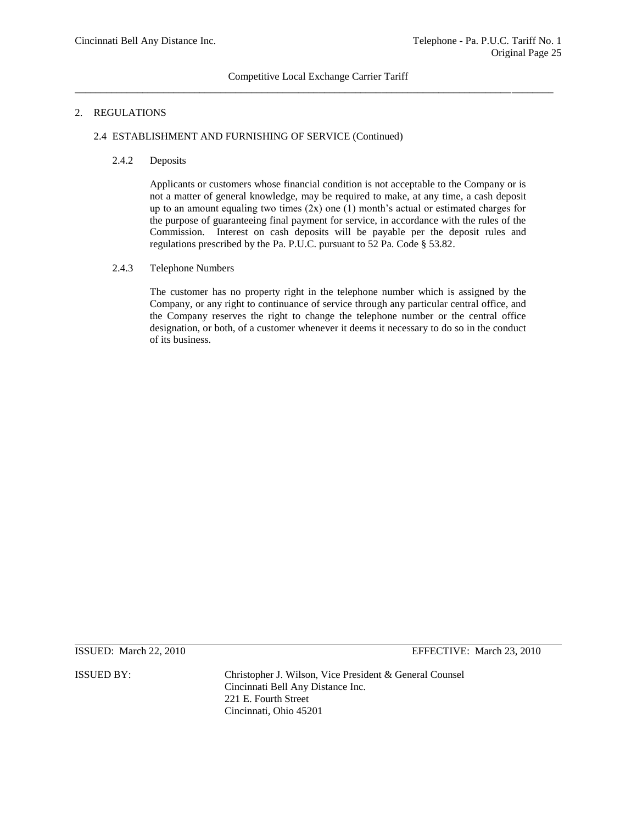## 2. REGULATIONS

## 2.4 ESTABLISHMENT AND FURNISHING OF SERVICE (Continued)

## 2.4.2 Deposits

Applicants or customers whose financial condition is not acceptable to the Company or is not a matter of general knowledge, may be required to make, at any time, a cash deposit up to an amount equaling two times  $(2x)$  one  $(1)$  month's actual or estimated charges for the purpose of guaranteeing final payment for service, in accordance with the rules of the Commission. Interest on cash deposits will be payable per the deposit rules and regulations prescribed by the Pa. P.U.C. pursuant to 52 Pa. Code § 53.82.

## 2.4.3 Telephone Numbers

The customer has no property right in the telephone number which is assigned by the Company, or any right to continuance of service through any particular central office, and the Company reserves the right to change the telephone number or the central office designation, or both, of a customer whenever it deems it necessary to do so in the conduct of its business.

ISSUED: March 22, 2010 EFFECTIVE: March 23, 2010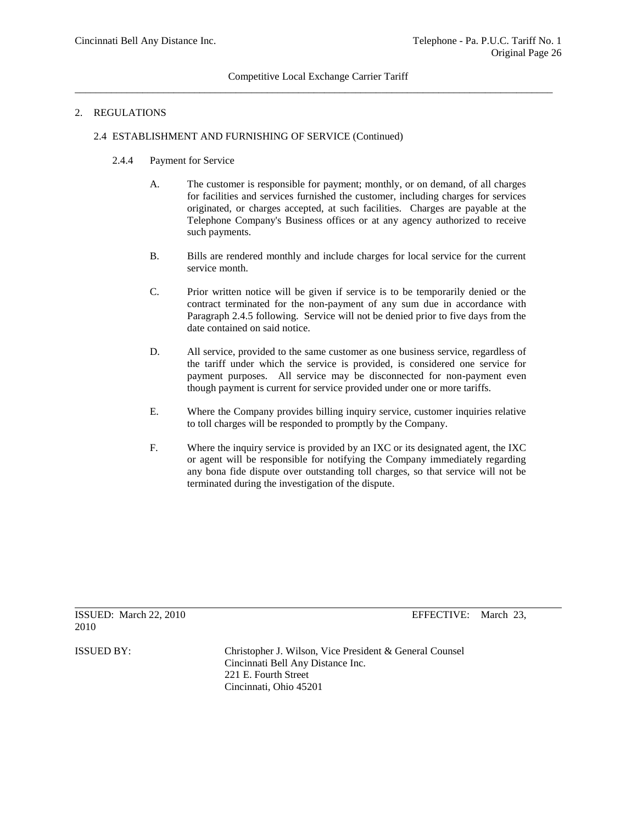## 2.4 ESTABLISHMENT AND FURNISHING OF SERVICE (Continued)

- 2.4.4 Payment for Service
	- A. The customer is responsible for payment; monthly, or on demand, of all charges for facilities and services furnished the customer, including charges for services originated, or charges accepted, at such facilities. Charges are payable at the Telephone Company's Business offices or at any agency authorized to receive such payments.
	- B. Bills are rendered monthly and include charges for local service for the current service month.
	- C. Prior written notice will be given if service is to be temporarily denied or the contract terminated for the non-payment of any sum due in accordance with Paragraph 2.4.5 following. Service will not be denied prior to five days from the date contained on said notice.
	- D. All service, provided to the same customer as one business service, regardless of the tariff under which the service is provided, is considered one service for payment purposes. All service may be disconnected for non-payment even though payment is current for service provided under one or more tariffs.
	- E. Where the Company provides billing inquiry service, customer inquiries relative to toll charges will be responded to promptly by the Company.
	- F. Where the inquiry service is provided by an IXC or its designated agent, the IXC or agent will be responsible for notifying the Company immediately regarding any bona fide dispute over outstanding toll charges, so that service will not be terminated during the investigation of the dispute.

ISSUED: March 22, 2010 EFFECTIVE: March 23, 2010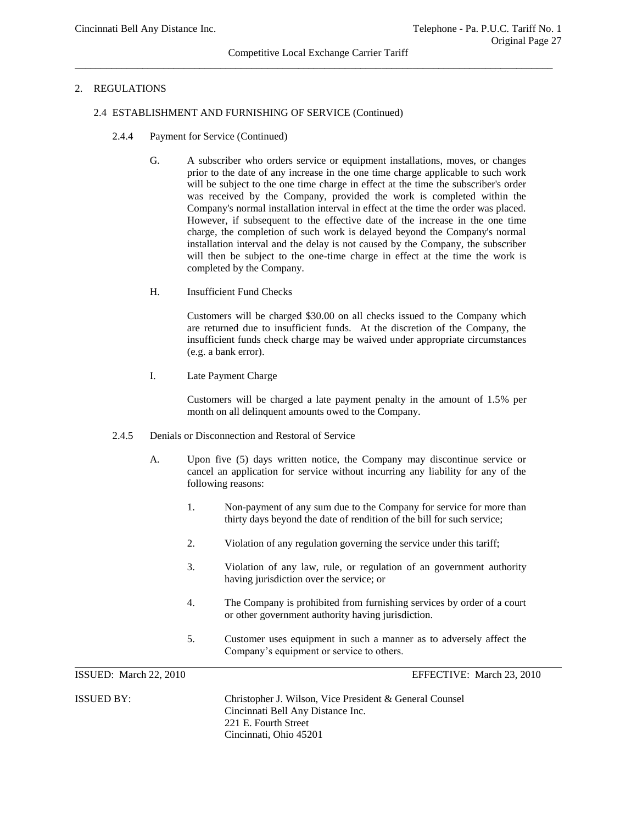## Competitive Local Exchange Carrier Tariff  $\overline{a_1}$  ,  $\overline{a_2}$  ,  $\overline{a_3}$  ,  $\overline{a_4}$  ,  $\overline{a_5}$  ,  $\overline{a_6}$  ,  $\overline{a_7}$  ,  $\overline{a_8}$  ,  $\overline{a_9}$  ,  $\overline{a_9}$  ,  $\overline{a_9}$  ,  $\overline{a_9}$  ,  $\overline{a_9}$  ,  $\overline{a_9}$  ,  $\overline{a_9}$  ,  $\overline{a_9}$  ,  $\overline{a_9}$  ,

## 2. REGULATIONS

#### 2.4 ESTABLISHMENT AND FURNISHING OF SERVICE (Continued)

- 2.4.4 Payment for Service (Continued)
	- G. A subscriber who orders service or equipment installations, moves, or changes prior to the date of any increase in the one time charge applicable to such work will be subject to the one time charge in effect at the time the subscriber's order was received by the Company, provided the work is completed within the Company's normal installation interval in effect at the time the order was placed. However, if subsequent to the effective date of the increase in the one time charge, the completion of such work is delayed beyond the Company's normal installation interval and the delay is not caused by the Company, the subscriber will then be subject to the one-time charge in effect at the time the work is completed by the Company.
	- H. Insufficient Fund Checks

Customers will be charged \$30.00 on all checks issued to the Company which are returned due to insufficient funds. At the discretion of the Company, the insufficient funds check charge may be waived under appropriate circumstances (e.g. a bank error).

I. Late Payment Charge

Customers will be charged a late payment penalty in the amount of 1.5% per month on all delinquent amounts owed to the Company.

- 2.4.5 Denials or Disconnection and Restoral of Service
	- A. Upon five (5) days written notice, the Company may discontinue service or cancel an application for service without incurring any liability for any of the following reasons:
		- 1. Non-payment of any sum due to the Company for service for more than thirty days beyond the date of rendition of the bill for such service;
		- 2. Violation of any regulation governing the service under this tariff;
		- 3. Violation of any law, rule, or regulation of an government authority having jurisdiction over the service; or
		- 4. The Company is prohibited from furnishing services by order of a court or other government authority having jurisdiction.
		- 5. Customer uses equipment in such a manner as to adversely affect the Company's equipment or service to others.

ISSUED: March 22, 2010 EFFECTIVE: March 23, 2010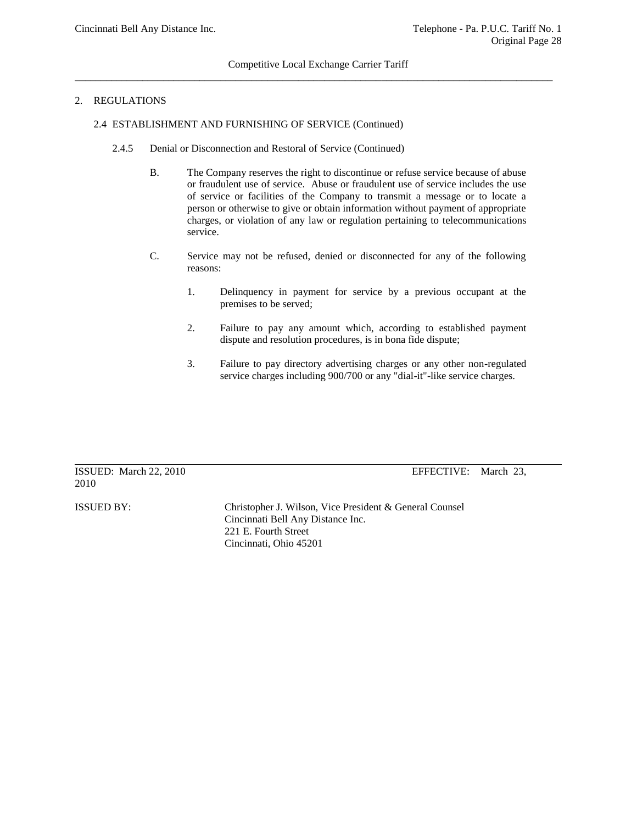## 2. REGULATIONS

#### 2.4 ESTABLISHMENT AND FURNISHING OF SERVICE (Continued)

- 2.4.5 Denial or Disconnection and Restoral of Service (Continued)
	- B. The Company reserves the right to discontinue or refuse service because of abuse or fraudulent use of service. Abuse or fraudulent use of service includes the use of service or facilities of the Company to transmit a message or to locate a person or otherwise to give or obtain information without payment of appropriate charges, or violation of any law or regulation pertaining to telecommunications service.
	- C. Service may not be refused, denied or disconnected for any of the following reasons:
		- 1. Delinquency in payment for service by a previous occupant at the premises to be served;
		- 2. Failure to pay any amount which, according to established payment dispute and resolution procedures, is in bona fide dispute;
		- 3. Failure to pay directory advertising charges or any other non-regulated service charges including 900/700 or any "dial-it"-like service charges.

|      | ISSUED: March 22, 2010 |  |
|------|------------------------|--|
| 2010 |                        |  |

EFFECTIVE: March 23,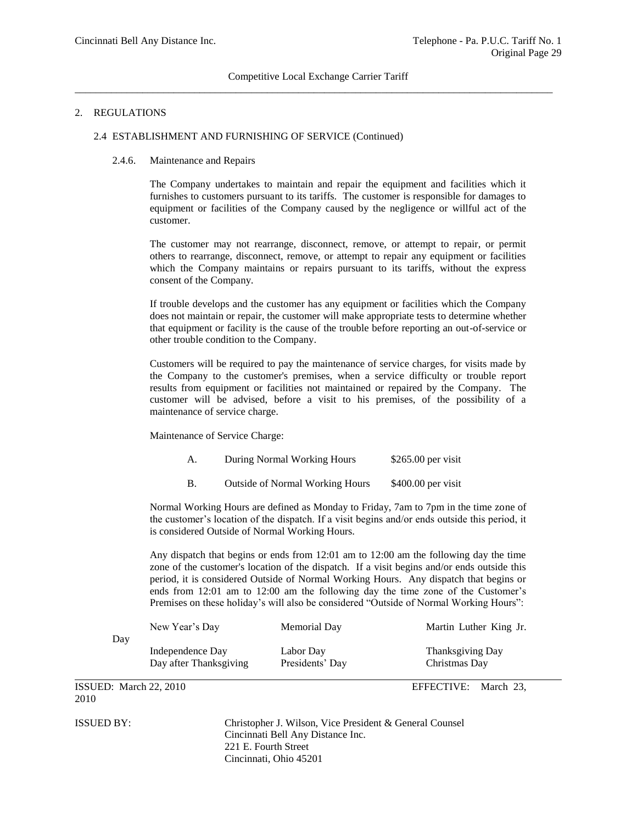#### 2.4 ESTABLISHMENT AND FURNISHING OF SERVICE (Continued)

#### 2.4.6. Maintenance and Repairs

The Company undertakes to maintain and repair the equipment and facilities which it furnishes to customers pursuant to its tariffs. The customer is responsible for damages to equipment or facilities of the Company caused by the negligence or willful act of the customer.

The customer may not rearrange, disconnect, remove, or attempt to repair, or permit others to rearrange, disconnect, remove, or attempt to repair any equipment or facilities which the Company maintains or repairs pursuant to its tariffs, without the express consent of the Company.

If trouble develops and the customer has any equipment or facilities which the Company does not maintain or repair, the customer will make appropriate tests to determine whether that equipment or facility is the cause of the trouble before reporting an out-of-service or other trouble condition to the Company.

Customers will be required to pay the maintenance of service charges, for visits made by the Company to the customer's premises, when a service difficulty or trouble report results from equipment or facilities not maintained or repaired by the Company. The customer will be advised, before a visit to his premises, of the possibility of a maintenance of service charge.

Maintenance of Service Charge:

| A. | During Normal Working Hours            | $$265.00$ per visit |
|----|----------------------------------------|---------------------|
|    | <b>Outside of Normal Working Hours</b> | $$400.00$ per visit |

Normal Working Hours are defined as Monday to Friday, 7am to 7pm in the time zone of the customer's location of the dispatch. If a visit begins and/or ends outside this period, it is considered Outside of Normal Working Hours.

Any dispatch that begins or ends from 12:01 am to 12:00 am the following day the time zone of the customer's location of the dispatch. If a visit begins and/or ends outside this period, it is considered Outside of Normal Working Hours. Any dispatch that begins or ends from 12:01 am to 12:00 am the following day the time zone of the Customer's Premises on these holiday's will also be considered "Outside of Normal Working Hours":

| Day | New Year's Day                             | Memorial Day                 | Martin Luther King Jr.            |
|-----|--------------------------------------------|------------------------------|-----------------------------------|
|     | Independence Day<br>Day after Thanksgiving | Labor Day<br>Presidents' Day | Thanksgiving Day<br>Christmas Day |

ISSUED: March 22, 2010 EFFECTIVE: March 23, 2010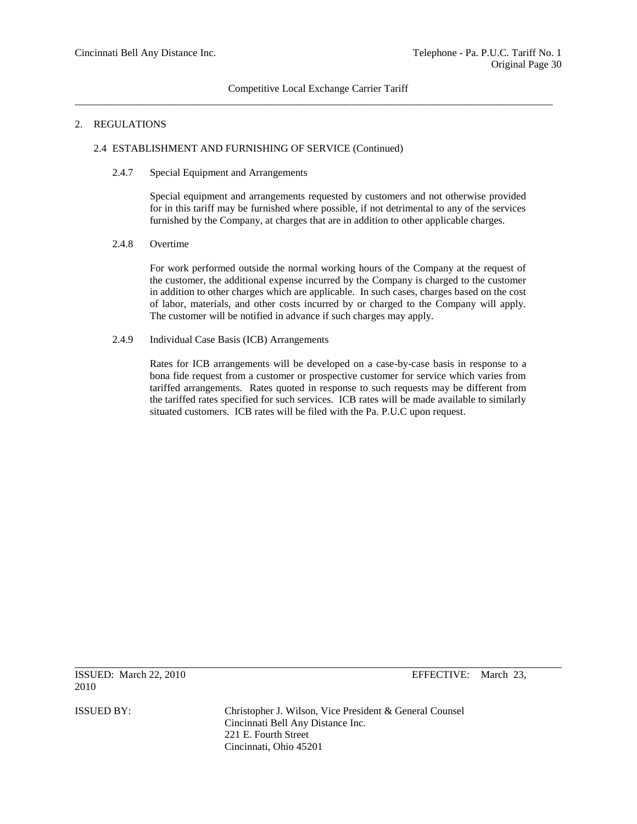## 2.4 ESTABLISHMENT AND FURNISHING OF SERVICE (Continued)

#### 2.4.7 Special Equipment and Arrangements

Special equipment and arrangements requested by customers and not otherwise provided for in this tariff may be furnished where possible, if not detrimental to any of the services furnished by the Company, at charges that are in addition to other applicable charges.

#### 2.4.8 Overtime

For work performed outside the normal working hours of the Company at the request of the customer, the additional expense incurred by the Company is charged to the customer in addition to other charges which are applicable. In such cases, charges based on the cost of labor, materials, and other costs incurred by or charged to the Company will apply. The customer will be notified in advance if such charges may apply.

#### 2.4.9 Individual Case Basis (ICB) Arrangements

Rates for ICB arrangements will be developed on a case-by-case basis in response to a bona fide request from a customer or prospective customer for service which varies from tariffed arrangements. Rates quoted in response to such requests may be different from the tariffed rates specified for such services. ICB rates will be made available to similarly situated customers. ICB rates will be filed with the Pa. P.U.C upon request.

ISSUED: March 22, 2010 EFFECTIVE: March 23, 2010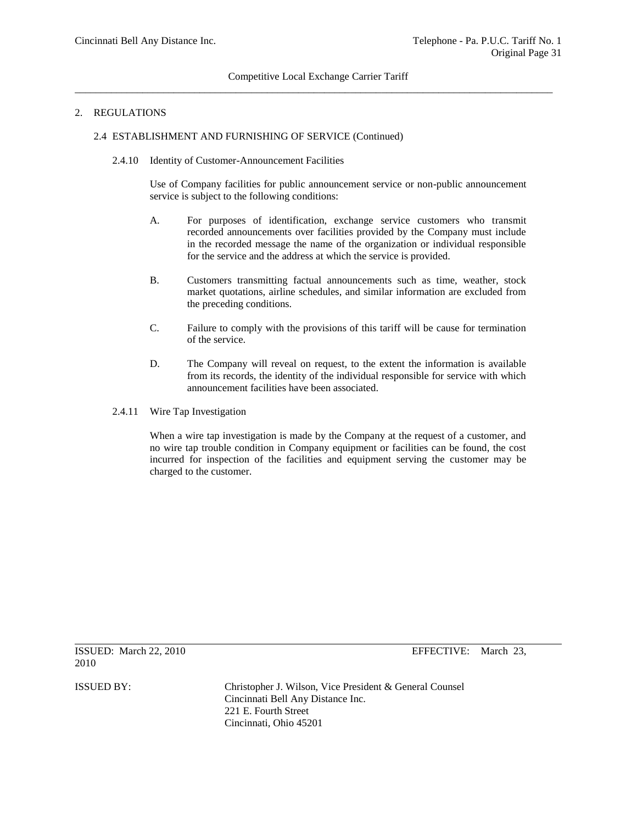#### 2.4 ESTABLISHMENT AND FURNISHING OF SERVICE (Continued)

2.4.10 Identity of Customer-Announcement Facilities

Use of Company facilities for public announcement service or non-public announcement service is subject to the following conditions:

- A. For purposes of identification, exchange service customers who transmit recorded announcements over facilities provided by the Company must include in the recorded message the name of the organization or individual responsible for the service and the address at which the service is provided.
- B. Customers transmitting factual announcements such as time, weather, stock market quotations, airline schedules, and similar information are excluded from the preceding conditions.
- C. Failure to comply with the provisions of this tariff will be cause for termination of the service.
- D. The Company will reveal on request, to the extent the information is available from its records, the identity of the individual responsible for service with which announcement facilities have been associated.
- 2.4.11 Wire Tap Investigation

When a wire tap investigation is made by the Company at the request of a customer, and no wire tap trouble condition in Company equipment or facilities can be found, the cost incurred for inspection of the facilities and equipment serving the customer may be charged to the customer.

ISSUED: March 22, 2010 EFFECTIVE: March 23, 2010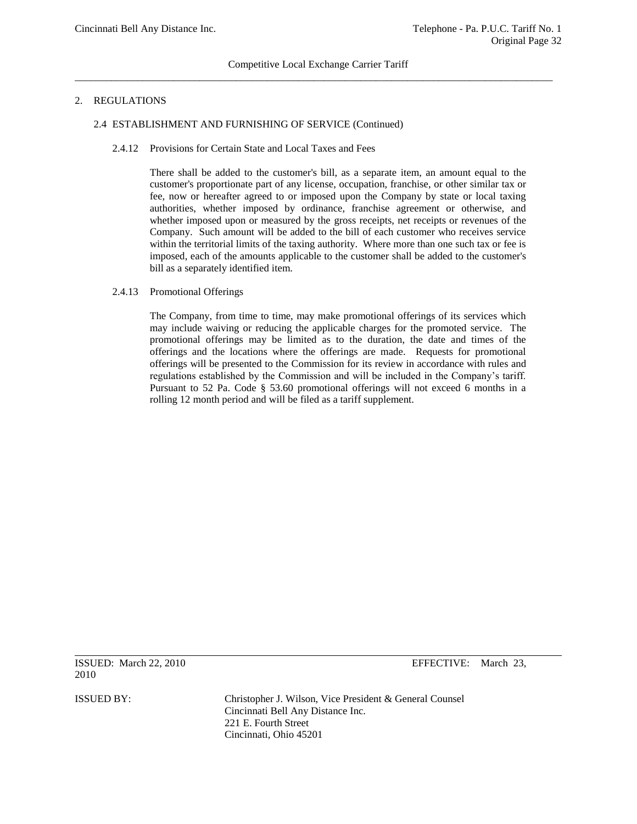## 2. REGULATIONS

## 2.4 ESTABLISHMENT AND FURNISHING OF SERVICE (Continued)

2.4.12 Provisions for Certain State and Local Taxes and Fees

There shall be added to the customer's bill, as a separate item, an amount equal to the customer's proportionate part of any license, occupation, franchise, or other similar tax or fee, now or hereafter agreed to or imposed upon the Company by state or local taxing authorities, whether imposed by ordinance, franchise agreement or otherwise, and whether imposed upon or measured by the gross receipts, net receipts or revenues of the Company. Such amount will be added to the bill of each customer who receives service within the territorial limits of the taxing authority. Where more than one such tax or fee is imposed, each of the amounts applicable to the customer shall be added to the customer's bill as a separately identified item.

## 2.4.13 Promotional Offerings

The Company, from time to time, may make promotional offerings of its services which may include waiving or reducing the applicable charges for the promoted service. The promotional offerings may be limited as to the duration, the date and times of the offerings and the locations where the offerings are made. Requests for promotional offerings will be presented to the Commission for its review in accordance with rules and regulations established by the Commission and will be included in the Company's tariff. Pursuant to 52 Pa. Code § 53.60 promotional offerings will not exceed 6 months in a rolling 12 month period and will be filed as a tariff supplement.

ISSUED: March 22, 2010 EFFECTIVE: March 23, 2010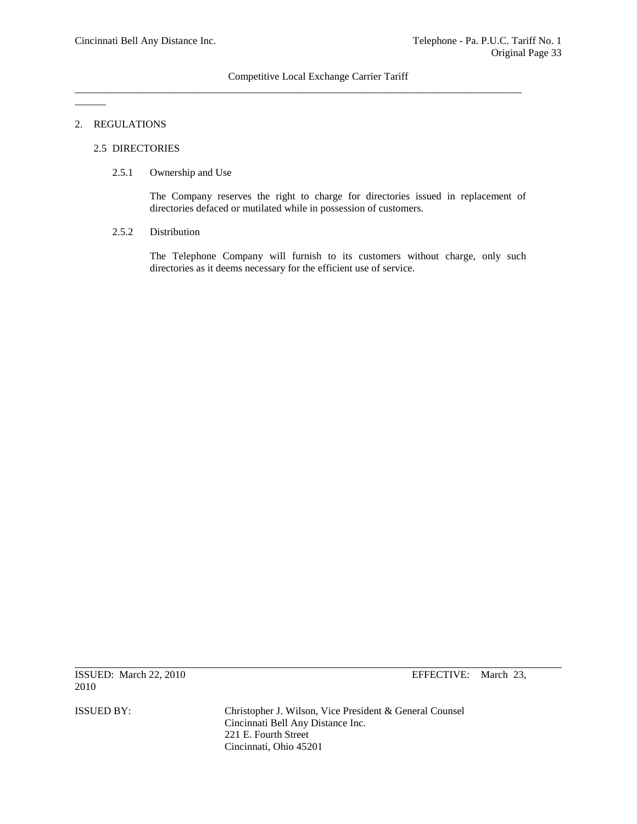\_\_\_\_\_\_\_\_\_\_\_\_\_\_\_\_\_\_\_\_\_\_\_\_\_\_\_\_\_\_\_\_\_\_\_\_\_\_\_\_\_\_\_\_\_\_\_\_\_\_\_\_\_\_\_\_\_\_\_\_\_\_\_\_\_\_\_\_\_\_\_\_\_\_\_\_\_\_\_\_\_\_\_\_\_\_

#### 2. REGULATIONS

 $\overline{\phantom{a}}$ 

## 2.5 DIRECTORIES

## 2.5.1 Ownership and Use

The Company reserves the right to charge for directories issued in replacement of directories defaced or mutilated while in possession of customers.

## 2.5.2 Distribution

The Telephone Company will furnish to its customers without charge, only such directories as it deems necessary for the efficient use of service.

ISSUED: March 22, 2010 EFFECTIVE: March 23, 2010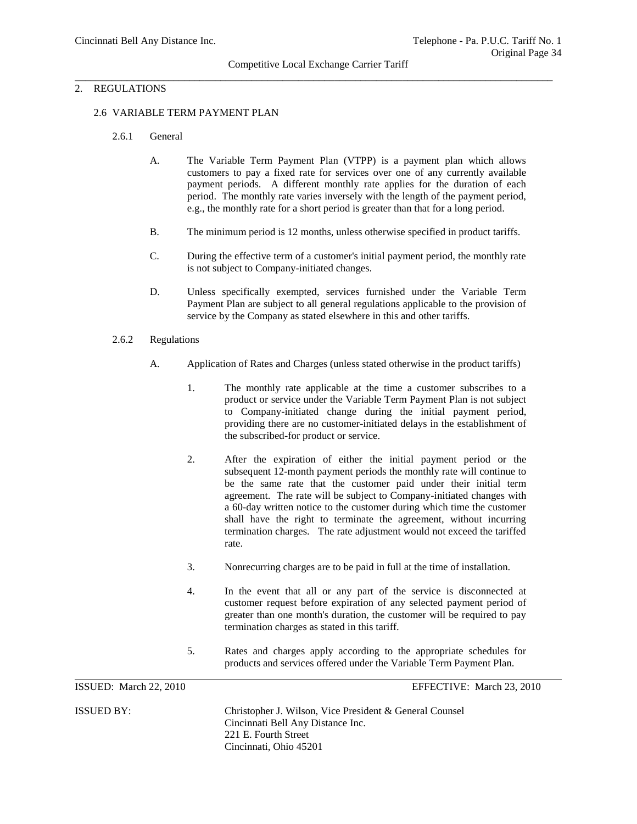#### 2.6 VARIABLE TERM PAYMENT PLAN

- 2.6.1 General
	- A. The Variable Term Payment Plan (VTPP) is a payment plan which allows customers to pay a fixed rate for services over one of any currently available payment periods. A different monthly rate applies for the duration of each period. The monthly rate varies inversely with the length of the payment period, e.g., the monthly rate for a short period is greater than that for a long period.
	- B. The minimum period is 12 months, unless otherwise specified in product tariffs.
	- C. During the effective term of a customer's initial payment period, the monthly rate is not subject to Company-initiated changes.
	- D. Unless specifically exempted, services furnished under the Variable Term Payment Plan are subject to all general regulations applicable to the provision of service by the Company as stated elsewhere in this and other tariffs.
- 2.6.2 Regulations
	- A. Application of Rates and Charges (unless stated otherwise in the product tariffs)
		- 1. The monthly rate applicable at the time a customer subscribes to a product or service under the Variable Term Payment Plan is not subject to Company-initiated change during the initial payment period, providing there are no customer-initiated delays in the establishment of the subscribed-for product or service.
		- 2. After the expiration of either the initial payment period or the subsequent 12-month payment periods the monthly rate will continue to be the same rate that the customer paid under their initial term agreement. The rate will be subject to Company-initiated changes with a 60-day written notice to the customer during which time the customer shall have the right to terminate the agreement, without incurring termination charges. The rate adjustment would not exceed the tariffed rate.
		- 3. Nonrecurring charges are to be paid in full at the time of installation.
		- 4. In the event that all or any part of the service is disconnected at customer request before expiration of any selected payment period of greater than one month's duration, the customer will be required to pay termination charges as stated in this tariff.
		- 5. Rates and charges apply according to the appropriate schedules for products and services offered under the Variable Term Payment Plan.

ISSUED: March 22, 2010 EFFECTIVE: March 23, 2010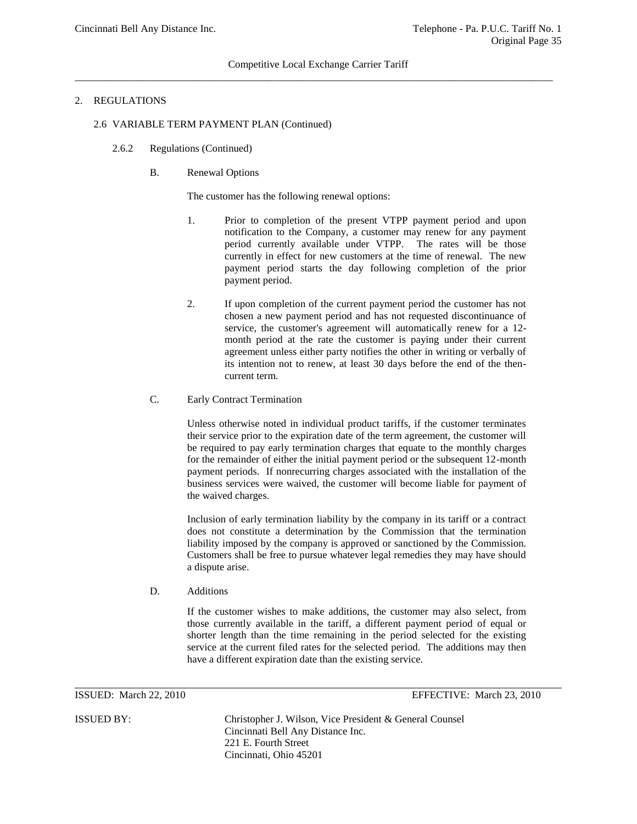## Competitive Local Exchange Carrier Tariff  $\overline{a}$  , and the contribution of the contribution of the contribution of the contribution of the contribution of the contribution of the contribution of the contribution of the contribution of the contribution of the co

## 2. REGULATIONS

## 2.6 VARIABLE TERM PAYMENT PLAN (Continued)

- 2.6.2 Regulations (Continued)
	- B. Renewal Options

The customer has the following renewal options:

- 1. Prior to completion of the present VTPP payment period and upon notification to the Company, a customer may renew for any payment period currently available under VTPP. The rates will be those currently in effect for new customers at the time of renewal. The new payment period starts the day following completion of the prior payment period.
- 2. If upon completion of the current payment period the customer has not chosen a new payment period and has not requested discontinuance of service, the customer's agreement will automatically renew for a 12 month period at the rate the customer is paying under their current agreement unless either party notifies the other in writing or verbally of its intention not to renew, at least 30 days before the end of the thencurrent term.
- C. Early Contract Termination

Unless otherwise noted in individual product tariffs, if the customer terminates their service prior to the expiration date of the term agreement, the customer will be required to pay early termination charges that equate to the monthly charges for the remainder of either the initial payment period or the subsequent 12-month payment periods. If nonrecurring charges associated with the installation of the business services were waived, the customer will become liable for payment of the waived charges.

Inclusion of early termination liability by the company in its tariff or a contract does not constitute a determination by the Commission that the termination liability imposed by the company is approved or sanctioned by the Commission. Customers shall be free to pursue whatever legal remedies they may have should a dispute arise.

D. Additions

If the customer wishes to make additions, the customer may also select, from those currently available in the tariff, a different payment period of equal or shorter length than the time remaining in the period selected for the existing service at the current filed rates for the selected period. The additions may then have a different expiration date than the existing service.

ISSUED: March 22, 2010 EFFECTIVE: March 23, 2010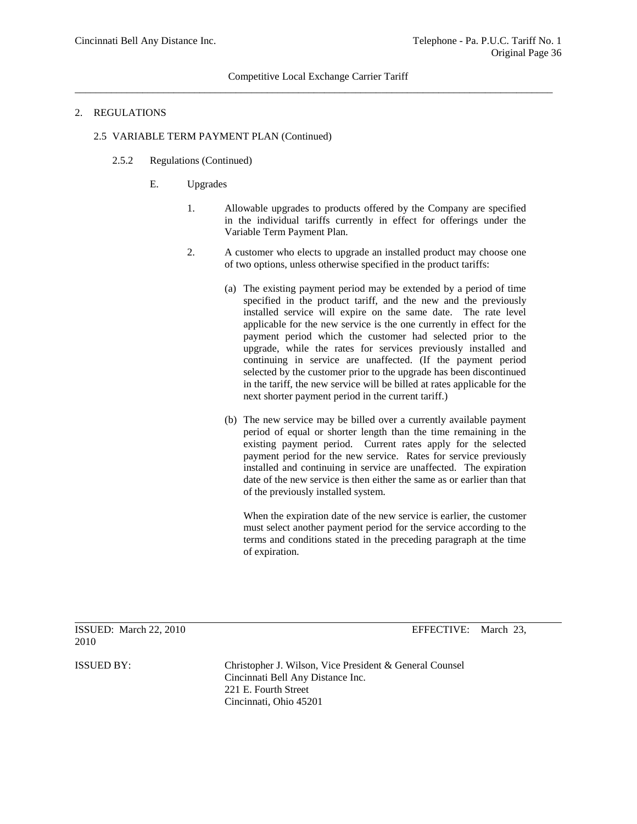#### 2. REGULATIONS

## 2.5 VARIABLE TERM PAYMENT PLAN (Continued)

- 2.5.2 Regulations (Continued)
	- E. Upgrades
		- 1. Allowable upgrades to products offered by the Company are specified in the individual tariffs currently in effect for offerings under the Variable Term Payment Plan.
		- 2. A customer who elects to upgrade an installed product may choose one of two options, unless otherwise specified in the product tariffs:
			- (a) The existing payment period may be extended by a period of time specified in the product tariff, and the new and the previously installed service will expire on the same date. The rate level applicable for the new service is the one currently in effect for the payment period which the customer had selected prior to the upgrade, while the rates for services previously installed and continuing in service are unaffected. (If the payment period selected by the customer prior to the upgrade has been discontinued in the tariff, the new service will be billed at rates applicable for the next shorter payment period in the current tariff.)
			- (b) The new service may be billed over a currently available payment period of equal or shorter length than the time remaining in the existing payment period. Current rates apply for the selected payment period for the new service. Rates for service previously installed and continuing in service are unaffected. The expiration date of the new service is then either the same as or earlier than that of the previously installed system.

When the expiration date of the new service is earlier, the customer must select another payment period for the service according to the terms and conditions stated in the preceding paragraph at the time of expiration.

2010

ISSUED: March 22, 2010 EFFECTIVE: March 23,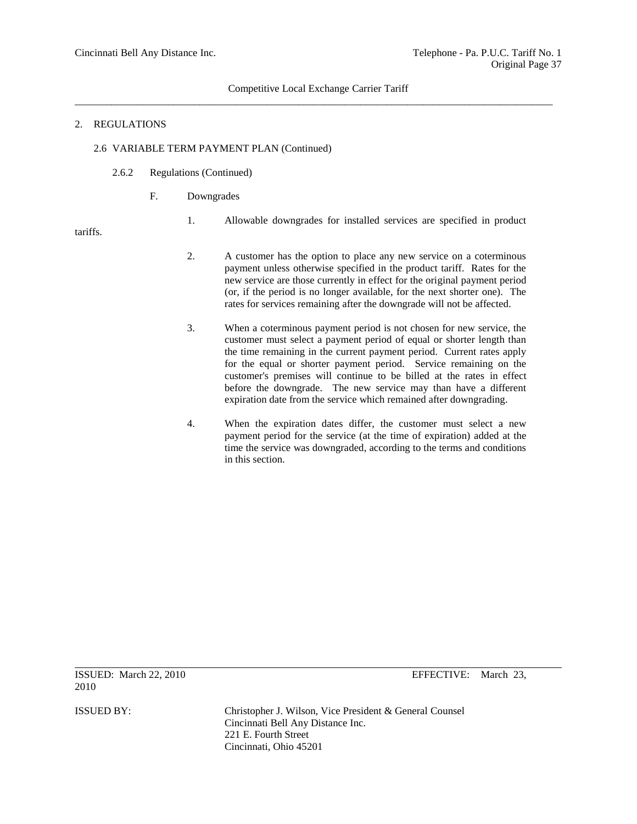## Competitive Local Exchange Carrier Tariff \_\_\_\_\_\_\_\_\_\_\_\_\_\_\_\_\_\_\_\_\_\_\_\_\_\_\_\_\_\_\_\_\_\_\_\_\_\_\_\_\_\_\_\_\_\_\_\_\_\_\_\_\_\_\_\_\_\_\_\_\_\_\_\_\_\_\_\_\_\_\_\_\_\_\_\_\_\_\_\_\_\_\_\_\_\_\_\_\_\_\_\_

#### 2. REGULATIONS

# 2.6 VARIABLE TERM PAYMENT PLAN (Continued)

- 2.6.2 Regulations (Continued)
	- F. Downgrades
		- 1. Allowable downgrades for installed services are specified in product

tariffs.

- 2. A customer has the option to place any new service on a coterminous payment unless otherwise specified in the product tariff. Rates for the new service are those currently in effect for the original payment period (or, if the period is no longer available, for the next shorter one). The rates for services remaining after the downgrade will not be affected.
- 3. When a coterminous payment period is not chosen for new service, the customer must select a payment period of equal or shorter length than the time remaining in the current payment period. Current rates apply for the equal or shorter payment period. Service remaining on the customer's premises will continue to be billed at the rates in effect before the downgrade. The new service may than have a different expiration date from the service which remained after downgrading.
- 4. When the expiration dates differ, the customer must select a new payment period for the service (at the time of expiration) added at the time the service was downgraded, according to the terms and conditions in this section.

ISSUED: March 22, 2010 EFFECTIVE: March 23, 2010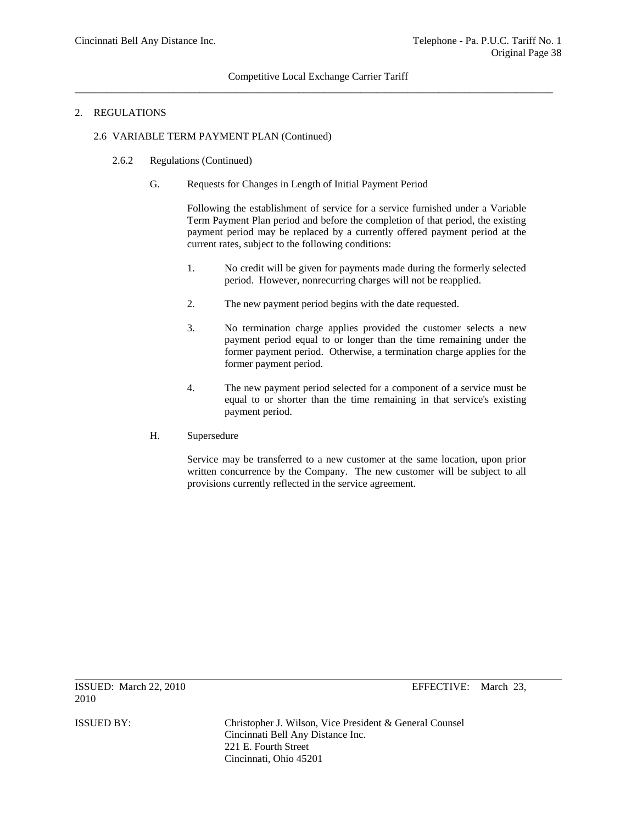## Competitive Local Exchange Carrier Tariff  $\overline{a}$  , and the contribution of the contribution of the contribution of the contribution of the contribution of the contribution of the contribution of the contribution of the contribution of the contribution of the co

#### 2. REGULATIONS

## 2.6 VARIABLE TERM PAYMENT PLAN (Continued)

- 2.6.2 Regulations (Continued)
	- G. Requests for Changes in Length of Initial Payment Period

Following the establishment of service for a service furnished under a Variable Term Payment Plan period and before the completion of that period, the existing payment period may be replaced by a currently offered payment period at the current rates, subject to the following conditions:

- 1. No credit will be given for payments made during the formerly selected period. However, nonrecurring charges will not be reapplied.
- 2. The new payment period begins with the date requested.
- 3. No termination charge applies provided the customer selects a new payment period equal to or longer than the time remaining under the former payment period. Otherwise, a termination charge applies for the former payment period.
- 4. The new payment period selected for a component of a service must be equal to or shorter than the time remaining in that service's existing payment period.
- H. Supersedure

Service may be transferred to a new customer at the same location, upon prior written concurrence by the Company. The new customer will be subject to all provisions currently reflected in the service agreement.

ISSUED: March 22, 2010 EFFECTIVE: March 23,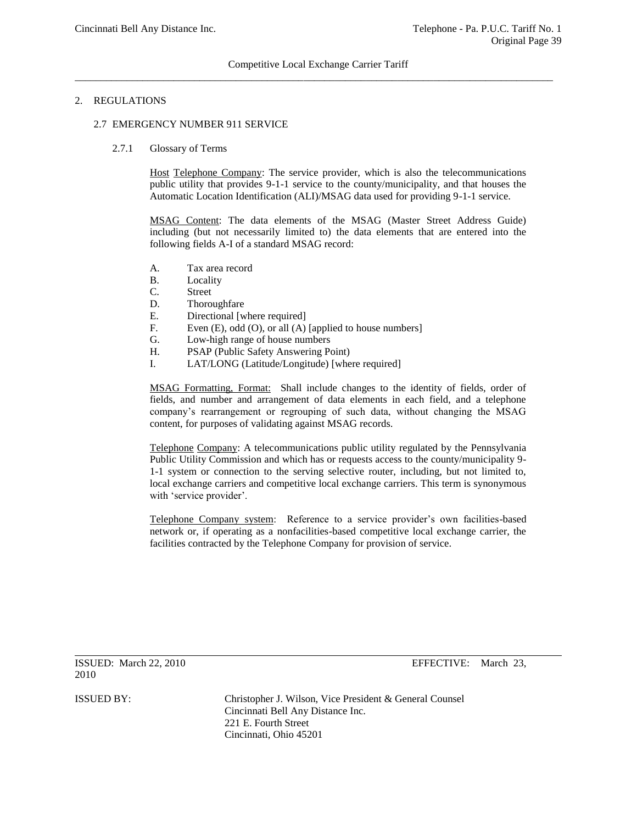### Competitive Local Exchange Carrier Tariff  $\overline{a}$  , and the contribution of the contribution of the contribution of the contribution of the contribution of the contribution of the contribution of the contribution of the contribution of the contribution of the co

## 2. REGULATIONS

#### 2.7 EMERGENCY NUMBER 911 SERVICE

#### 2.7.1 Glossary of Terms

Host Telephone Company: The service provider, which is also the telecommunications public utility that provides 9-1-1 service to the county/municipality, and that houses the Automatic Location Identification (ALI)/MSAG data used for providing 9-1-1 service.

MSAG Content: The data elements of the MSAG (Master Street Address Guide) including (but not necessarily limited to) the data elements that are entered into the following fields A-I of a standard MSAG record:

- A. Tax area record
- B. Locality
- C. Street
- D. Thoroughfare
- E. Directional [where required]
- F. Even (E), odd (O), or all (A) [applied to house numbers]
- G. Low-high range of house numbers
- H. PSAP (Public Safety Answering Point)
- I. LAT/LONG (Latitude/Longitude) [where required]

MSAG Formatting, Format: Shall include changes to the identity of fields, order of fields, and number and arrangement of data elements in each field, and a telephone company's rearrangement or regrouping of such data, without changing the MSAG content, for purposes of validating against MSAG records.

Telephone Company: A telecommunications public utility regulated by the Pennsylvania Public Utility Commission and which has or requests access to the county/municipality 9- 1-1 system or connection to the serving selective router, including, but not limited to, local exchange carriers and competitive local exchange carriers. This term is synonymous with 'service provider'.

Telephone Company system: Reference to a service provider's own facilities-based network or, if operating as a nonfacilities-based competitive local exchange carrier, the facilities contracted by the Telephone Company for provision of service.

ISSUED: March 22, 2010 EFFECTIVE: March 23, 2010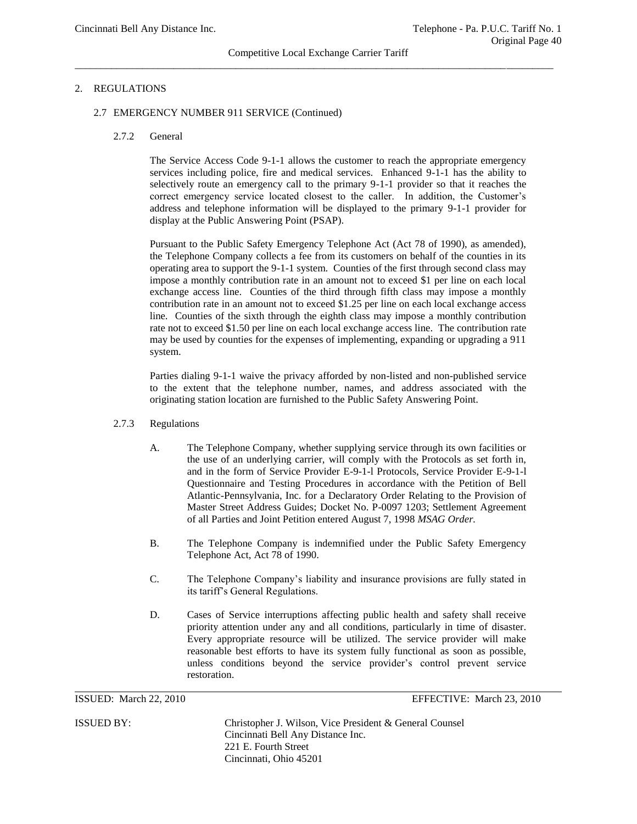#### Competitive Local Exchange Carrier Tariff \_\_\_\_\_\_\_\_\_\_\_\_\_\_\_\_\_\_\_\_\_\_\_\_\_\_\_\_\_\_\_\_\_\_\_\_\_\_\_\_\_\_\_\_\_\_\_\_\_\_\_\_\_\_\_\_\_\_\_\_\_\_\_\_\_\_\_\_\_\_\_\_\_\_\_\_\_\_\_\_\_\_\_\_\_\_\_\_\_\_\_\_

# 2. REGULATIONS

#### 2.7 EMERGENCY NUMBER 911 SERVICE (Continued)

#### 2.7.2 General

The Service Access Code 9-1-1 allows the customer to reach the appropriate emergency services including police, fire and medical services. Enhanced 9-1-1 has the ability to selectively route an emergency call to the primary 9-1-1 provider so that it reaches the correct emergency service located closest to the caller. In addition, the Customer's address and telephone information will be displayed to the primary 9-1-1 provider for display at the Public Answering Point (PSAP).

Pursuant to the Public Safety Emergency Telephone Act (Act 78 of 1990), as amended), the Telephone Company collects a fee from its customers on behalf of the counties in its operating area to support the 9-1-1 system. Counties of the first through second class may impose a monthly contribution rate in an amount not to exceed \$1 per line on each local exchange access line. Counties of the third through fifth class may impose a monthly contribution rate in an amount not to exceed \$1.25 per line on each local exchange access line. Counties of the sixth through the eighth class may impose a monthly contribution rate not to exceed \$1.50 per line on each local exchange access line. The contribution rate may be used by counties for the expenses of implementing, expanding or upgrading a 911 system.

Parties dialing 9-1-1 waive the privacy afforded by non-listed and non-published service to the extent that the telephone number, names, and address associated with the originating station location are furnished to the Public Safety Answering Point.

#### 2.7.3 Regulations

- A. The Telephone Company, whether supplying service through its own facilities or the use of an underlying carrier, will comply with the Protocols as set forth in, and in the form of Service Provider E-9-1-l Protocols, Service Provider E-9-1-l Questionnaire and Testing Procedures in accordance with the Petition of Bell Atlantic-Pennsylvania, Inc. for a Declaratory Order Relating to the Provision of Master Street Address Guides; Docket No. P-0097 1203; Settlement Agreement of all Parties and Joint Petition entered August 7, 1998 *MSAG Order.*
- B. The Telephone Company is indemnified under the Public Safety Emergency Telephone Act, Act 78 of 1990.
- C. The Telephone Company's liability and insurance provisions are fully stated in its tariff's General Regulations.
- D. Cases of Service interruptions affecting public health and safety shall receive priority attention under any and all conditions, particularly in time of disaster. Every appropriate resource will be utilized. The service provider will make reasonable best efforts to have its system fully functional as soon as possible, unless conditions beyond the service provider's control prevent service restoration.

ISSUED: March 22, 2010 EFFECTIVE: March 23, 2010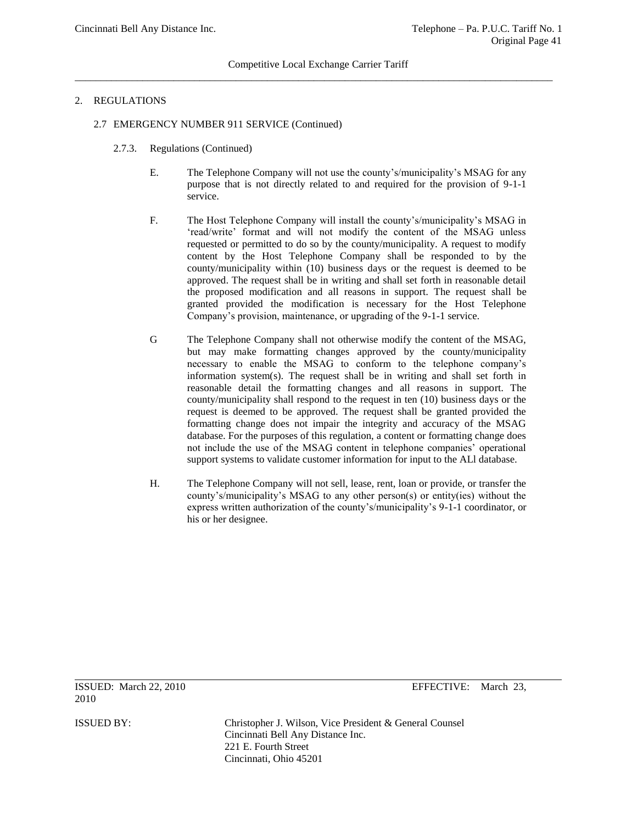# 2. REGULATIONS

- 2.7 EMERGENCY NUMBER 911 SERVICE (Continued)
	- 2.7.3. Regulations (Continued)
		- E. The Telephone Company will not use the county's/municipality's MSAG for any purpose that is not directly related to and required for the provision of 9-1-1 service.
		- F. The Host Telephone Company will install the county's/municipality's MSAG in 'read/write' format and will not modify the content of the MSAG unless requested or permitted to do so by the county/municipality. A request to modify content by the Host Telephone Company shall be responded to by the county/municipality within (10) business days or the request is deemed to be approved. The request shall be in writing and shall set forth in reasonable detail the proposed modification and all reasons in support. The request shall be granted provided the modification is necessary for the Host Telephone Company's provision, maintenance, or upgrading of the 9-1-1 service.
		- G The Telephone Company shall not otherwise modify the content of the MSAG, but may make formatting changes approved by the county/municipality necessary to enable the MSAG to conform to the telephone company's information system(s). The request shall be in writing and shall set forth in reasonable detail the formatting changes and all reasons in support. The county/municipality shall respond to the request in ten (10) business days or the request is deemed to be approved. The request shall be granted provided the formatting change does not impair the integrity and accuracy of the MSAG database. For the purposes of this regulation, a content or formatting change does not include the use of the MSAG content in telephone companies' operational support systems to validate customer information for input to the ALl database.
		- H. The Telephone Company will not sell, lease, rent, loan or provide, or transfer the county's/municipality's MSAG to any other person(s) or entity(ies) without the express written authorization of the county's/municipality's 9-1-1 coordinator, or his or her designee.

2010

ISSUED: March 22, 2010 EFFECTIVE: March 23,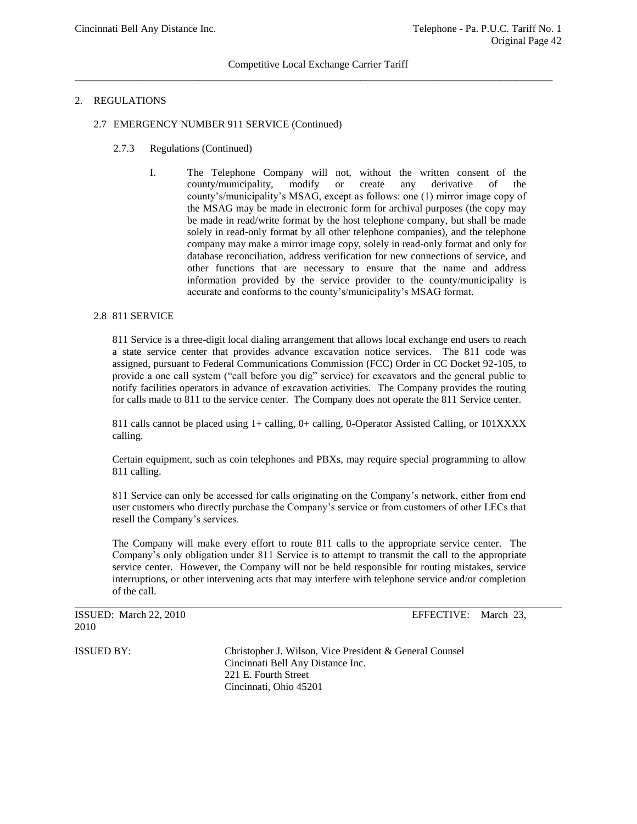## 2. REGULATIONS

- 2.7 EMERGENCY NUMBER 911 SERVICE (Continued)
	- 2.7.3 Regulations (Continued)
		- I. The Telephone Company will not, without the written consent of the county/municipality, modify or create any derivative of the county's/municipality's MSAG, except as follows: one (1) mirror image copy of the MSAG may be made in electronic form for archival purposes (the copy may be made in read/write format by the host telephone company, but shall be made solely in read-only format by all other telephone companies), and the telephone company may make a mirror image copy, solely in read-only format and only for database reconciliation, address verification for new connections of service, and other functions that are necessary to ensure that the name and address information provided by the service provider to the county/municipality is accurate and conforms to the county's/municipality's MSAG format.

#### 2.8 811 SERVICE

811 Service is a three-digit local dialing arrangement that allows local exchange end users to reach a state service center that provides advance excavation notice services. The 811 code was assigned, pursuant to Federal Communications Commission (FCC) Order in CC Docket 92-105, to provide a one call system ("call before you dig" service) for excavators and the general public to notify facilities operators in advance of excavation activities. The Company provides the routing for calls made to 811 to the service center. The Company does not operate the 811 Service center.

811 calls cannot be placed using 1+ calling, 0+ calling, 0-Operator Assisted Calling, or 101XXXX calling.

Certain equipment, such as coin telephones and PBXs, may require special programming to allow 811 calling.

811 Service can only be accessed for calls originating on the Company's network, either from end user customers who directly purchase the Company's service or from customers of other LECs that resell the Company's services.

The Company will make every effort to route 811 calls to the appropriate service center. The Company's only obligation under 811 Service is to attempt to transmit the call to the appropriate service center. However, the Company will not be held responsible for routing mistakes, service interruptions, or other intervening acts that may interfere with telephone service and/or completion of the call.

ISSUED: March 22, 2010 EFFECTIVE: March 23, 2010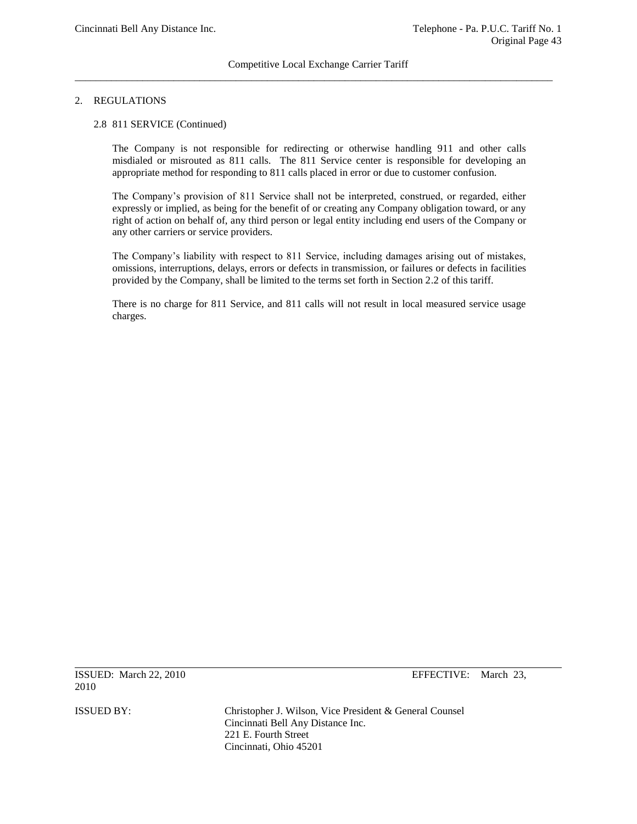# 2. REGULATIONS

#### 2.8 811 SERVICE (Continued)

The Company is not responsible for redirecting or otherwise handling 911 and other calls misdialed or misrouted as 811 calls. The 811 Service center is responsible for developing an appropriate method for responding to 811 calls placed in error or due to customer confusion.

The Company's provision of 811 Service shall not be interpreted, construed, or regarded, either expressly or implied, as being for the benefit of or creating any Company obligation toward, or any right of action on behalf of, any third person or legal entity including end users of the Company or any other carriers or service providers.

The Company's liability with respect to 811 Service, including damages arising out of mistakes, omissions, interruptions, delays, errors or defects in transmission, or failures or defects in facilities provided by the Company, shall be limited to the terms set forth in Section 2.2 of this tariff.

There is no charge for 811 Service, and 811 calls will not result in local measured service usage charges.

ISSUED: March 22, 2010 EFFECTIVE: March 23, 2010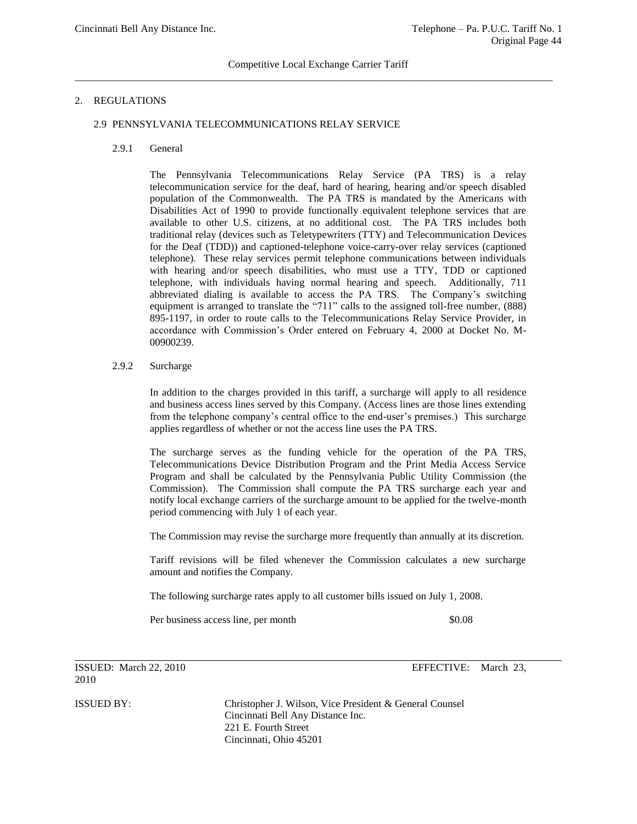## 2. REGULATIONS

#### 2.9 PENNSYLVANIA TELECOMMUNICATIONS RELAY SERVICE

2.9.1 General

The Pennsylvania Telecommunications Relay Service (PA TRS) is a relay telecommunication service for the deaf, hard of hearing, hearing and/or speech disabled population of the Commonwealth. The PA TRS is mandated by the Americans with Disabilities Act of 1990 to provide functionally equivalent telephone services that are available to other U.S. citizens, at no additional cost. The PA TRS includes both traditional relay (devices such as Teletypewriters (TTY) and Telecommunication Devices for the Deaf (TDD)) and captioned-telephone voice-carry-over relay services (captioned telephone). These relay services permit telephone communications between individuals with hearing and/or speech disabilities, who must use a TTY, TDD or captioned telephone, with individuals having normal hearing and speech. Additionally, 711 abbreviated dialing is available to access the PA TRS. The Company's switching equipment is arranged to translate the "711" calls to the assigned toll-free number, (888) 895-1197, in order to route calls to the Telecommunications Relay Service Provider, in accordance with Commission's Order entered on February 4, 2000 at Docket No. M-00900239.

# 2.9.2 Surcharge

In addition to the charges provided in this tariff, a surcharge will apply to all residence and business access lines served by this Company. (Access lines are those lines extending from the telephone company's central office to the end-user's premises.) This surcharge applies regardless of whether or not the access line uses the PA TRS.

The surcharge serves as the funding vehicle for the operation of the PA TRS, Telecommunications Device Distribution Program and the Print Media Access Service Program and shall be calculated by the Pennsylvania Public Utility Commission (the Commission). The Commission shall compute the PA TRS surcharge each year and notify local exchange carriers of the surcharge amount to be applied for the twelve-month period commencing with July 1 of each year.

The Commission may revise the surcharge more frequently than annually at its discretion.

Tariff revisions will be filed whenever the Commission calculates a new surcharge amount and notifies the Company.

The following surcharge rates apply to all customer bills issued on July 1, 2008.

Per business access line, per month  $$0.08$ 

ISSUED: March 22, 2010 EFFECTIVE: March 23, 2010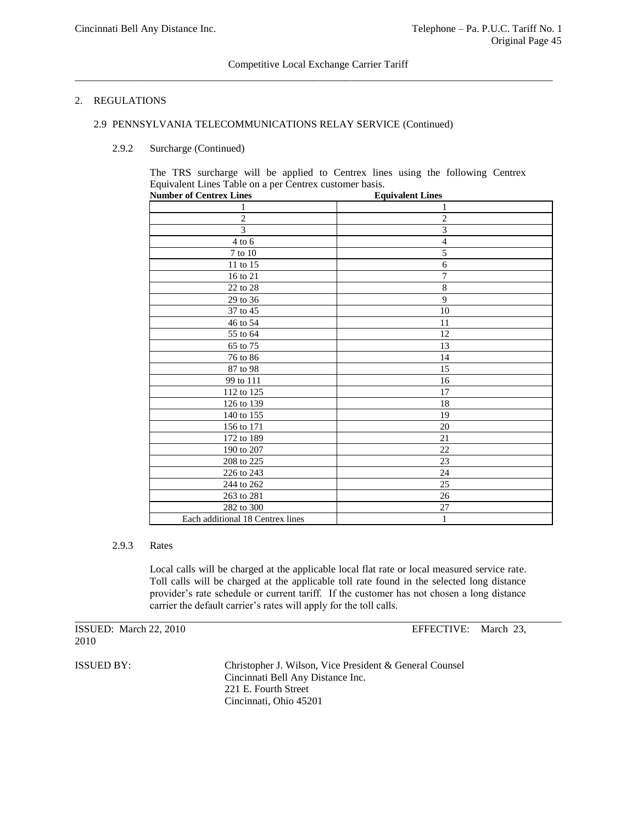# 2. REGULATIONS

#### 2.9 PENNSYLVANIA TELECOMMUNICATIONS RELAY SERVICE (Continued)

2.9.2 Surcharge (Continued)

The TRS surcharge will be applied to Centrex lines using the following Centrex Equivalent Lines Table on a per Centrex customer basis.

| <b>Number of Centrex Lines</b>   | <b>Equivalent Lines</b> |
|----------------------------------|-------------------------|
|                                  | 1                       |
| $\mathbf{2}$                     | $\overline{c}$          |
| $\overline{3}$                   | 3                       |
| $4$ to $6\,$                     | $\overline{4}$          |
| $7$ to $10\,$                    | 5                       |
| 11 to 15                         | 6                       |
| 16 to 21                         | $\overline{7}$          |
| 22 to 28                         | $\,$ 8 $\,$             |
| 29 to 36                         | 9                       |
| 37 to 45                         | 10                      |
| 46 to 54                         | 11                      |
| 55 to 64                         | 12                      |
| 65 to 75                         | 13                      |
| 76 to 86                         | 14                      |
| 87 to 98                         | 15                      |
| 99 to 111                        | 16                      |
| 112 to 125                       | 17                      |
| 126 to 139                       | 18                      |
| 140 to 155                       | 19                      |
| 156 to 171                       | 20                      |
| 172 to 189                       | 21                      |
| 190 to 207                       | 22                      |
| 208 to 225                       | 23                      |
| 226 to 243                       | 24                      |
| 244 to 262                       | 25                      |
| 263 to 281                       | 26                      |
| 282 to 300                       | $27\,$                  |
| Each additional 18 Centrex lines | $\mathbf{1}$            |

#### 2.9.3 Rates

Local calls will be charged at the applicable local flat rate or local measured service rate. Toll calls will be charged at the applicable toll rate found in the selected long distance provider's rate schedule or current tariff. If the customer has not chosen a long distance carrier the default carrier's rates will apply for the toll calls.

|      | ISSUED: March 22, 2010 |  |
|------|------------------------|--|
| 2010 |                        |  |

EFFECTIVE: March 23,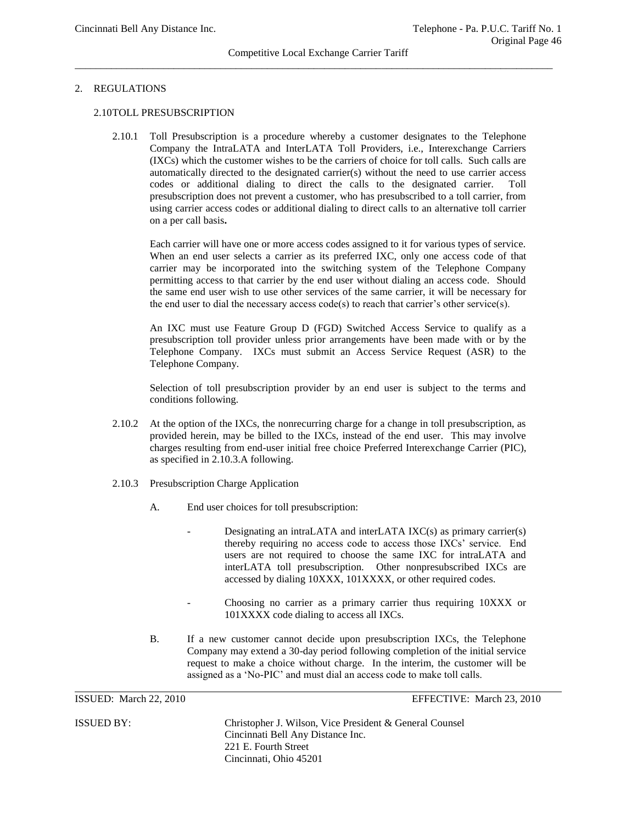#### Competitive Local Exchange Carrier Tariff \_\_\_\_\_\_\_\_\_\_\_\_\_\_\_\_\_\_\_\_\_\_\_\_\_\_\_\_\_\_\_\_\_\_\_\_\_\_\_\_\_\_\_\_\_\_\_\_\_\_\_\_\_\_\_\_\_\_\_\_\_\_\_\_\_\_\_\_\_\_\_\_\_\_\_\_\_\_\_\_\_\_\_\_\_\_\_\_\_\_\_\_

## 2. REGULATIONS

## 2.10TOLL PRESUBSCRIPTION

2.10.1 Toll Presubscription is a procedure whereby a customer designates to the Telephone Company the IntraLATA and InterLATA Toll Providers, i.e., Interexchange Carriers (IXCs) which the customer wishes to be the carriers of choice for toll calls. Such calls are automatically directed to the designated carrier(s) without the need to use carrier access codes or additional dialing to direct the calls to the designated carrier. Toll presubscription does not prevent a customer, who has presubscribed to a toll carrier, from using carrier access codes or additional dialing to direct calls to an alternative toll carrier on a per call basis**.**

Each carrier will have one or more access codes assigned to it for various types of service. When an end user selects a carrier as its preferred IXC, only one access code of that carrier may be incorporated into the switching system of the Telephone Company permitting access to that carrier by the end user without dialing an access code. Should the same end user wish to use other services of the same carrier, it will be necessary for the end user to dial the necessary access code(s) to reach that carrier's other service(s).

An IXC must use Feature Group D (FGD) Switched Access Service to qualify as a presubscription toll provider unless prior arrangements have been made with or by the Telephone Company. IXCs must submit an Access Service Request (ASR) to the Telephone Company.

Selection of toll presubscription provider by an end user is subject to the terms and conditions following.

- 2.10.2 At the option of the IXCs, the nonrecurring charge for a change in toll presubscription, as provided herein, may be billed to the IXCs, instead of the end user. This may involve charges resulting from end-user initial free choice Preferred Interexchange Carrier (PIC), as specified in 2.10.3.A following.
- 2.10.3 Presubscription Charge Application
	- A. End user choices for toll presubscription:
		- Designating an intraLATA and interLATA IXC(s) as primary carrier(s) thereby requiring no access code to access those IXCs' service. End users are not required to choose the same IXC for intraLATA and interLATA toll presubscription. Other nonpresubscribed IXCs are accessed by dialing 10XXX, 101XXXX, or other required codes.
		- Choosing no carrier as a primary carrier thus requiring  $10XXX$  or 101XXXX code dialing to access all IXCs.
	- B. If a new customer cannot decide upon presubscription IXCs, the Telephone Company may extend a 30-day period following completion of the initial service request to make a choice without charge. In the interim, the customer will be assigned as a 'No-PIC' and must dial an access code to make toll calls.

ISSUED: March 22, 2010 EFFECTIVE: March 23, 2010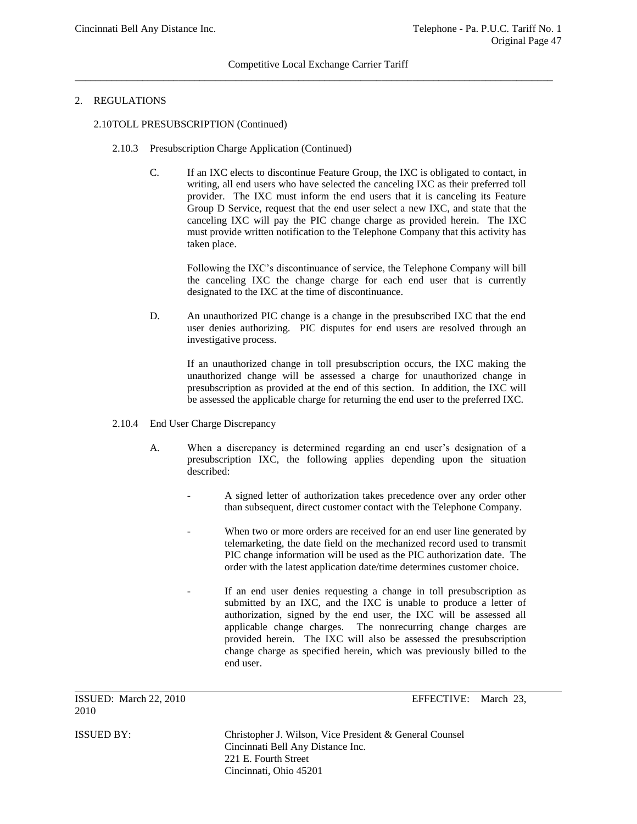## Competitive Local Exchange Carrier Tariff  $\overline{a}$  , and the contribution of the contribution of the contribution of the contribution of the contribution of the contribution of the contribution of the contribution of the contribution of the contribution of the co

# 2. REGULATIONS

## 2.10TOLL PRESUBSCRIPTION (Continued)

- 2.10.3 Presubscription Charge Application (Continued)
	- C. If an IXC elects to discontinue Feature Group, the IXC is obligated to contact, in writing, all end users who have selected the canceling IXC as their preferred toll provider. The IXC must inform the end users that it is canceling its Feature Group D Service, request that the end user select a new IXC, and state that the canceling IXC will pay the PIC change charge as provided herein. The IXC must provide written notification to the Telephone Company that this activity has taken place.

Following the IXC's discontinuance of service, the Telephone Company will bill the canceling IXC the change charge for each end user that is currently designated to the IXC at the time of discontinuance.

D. An unauthorized PIC change is a change in the presubscribed IXC that the end user denies authorizing. PIC disputes for end users are resolved through an investigative process.

If an unauthorized change in toll presubscription occurs, the IXC making the unauthorized change will be assessed a charge for unauthorized change in presubscription as provided at the end of this section. In addition, the IXC will be assessed the applicable charge for returning the end user to the preferred IXC.

- 2.10.4 End User Charge Discrepancy
	- A. When a discrepancy is determined regarding an end user's designation of a presubscription IXC, the following applies depending upon the situation described:
		- A signed letter of authorization takes precedence over any order other than subsequent, direct customer contact with the Telephone Company.
		- When two or more orders are received for an end user line generated by telemarketing, the date field on the mechanized record used to transmit PIC change information will be used as the PIC authorization date. The order with the latest application date/time determines customer choice.
		- If an end user denies requesting a change in toll presubscription as submitted by an IXC, and the IXC is unable to produce a letter of authorization, signed by the end user, the IXC will be assessed all applicable change charges. The nonrecurring change charges are provided herein. The IXC will also be assessed the presubscription change charge as specified herein, which was previously billed to the end user.

ISSUED: March 22, 2010 EFFECTIVE: March 23,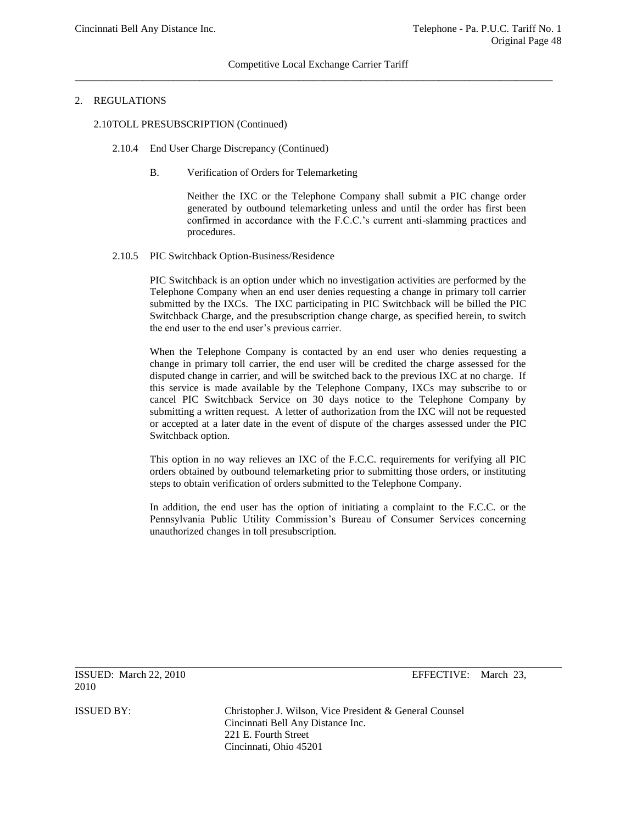## 2. REGULATIONS

#### 2.10TOLL PRESUBSCRIPTION (Continued)

- 2.10.4 End User Charge Discrepancy (Continued)
	- B. Verification of Orders for Telemarketing

Neither the IXC or the Telephone Company shall submit a PIC change order generated by outbound telemarketing unless and until the order has first been confirmed in accordance with the F.C.C.'s current anti-slamming practices and procedures.

#### 2.10.5 PIC Switchback Option-Business/Residence

PIC Switchback is an option under which no investigation activities are performed by the Telephone Company when an end user denies requesting a change in primary toll carrier submitted by the IXCs. The IXC participating in PIC Switchback will be billed the PIC Switchback Charge, and the presubscription change charge, as specified herein, to switch the end user to the end user's previous carrier.

When the Telephone Company is contacted by an end user who denies requesting a change in primary toll carrier, the end user will be credited the charge assessed for the disputed change in carrier, and will be switched back to the previous IXC at no charge. If this service is made available by the Telephone Company, IXCs may subscribe to or cancel PIC Switchback Service on 30 days notice to the Telephone Company by submitting a written request. A letter of authorization from the IXC will not be requested or accepted at a later date in the event of dispute of the charges assessed under the PIC Switchback option.

This option in no way relieves an IXC of the F.C.C. requirements for verifying all PIC orders obtained by outbound telemarketing prior to submitting those orders, or instituting steps to obtain verification of orders submitted to the Telephone Company.

In addition, the end user has the option of initiating a complaint to the F.C.C. or the Pennsylvania Public Utility Commission's Bureau of Consumer Services concerning unauthorized changes in toll presubscription.

ISSUED: March 22, 2010 EFFECTIVE: March 23, 2010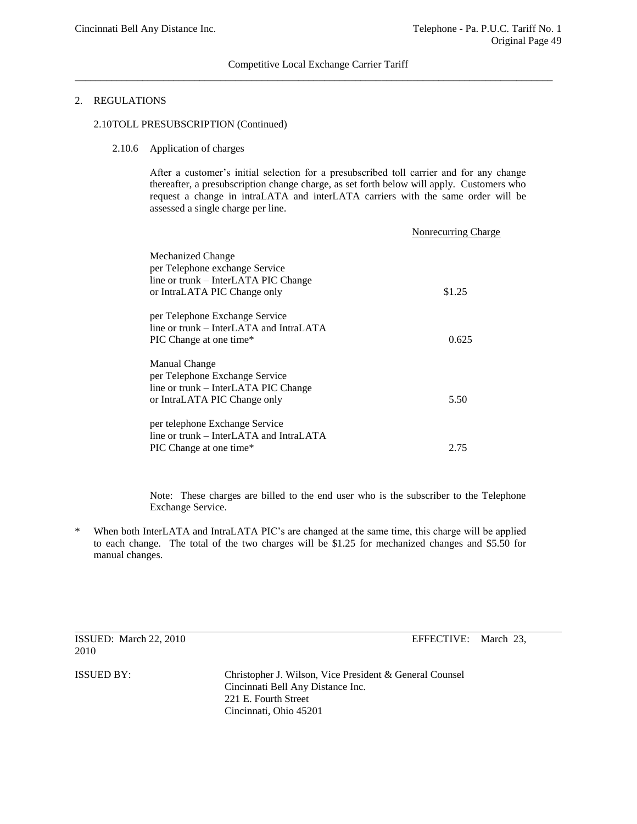### 2. REGULATIONS

## 2.10TOLL PRESUBSCRIPTION (Continued)

# 2.10.6 Application of charges

After a customer's initial selection for a presubscribed toll carrier and for any change thereafter, a presubscription change charge, as set forth below will apply. Customers who request a change in intraLATA and interLATA carriers with the same order will be assessed a single charge per line.

|                                         | Nonrecurring Charge |
|-----------------------------------------|---------------------|
| Mechanized Change                       |                     |
| per Telephone exchange Service          |                     |
| line or trunk – InterLATA PIC Change    |                     |
| or IntraLATA PIC Change only            | \$1.25              |
| per Telephone Exchange Service          |                     |
| line or trunk – InterLATA and IntraLATA |                     |
| PIC Change at one time*                 | 0.625               |
| Manual Change                           |                     |
| per Telephone Exchange Service          |                     |
| line or trunk – InterLATA PIC Change    |                     |
| or IntraLATA PIC Change only            | 5.50                |
| per telephone Exchange Service          |                     |
| line or trunk – InterLATA and IntraLATA |                     |
| PIC Change at one time*                 | 2.75                |

Note: These charges are billed to the end user who is the subscriber to the Telephone Exchange Service.

When both InterLATA and IntraLATA PIC's are changed at the same time, this charge will be applied to each change. The total of the two charges will be \$1.25 for mechanized changes and \$5.50 for manual changes.

2010

ISSUED: March 22, 2010 EFFECTIVE: March 23,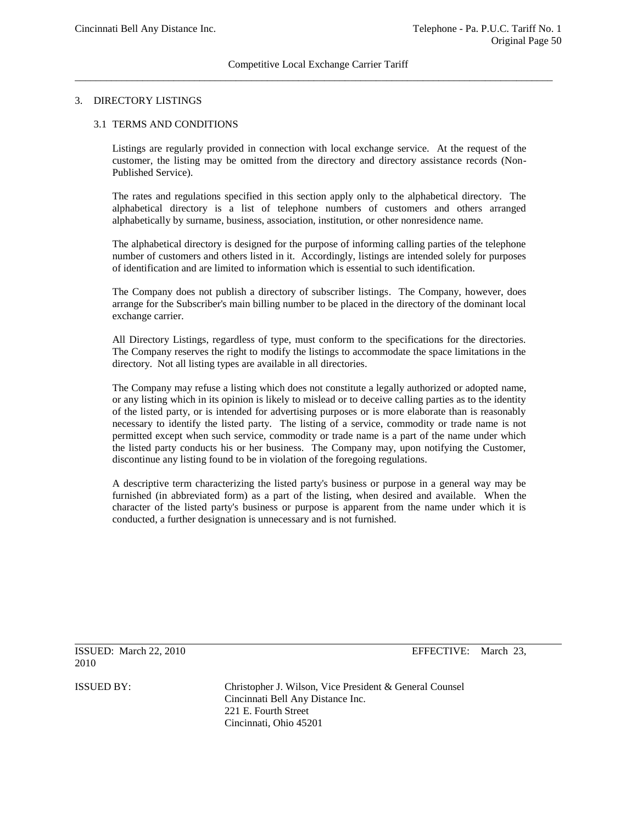### 3. DIRECTORY LISTINGS

#### 3.1 TERMS AND CONDITIONS

Listings are regularly provided in connection with local exchange service. At the request of the customer, the listing may be omitted from the directory and directory assistance records (Non-Published Service).

The rates and regulations specified in this section apply only to the alphabetical directory. The alphabetical directory is a list of telephone numbers of customers and others arranged alphabetically by surname, business, association, institution, or other nonresidence name.

The alphabetical directory is designed for the purpose of informing calling parties of the telephone number of customers and others listed in it. Accordingly, listings are intended solely for purposes of identification and are limited to information which is essential to such identification.

The Company does not publish a directory of subscriber listings. The Company, however, does arrange for the Subscriber's main billing number to be placed in the directory of the dominant local exchange carrier.

All Directory Listings, regardless of type, must conform to the specifications for the directories. The Company reserves the right to modify the listings to accommodate the space limitations in the directory. Not all listing types are available in all directories.

The Company may refuse a listing which does not constitute a legally authorized or adopted name, or any listing which in its opinion is likely to mislead or to deceive calling parties as to the identity of the listed party, or is intended for advertising purposes or is more elaborate than is reasonably necessary to identify the listed party. The listing of a service, commodity or trade name is not permitted except when such service, commodity or trade name is a part of the name under which the listed party conducts his or her business. The Company may, upon notifying the Customer, discontinue any listing found to be in violation of the foregoing regulations.

A descriptive term characterizing the listed party's business or purpose in a general way may be furnished (in abbreviated form) as a part of the listing, when desired and available. When the character of the listed party's business or purpose is apparent from the name under which it is conducted, a further designation is unnecessary and is not furnished.

ISSUED: March 22, 2010 EFFECTIVE: March 23, 2010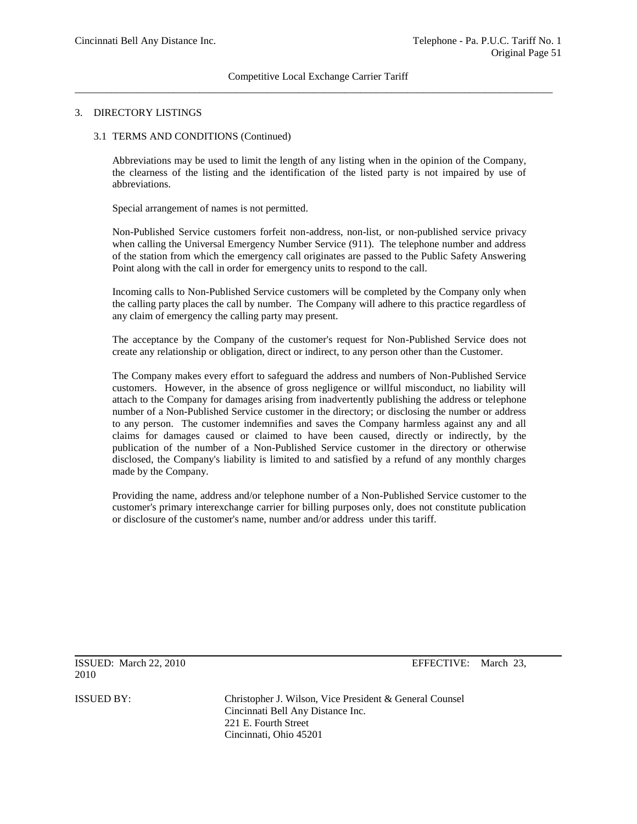#### 3. DIRECTORY LISTINGS

#### 3.1 TERMS AND CONDITIONS (Continued)

Abbreviations may be used to limit the length of any listing when in the opinion of the Company, the clearness of the listing and the identification of the listed party is not impaired by use of abbreviations.

Special arrangement of names is not permitted.

Non-Published Service customers forfeit non-address, non-list, or non-published service privacy when calling the Universal Emergency Number Service (911). The telephone number and address of the station from which the emergency call originates are passed to the Public Safety Answering Point along with the call in order for emergency units to respond to the call.

Incoming calls to Non-Published Service customers will be completed by the Company only when the calling party places the call by number. The Company will adhere to this practice regardless of any claim of emergency the calling party may present.

The acceptance by the Company of the customer's request for Non-Published Service does not create any relationship or obligation, direct or indirect, to any person other than the Customer.

The Company makes every effort to safeguard the address and numbers of Non-Published Service customers. However, in the absence of gross negligence or willful misconduct, no liability will attach to the Company for damages arising from inadvertently publishing the address or telephone number of a Non-Published Service customer in the directory; or disclosing the number or address to any person. The customer indemnifies and saves the Company harmless against any and all claims for damages caused or claimed to have been caused, directly or indirectly, by the publication of the number of a Non-Published Service customer in the directory or otherwise disclosed, the Company's liability is limited to and satisfied by a refund of any monthly charges made by the Company.

Providing the name, address and/or telephone number of a Non-Published Service customer to the customer's primary interexchange carrier for billing purposes only, does not constitute publication or disclosure of the customer's name, number and/or address under this tariff.

ISSUED: March 22, 2010 EFFECTIVE: March 23, 2010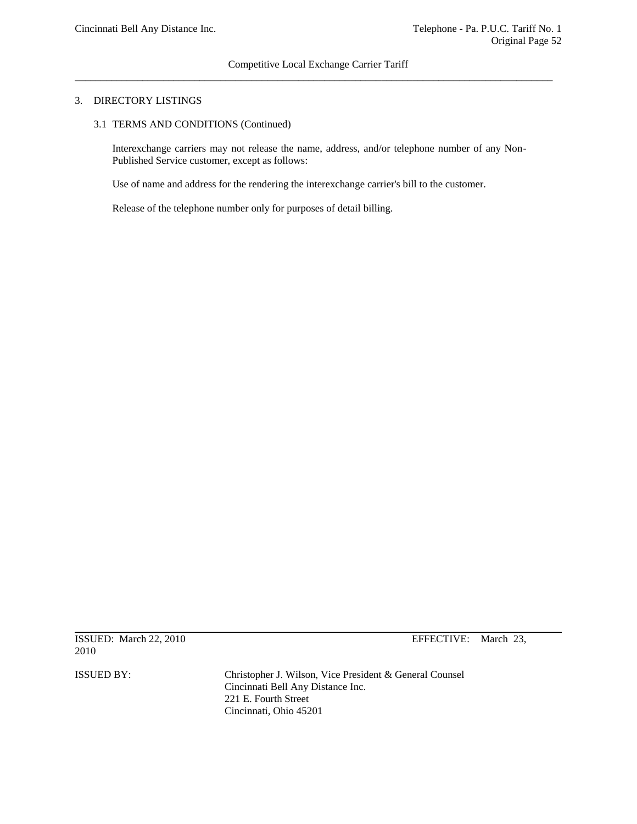## 3. DIRECTORY LISTINGS

3.1 TERMS AND CONDITIONS (Continued)

Interexchange carriers may not release the name, address, and/or telephone number of any Non-Published Service customer, except as follows:

Use of name and address for the rendering the interexchange carrier's bill to the customer.

Release of the telephone number only for purposes of detail billing.

ISSUED: March 22, 2010 EFFECTIVE: March 23, 2010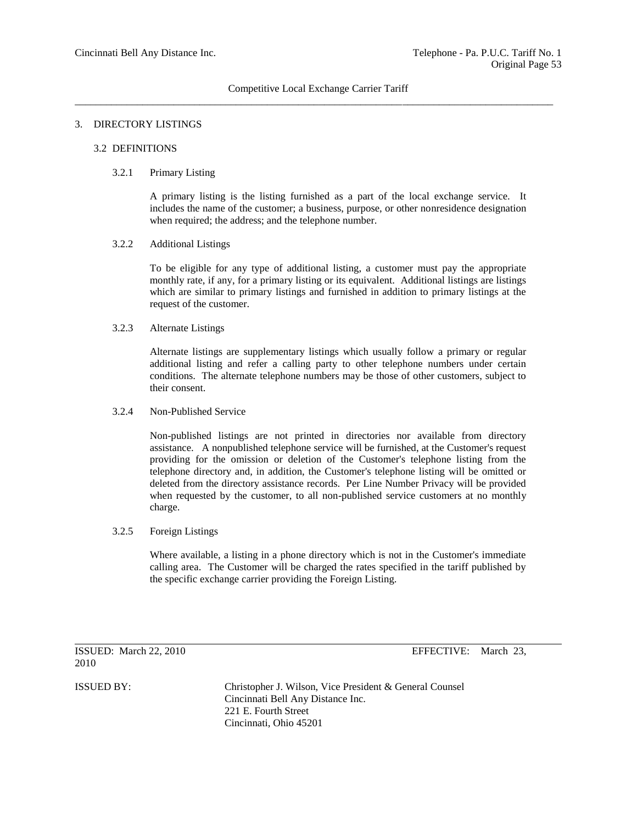## 3. DIRECTORY LISTINGS

## 3.2 DEFINITIONS

#### 3.2.1 Primary Listing

A primary listing is the listing furnished as a part of the local exchange service. It includes the name of the customer; a business, purpose, or other nonresidence designation when required; the address; and the telephone number.

#### 3.2.2 Additional Listings

To be eligible for any type of additional listing, a customer must pay the appropriate monthly rate, if any, for a primary listing or its equivalent. Additional listings are listings which are similar to primary listings and furnished in addition to primary listings at the request of the customer.

## 3.2.3 Alternate Listings

Alternate listings are supplementary listings which usually follow a primary or regular additional listing and refer a calling party to other telephone numbers under certain conditions. The alternate telephone numbers may be those of other customers, subject to their consent.

## 3.2.4 Non-Published Service

Non-published listings are not printed in directories nor available from directory assistance. A nonpublished telephone service will be furnished, at the Customer's request providing for the omission or deletion of the Customer's telephone listing from the telephone directory and, in addition, the Customer's telephone listing will be omitted or deleted from the directory assistance records. Per Line Number Privacy will be provided when requested by the customer, to all non-published service customers at no monthly charge.

#### 3.2.5 Foreign Listings

Where available, a listing in a phone directory which is not in the Customer's immediate calling area. The Customer will be charged the rates specified in the tariff published by the specific exchange carrier providing the Foreign Listing.

ISSUED: March 22, 2010 EFFECTIVE: March 23, 2010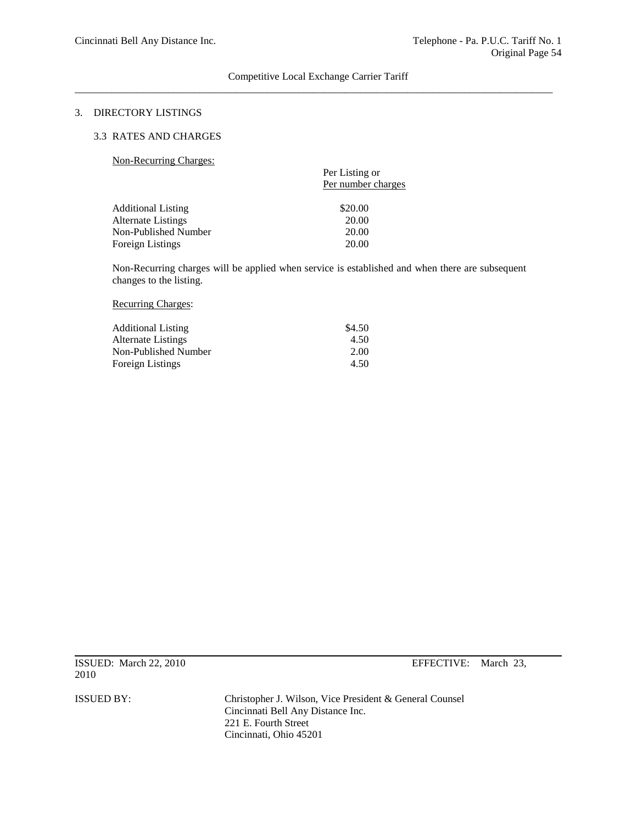### 3. DIRECTORY LISTINGS

#### 3.3 RATES AND CHARGES

Non-Recurring Charges:

| $1,0,1$ recentling enderly $\sim$ | Per Listing or<br>Per number charges |
|-----------------------------------|--------------------------------------|
| <b>Additional Listing</b>         | \$20.00                              |
| Alternate Listings                | 20.00                                |
| Non-Published Number              | 20.00                                |
| <b>Foreign Listings</b>           | 20.00                                |

Non-Recurring charges will be applied when service is established and when there are subsequent changes to the listing.

# Recurring Charges:

| \$4.50 |
|--------|
| 4.50   |
| 2.00   |
| 4.50   |
|        |

ISSUED: March 22, 2010 EFFECTIVE: March 23, 2010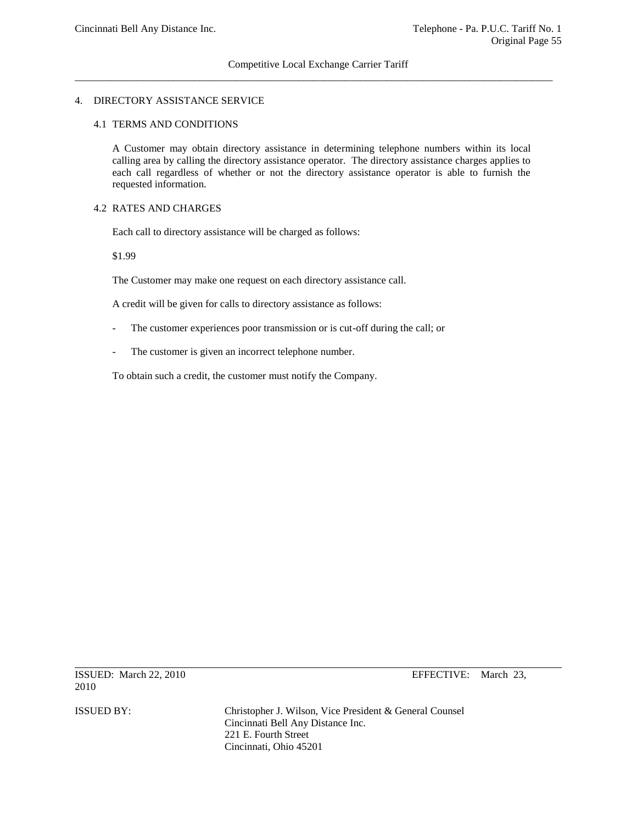## 4. DIRECTORY ASSISTANCE SERVICE

#### 4.1 TERMS AND CONDITIONS

A Customer may obtain directory assistance in determining telephone numbers within its local calling area by calling the directory assistance operator. The directory assistance charges applies to each call regardless of whether or not the directory assistance operator is able to furnish the requested information.

## 4.2 RATES AND CHARGES

Each call to directory assistance will be charged as follows:

\$1.99

The Customer may make one request on each directory assistance call.

A credit will be given for calls to directory assistance as follows:

- The customer experiences poor transmission or is cut-off during the call; or
- The customer is given an incorrect telephone number.

To obtain such a credit, the customer must notify the Company.

ISSUED: March 22, 2010 EFFECTIVE: March 23, 2010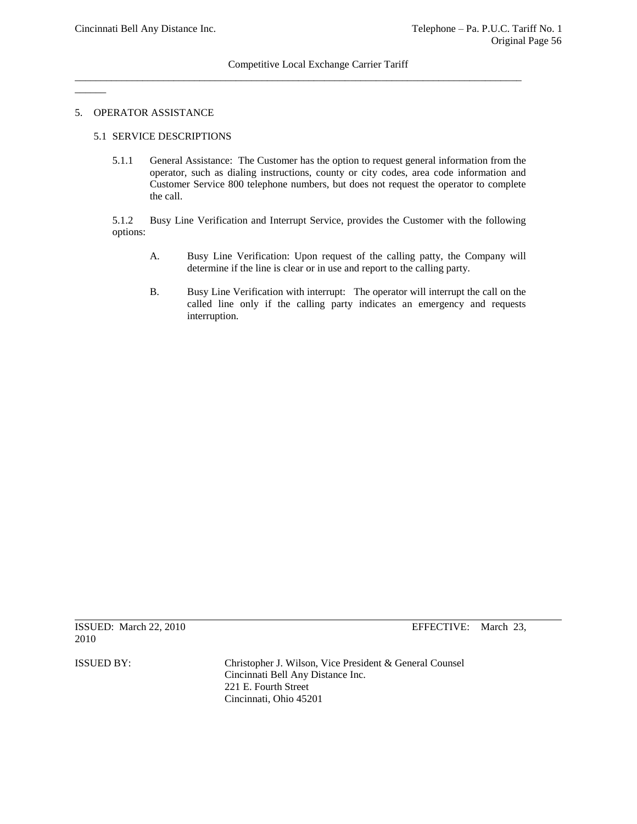# Competitive Local Exchange Carrier Tariff

\_\_\_\_\_\_\_\_\_\_\_\_\_\_\_\_\_\_\_\_\_\_\_\_\_\_\_\_\_\_\_\_\_\_\_\_\_\_\_\_\_\_\_\_\_\_\_\_\_\_\_\_\_\_\_\_\_\_\_\_\_\_\_\_\_\_\_\_\_\_\_\_\_\_\_\_\_\_\_\_\_\_\_\_\_\_

#### 5. OPERATOR ASSISTANCE

 $\overline{\phantom{a}}$ 

## 5.1 SERVICE DESCRIPTIONS

5.1.1 General Assistance: The Customer has the option to request general information from the operator, such as dialing instructions, county or city codes, area code information and Customer Service 800 telephone numbers, but does not request the operator to complete the call.

5.1.2 Busy Line Verification and Interrupt Service, provides the Customer with the following options:

- A. Busy Line Verification: Upon request of the calling patty, the Company will determine if the line is clear or in use and report to the calling party.
- B. Busy Line Verification with interrupt: The operator will interrupt the call on the called line only if the calling party indicates an emergency and requests interruption.

|      | ISSUED: March 22, 2010 |  |
|------|------------------------|--|
| 2010 |                        |  |

EFFECTIVE: March 23,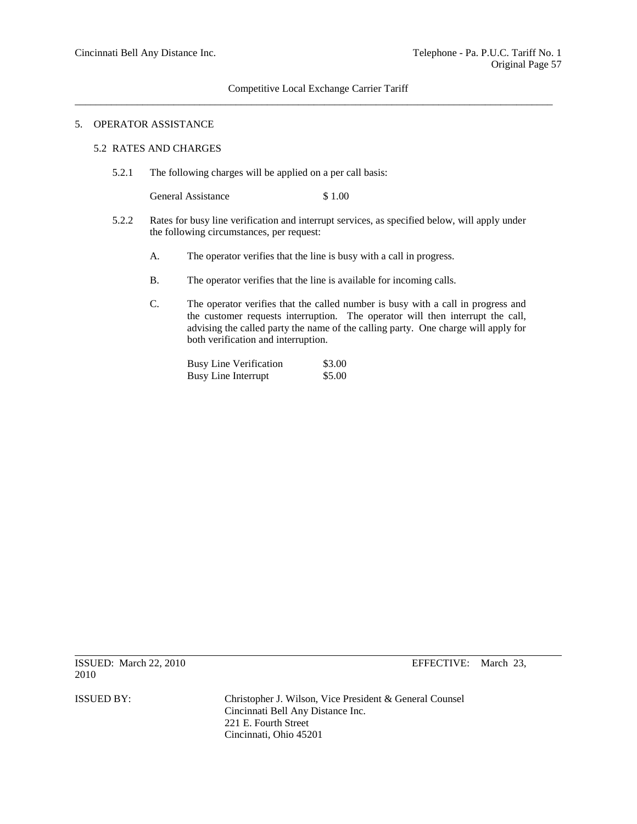# Competitive Local Exchange Carrier Tariff \_\_\_\_\_\_\_\_\_\_\_\_\_\_\_\_\_\_\_\_\_\_\_\_\_\_\_\_\_\_\_\_\_\_\_\_\_\_\_\_\_\_\_\_\_\_\_\_\_\_\_\_\_\_\_\_\_\_\_\_\_\_\_\_\_\_\_\_\_\_\_\_\_\_\_\_\_\_\_\_\_\_\_\_\_\_\_\_\_\_\_\_

## 5. OPERATOR ASSISTANCE

#### 5.2 RATES AND CHARGES

5.2.1 The following charges will be applied on a per call basis:

General Assistance \$ 1.00

- 5.2.2 Rates for busy line verification and interrupt services, as specified below, will apply under the following circumstances, per request:
	- A. The operator verifies that the line is busy with a call in progress.
	- B. The operator verifies that the line is available for incoming calls.
	- C. The operator verifies that the called number is busy with a call in progress and the customer requests interruption. The operator will then interrupt the call, advising the called party the name of the calling party. One charge will apply for both verification and interruption.

| <b>Busy Line Verification</b> | \$3.00 |
|-------------------------------|--------|
| <b>Busy Line Interrupt</b>    | \$5.00 |

ISSUED: March 22, 2010 EFFECTIVE: March 23, 2010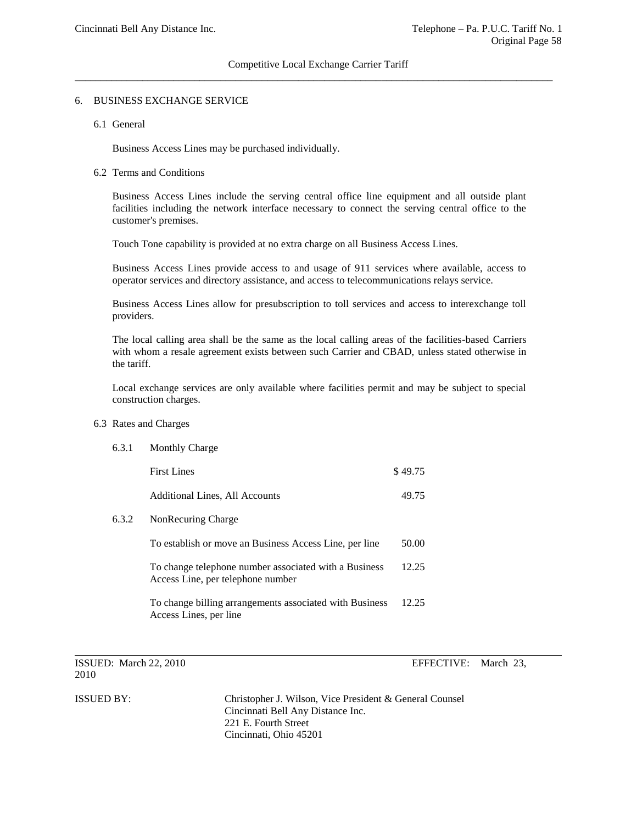## 6. BUSINESS EXCHANGE SERVICE

#### 6.1 General

Business Access Lines may be purchased individually.

#### 6.2 Terms and Conditions

Business Access Lines include the serving central office line equipment and all outside plant facilities including the network interface necessary to connect the serving central office to the customer's premises.

Touch Tone capability is provided at no extra charge on all Business Access Lines.

Business Access Lines provide access to and usage of 911 services where available, access to operator services and directory assistance, and access to telecommunications relays service.

Business Access Lines allow for presubscription to toll services and access to interexchange toll providers.

The local calling area shall be the same as the local calling areas of the facilities-based Carriers with whom a resale agreement exists between such Carrier and CBAD, unless stated otherwise in the tariff.

Local exchange services are only available where facilities permit and may be subject to special construction charges.

#### 6.3 Rates and Charges

| 6.3.1 | <b>Monthly Charge</b>                                                                      |         |
|-------|--------------------------------------------------------------------------------------------|---------|
|       | <b>First Lines</b>                                                                         | \$49.75 |
|       | Additional Lines, All Accounts                                                             | 49.75   |
| 6.3.2 | NonRecuring Charge                                                                         |         |
|       | To establish or move an Business Access Line, per line                                     | 50.00   |
|       | To change telephone number associated with a Business<br>Access Line, per telephone number | 12.25   |
|       | To change billing arrangements associated with Business<br>Access Lines, per line          | 12.25   |

ISSUED: March 22, 2010 EFFECTIVE: March 23, 2010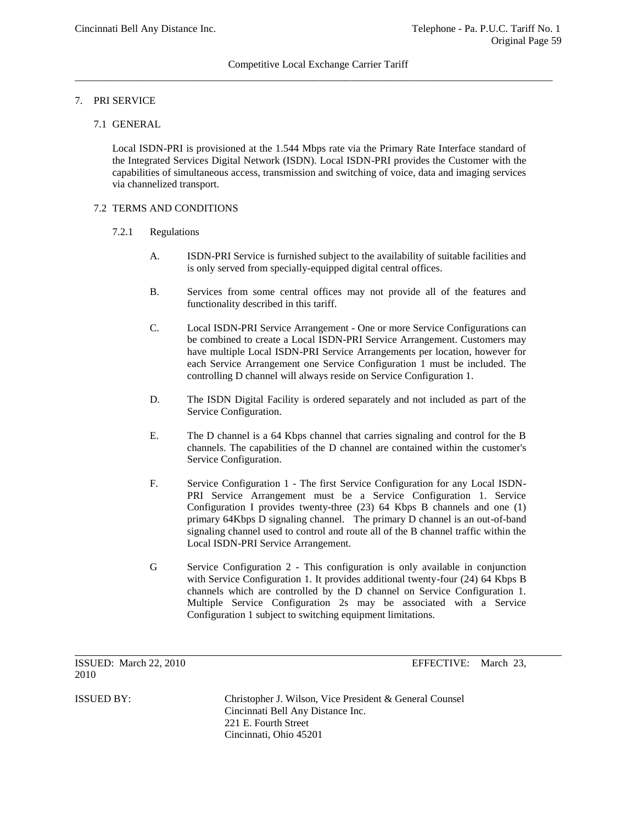# 7. PRI SERVICE

# 7.1 GENERAL

Local ISDN-PRI is provisioned at the 1.544 Mbps rate via the Primary Rate Interface standard of the Integrated Services Digital Network (ISDN). Local ISDN-PRI provides the Customer with the capabilities of simultaneous access, transmission and switching of voice, data and imaging services via channelized transport.

#### 7.2 TERMS AND CONDITIONS

- 7.2.1 Regulations
	- A. ISDN-PRI Service is furnished subject to the availability of suitable facilities and is only served from specially-equipped digital central offices.
	- B. Services from some central offices may not provide all of the features and functionality described in this tariff.
	- C. Local ISDN-PRI Service Arrangement One or more Service Configurations can be combined to create a Local ISDN-PRI Service Arrangement. Customers may have multiple Local ISDN-PRI Service Arrangements per location, however for each Service Arrangement one Service Configuration 1 must be included. The controlling D channel will always reside on Service Configuration 1.
	- D. The ISDN Digital Facility is ordered separately and not included as part of the Service Configuration.
	- E. The D channel is a 64 Kbps channel that carries signaling and control for the B channels. The capabilities of the D channel are contained within the customer's Service Configuration.
	- F. Service Configuration 1 The first Service Configuration for any Local ISDN-PRI Service Arrangement must be a Service Configuration 1. Service Configuration I provides twenty-three (23) 64 Kbps B channels and one (1) primary 64Kbps D signaling channel. The primary D channel is an out-of-band signaling channel used to control and route all of the B channel traffic within the Local ISDN-PRI Service Arrangement.
	- G Service Configuration 2 This configuration is only available in conjunction with Service Configuration 1. It provides additional twenty-four (24) 64 Kbps B channels which are controlled by the D channel on Service Configuration 1. Multiple Service Configuration 2s may be associated with a Service Configuration 1 subject to switching equipment limitations.

ISSUED: March 22, 2010 EFFECTIVE: March 23, 2010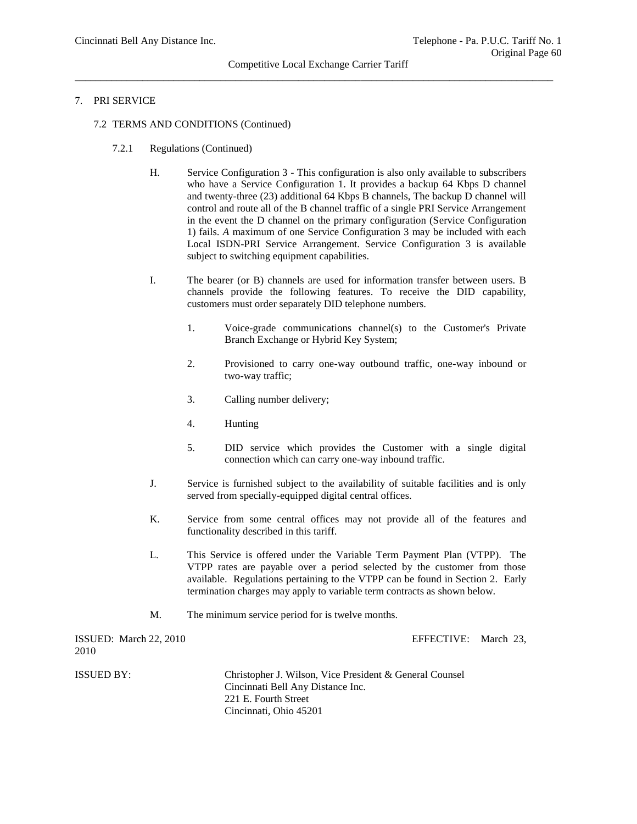# 7. PRI SERVICE

- 7.2 TERMS AND CONDITIONS (Continued)
	- 7.2.1 Regulations (Continued)
		- H. Service Configuration 3 This configuration is also only available to subscribers who have a Service Configuration 1. It provides a backup 64 Kbps D channel and twenty-three (23) additional 64 Kbps B channels, The backup D channel will control and route all of the B channel traffic of a single PRI Service Arrangement in the event the D channel on the primary configuration (Service Configuration 1) fails. *A* maximum of one Service Configuration 3 may be included with each Local ISDN-PRI Service Arrangement. Service Configuration 3 is available subject to switching equipment capabilities.
		- I. The bearer (or B) channels are used for information transfer between users. B channels provide the following features. To receive the DID capability, customers must order separately DID telephone numbers.
			- 1. Voice-grade communications channel(s) to the Customer's Private Branch Exchange or Hybrid Key System;
			- 2. Provisioned to carry one-way outbound traffic, one-way inbound or two-way traffic;
			- 3. Calling number delivery;
			- 4. Hunting
			- 5. DID service which provides the Customer with a single digital connection which can carry one-way inbound traffic.
		- J. Service is furnished subject to the availability of suitable facilities and is only served from specially-equipped digital central offices.
		- K. Service from some central offices may not provide all of the features and functionality described in this tariff.
		- L. This Service is offered under the Variable Term Payment Plan (VTPP). The VTPP rates are payable over a period selected by the customer from those available. Regulations pertaining to the VTPP can be found in Section 2. Early termination charges may apply to variable term contracts as shown below.
		- M. The minimum service period for is twelve months.

| ISSUED: March 22, 2010<br>2010 | EFFECTIVE: March 23.                                    |  |
|--------------------------------|---------------------------------------------------------|--|
| ISSUED BY:                     | Christopher J. Wilson, Vice President & General Counsel |  |
|                                | Cincinnati Bell Any Distance Inc.                       |  |
|                                | 221 E. Fourth Street                                    |  |
|                                | Cincinnati, Ohio 45201                                  |  |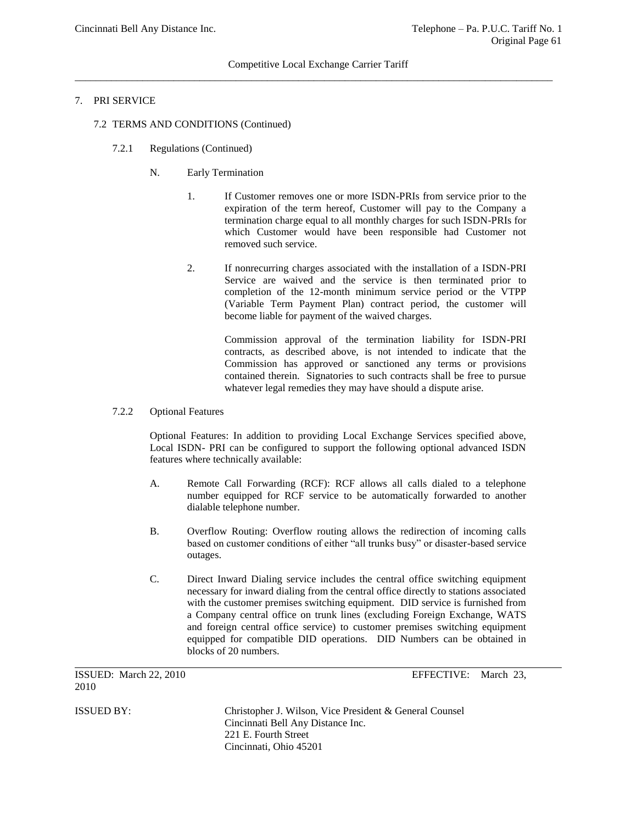# 7. PRI SERVICE

- 7.2 TERMS AND CONDITIONS (Continued)
	- 7.2.1 Regulations (Continued)
		- N. Early Termination
			- 1. If Customer removes one or more ISDN-PRIs from service prior to the expiration of the term hereof, Customer will pay to the Company a termination charge equal to all monthly charges for such ISDN-PRIs for which Customer would have been responsible had Customer not removed such service.
			- 2. If nonrecurring charges associated with the installation of a ISDN-PRI Service are waived and the service is then terminated prior to completion of the 12-month minimum service period or the VTPP (Variable Term Payment Plan) contract period, the customer will become liable for payment of the waived charges.

Commission approval of the termination liability for ISDN-PRI contracts, as described above, is not intended to indicate that the Commission has approved or sanctioned any terms or provisions contained therein. Signatories to such contracts shall be free to pursue whatever legal remedies they may have should a dispute arise.

7.2.2 Optional Features

Optional Features: In addition to providing Local Exchange Services specified above, Local ISDN- PRI can be configured to support the following optional advanced ISDN features where technically available:

- A. Remote Call Forwarding (RCF): RCF allows all calls dialed to a telephone number equipped for RCF service to be automatically forwarded to another dialable telephone number.
- B. Overflow Routing: Overflow routing allows the redirection of incoming calls based on customer conditions of either "all trunks busy" or disaster-based service outages.
- C. Direct Inward Dialing service includes the central office switching equipment necessary for inward dialing from the central office directly to stations associated with the customer premises switching equipment. DID service is furnished from a Company central office on trunk lines (excluding Foreign Exchange, WATS and foreign central office service) to customer premises switching equipment equipped for compatible DID operations. DID Numbers can be obtained in blocks of 20 numbers.

ISSUED: March 22, 2010 EFFECTIVE: March 23, 2010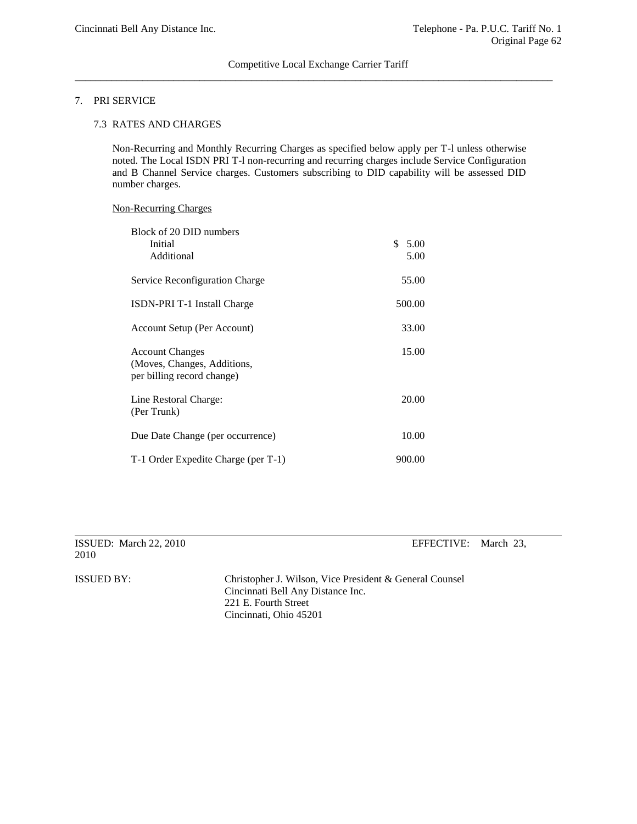# 7. PRI SERVICE

## 7.3 RATES AND CHARGES

Non-Recurring and Monthly Recurring Charges as specified below apply per T-l unless otherwise noted. The Local ISDN PRI T-l non-recurring and recurring charges include Service Configuration and B Channel Service charges. Customers subscribing to DID capability will be assessed DID number charges.

## Non-Recurring Charges

| Block of 20 DID numbers<br>Initial<br>Additional                                    | \$5.00<br>5.00 |
|-------------------------------------------------------------------------------------|----------------|
| Service Reconfiguration Charge                                                      | 55.00          |
| ISDN-PRI T-1 Install Charge                                                         | 500.00         |
| Account Setup (Per Account)                                                         | 33.00          |
| <b>Account Changes</b><br>(Moves, Changes, Additions,<br>per billing record change) | 15.00          |
| Line Restoral Charge:<br>(Per Trunk)                                                | 20.00          |
| Due Date Change (per occurrence)                                                    | 10.00          |
| T-1 Order Expedite Charge (per T-1)                                                 | 900.00         |

ISSUED: March 22, 2010 EFFECTIVE: March 23, 2010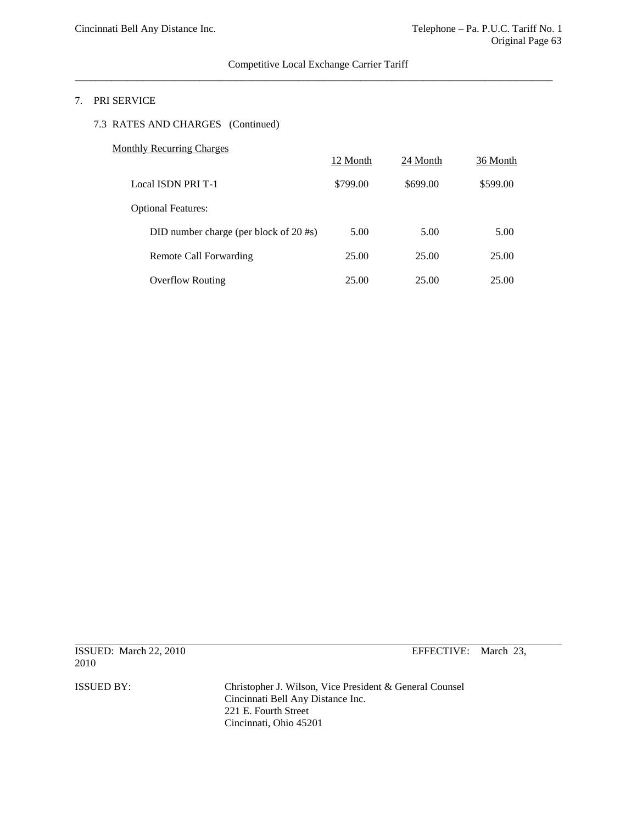# Competitive Local Exchange Carrier Tariff  $\overline{a}$  , and the contribution of the contribution of the contribution of the contribution of the contribution of the contribution of the contribution of the contribution of the contribution of the contribution of the co

# 7. PRI SERVICE

# 7.3 RATES AND CHARGES (Continued)

# Monthly Recurring Charges

|                                        | 12 Month | 24 Month | 36 Month |
|----------------------------------------|----------|----------|----------|
| <b>Local ISDN PRI T-1</b>              | \$799.00 | \$699.00 | \$599.00 |
| <b>Optional Features:</b>              |          |          |          |
| DID number charge (per block of 20 #s) | 5.00     | 5.00     | 5.00     |
| Remote Call Forwarding                 | 25.00    | 25.00    | 25.00    |
| <b>Overflow Routing</b>                | 25.00    | 25.00    | 25.00    |

ISSUED: March 22, 2010 EFFECTIVE: March 23, 2010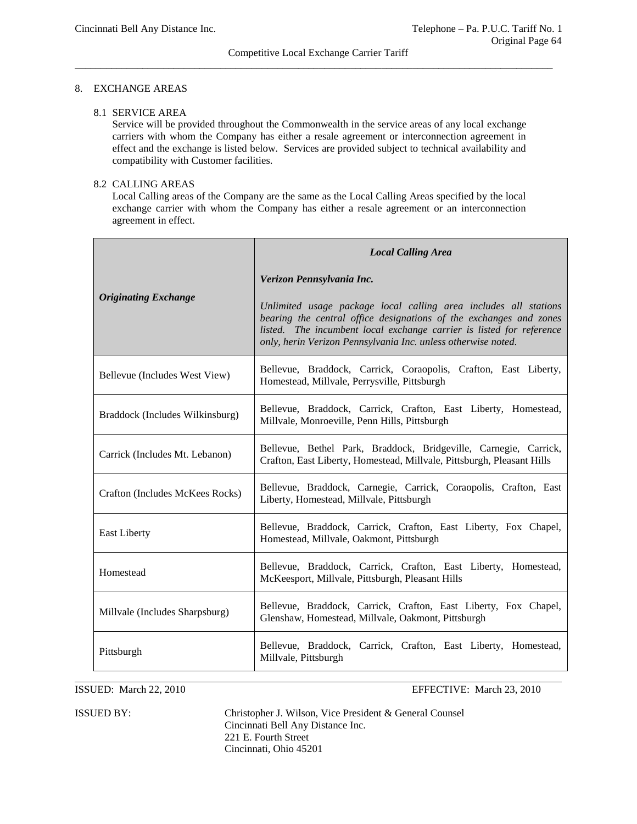## Competitive Local Exchange Carrier Tariff \_\_\_\_\_\_\_\_\_\_\_\_\_\_\_\_\_\_\_\_\_\_\_\_\_\_\_\_\_\_\_\_\_\_\_\_\_\_\_\_\_\_\_\_\_\_\_\_\_\_\_\_\_\_\_\_\_\_\_\_\_\_\_\_\_\_\_\_\_\_\_\_\_\_\_\_\_\_\_\_\_\_\_\_\_\_\_\_\_\_\_\_

# 8. EXCHANGE AREAS

## 8.1 SERVICE AREA

Service will be provided throughout the Commonwealth in the service areas of any local exchange carriers with whom the Company has either a resale agreement or interconnection agreement in effect and the exchange is listed below. Services are provided subject to technical availability and compatibility with Customer facilities.

# 8.2 CALLING AREAS

Local Calling areas of the Company are the same as the Local Calling Areas specified by the local exchange carrier with whom the Company has either a resale agreement or an interconnection agreement in effect.

|                                 | <b>Local Calling Area</b>                                                                                                                                                                                                                                                       |  |
|---------------------------------|---------------------------------------------------------------------------------------------------------------------------------------------------------------------------------------------------------------------------------------------------------------------------------|--|
|                                 | Verizon Pennsylvania Inc.                                                                                                                                                                                                                                                       |  |
| <b>Originating Exchange</b>     | Unlimited usage package local calling area includes all stations<br>bearing the central office designations of the exchanges and zones<br>listed. The incumbent local exchange carrier is listed for reference<br>only, herin Verizon Pennsylvania Inc. unless otherwise noted. |  |
| Bellevue (Includes West View)   | Bellevue, Braddock, Carrick, Coraopolis, Crafton, East Liberty,<br>Homestead, Millvale, Perrysville, Pittsburgh                                                                                                                                                                 |  |
| Braddock (Includes Wilkinsburg) | Bellevue, Braddock, Carrick, Crafton, East Liberty, Homestead,<br>Millvale, Monroeville, Penn Hills, Pittsburgh                                                                                                                                                                 |  |
| Carrick (Includes Mt. Lebanon)  | Bellevue, Bethel Park, Braddock, Bridgeville, Carnegie, Carrick,<br>Crafton, East Liberty, Homestead, Millvale, Pittsburgh, Pleasant Hills                                                                                                                                      |  |
| Crafton (Includes McKees Rocks) | Bellevue, Braddock, Carnegie, Carrick, Coraopolis, Crafton, East<br>Liberty, Homestead, Millvale, Pittsburgh                                                                                                                                                                    |  |
| <b>East Liberty</b>             | Bellevue, Braddock, Carrick, Crafton, East Liberty, Fox Chapel,<br>Homestead, Millvale, Oakmont, Pittsburgh                                                                                                                                                                     |  |
| Homestead                       | Bellevue, Braddock, Carrick, Crafton, East Liberty, Homestead,<br>McKeesport, Millvale, Pittsburgh, Pleasant Hills                                                                                                                                                              |  |
| Millvale (Includes Sharpsburg)  | Bellevue, Braddock, Carrick, Crafton, East Liberty, Fox Chapel,<br>Glenshaw, Homestead, Millvale, Oakmont, Pittsburgh                                                                                                                                                           |  |
| Pittsburgh                      | Bellevue, Braddock, Carrick, Crafton, East Liberty, Homestead,<br>Millvale, Pittsburgh                                                                                                                                                                                          |  |

ISSUED: March 22, 2010 EFFECTIVE: March 23, 2010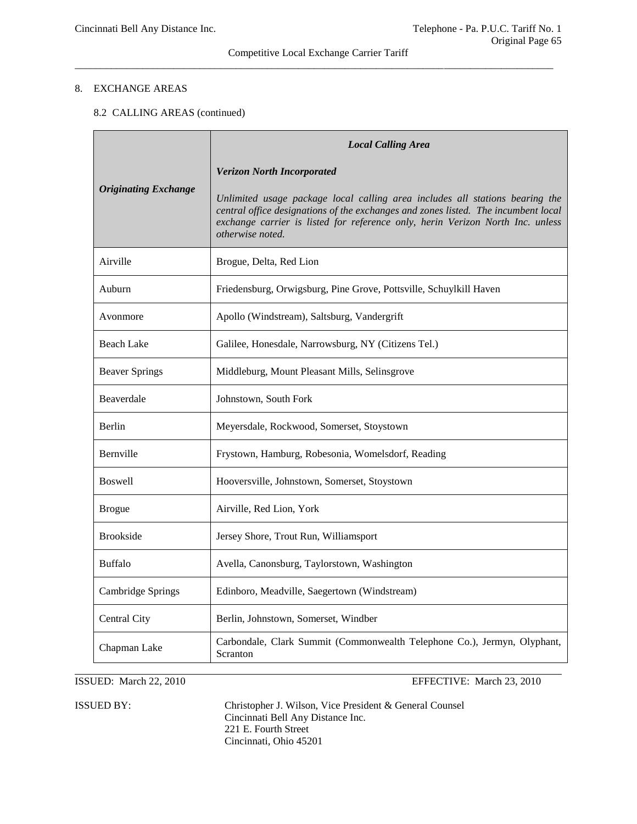# Competitive Local Exchange Carrier Tariff  $\overline{a_1}$  ,  $\overline{a_2}$  ,  $\overline{a_3}$  ,  $\overline{a_4}$  ,  $\overline{a_5}$  ,  $\overline{a_6}$  ,  $\overline{a_7}$  ,  $\overline{a_8}$  ,  $\overline{a_9}$  ,  $\overline{a_9}$  ,  $\overline{a_9}$  ,  $\overline{a_9}$  ,  $\overline{a_9}$  ,  $\overline{a_9}$  ,  $\overline{a_9}$  ,  $\overline{a_9}$  ,  $\overline{a_9}$  ,

# 8. EXCHANGE AREAS

# 8.2 CALLING AREAS (continued)

| <b>Originating Exchange</b> | <b>Local Calling Area</b>                                                                                                                                                                                                                                                       |
|-----------------------------|---------------------------------------------------------------------------------------------------------------------------------------------------------------------------------------------------------------------------------------------------------------------------------|
|                             | <b>Verizon North Incorporated</b>                                                                                                                                                                                                                                               |
|                             | Unlimited usage package local calling area includes all stations bearing the<br>central office designations of the exchanges and zones listed. The incumbent local<br>exchange carrier is listed for reference only, herin Verizon North Inc. unless<br><i>otherwise noted.</i> |
| Airville                    | Brogue, Delta, Red Lion                                                                                                                                                                                                                                                         |
| Auburn                      | Friedensburg, Orwigsburg, Pine Grove, Pottsville, Schuylkill Haven                                                                                                                                                                                                              |
| Avonmore                    | Apollo (Windstream), Saltsburg, Vandergrift                                                                                                                                                                                                                                     |
| <b>Beach Lake</b>           | Galilee, Honesdale, Narrowsburg, NY (Citizens Tel.)                                                                                                                                                                                                                             |
| <b>Beaver Springs</b>       | Middleburg, Mount Pleasant Mills, Selinsgrove                                                                                                                                                                                                                                   |
| Beaverdale                  | Johnstown, South Fork                                                                                                                                                                                                                                                           |
| Berlin                      | Meyersdale, Rockwood, Somerset, Stoystown                                                                                                                                                                                                                                       |
| Bernville                   | Frystown, Hamburg, Robesonia, Womelsdorf, Reading                                                                                                                                                                                                                               |
| <b>Boswell</b>              | Hooversville, Johnstown, Somerset, Stoystown                                                                                                                                                                                                                                    |
| <b>Brogue</b>               | Airville, Red Lion, York                                                                                                                                                                                                                                                        |
| <b>Brookside</b>            | Jersey Shore, Trout Run, Williamsport                                                                                                                                                                                                                                           |
| <b>Buffalo</b>              | Avella, Canonsburg, Taylorstown, Washington                                                                                                                                                                                                                                     |
| Cambridge Springs           | Edinboro, Meadville, Saegertown (Windstream)                                                                                                                                                                                                                                    |
| Central City                | Berlin, Johnstown, Somerset, Windber                                                                                                                                                                                                                                            |
| Chapman Lake                | Carbondale, Clark Summit (Commonwealth Telephone Co.), Jermyn, Olyphant,<br>Scranton                                                                                                                                                                                            |

ISSUED: March 22, 2010 EFFECTIVE: March 23, 2010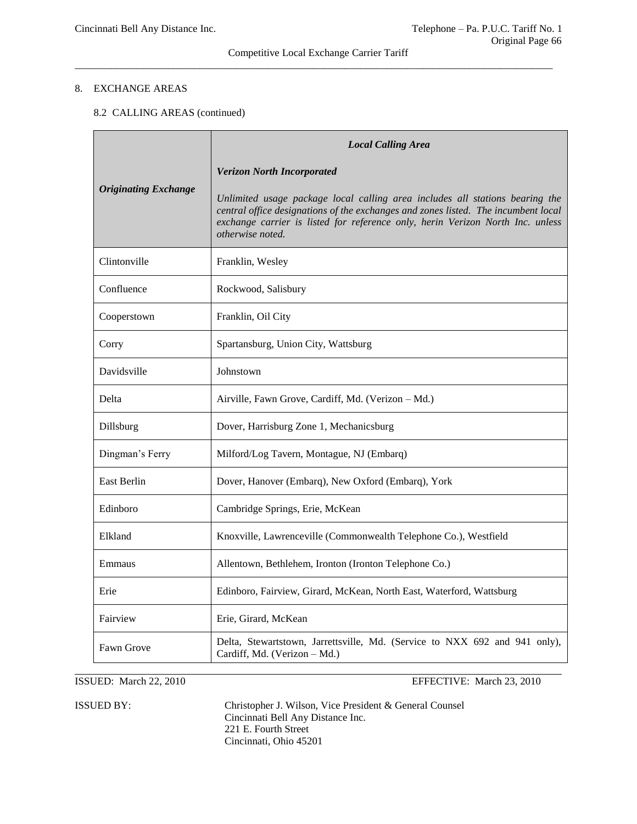# Competitive Local Exchange Carrier Tariff \_\_\_\_\_\_\_\_\_\_\_\_\_\_\_\_\_\_\_\_\_\_\_\_\_\_\_\_\_\_\_\_\_\_\_\_\_\_\_\_\_\_\_\_\_\_\_\_\_\_\_\_\_\_\_\_\_\_\_\_\_\_\_\_\_\_\_\_\_\_\_\_\_\_\_\_\_\_\_\_\_\_\_\_\_\_\_\_\_\_\_\_

# 8. EXCHANGE AREAS

# 8.2 CALLING AREAS (continued)

| <b>Originating Exchange</b> | <b>Local Calling Area</b>                                                                                                                                                                                                                                                |
|-----------------------------|--------------------------------------------------------------------------------------------------------------------------------------------------------------------------------------------------------------------------------------------------------------------------|
|                             | <b>Verizon North Incorporated</b>                                                                                                                                                                                                                                        |
|                             | Unlimited usage package local calling area includes all stations bearing the<br>central office designations of the exchanges and zones listed. The incumbent local<br>exchange carrier is listed for reference only, herin Verizon North Inc. unless<br>otherwise noted. |
| Clintonville                | Franklin, Wesley                                                                                                                                                                                                                                                         |
| Confluence                  | Rockwood, Salisbury                                                                                                                                                                                                                                                      |
| Cooperstown                 | Franklin, Oil City                                                                                                                                                                                                                                                       |
| Corry                       | Spartansburg, Union City, Wattsburg                                                                                                                                                                                                                                      |
| Davidsville                 | Johnstown                                                                                                                                                                                                                                                                |
| Delta                       | Airville, Fawn Grove, Cardiff, Md. (Verizon - Md.)                                                                                                                                                                                                                       |
| Dillsburg                   | Dover, Harrisburg Zone 1, Mechanicsburg                                                                                                                                                                                                                                  |
| Dingman's Ferry             | Milford/Log Tavern, Montague, NJ (Embarq)                                                                                                                                                                                                                                |
| <b>East Berlin</b>          | Dover, Hanover (Embarq), New Oxford (Embarq), York                                                                                                                                                                                                                       |
| Edinboro                    | Cambridge Springs, Erie, McKean                                                                                                                                                                                                                                          |
| Elkland                     | Knoxville, Lawrenceville (Commonwealth Telephone Co.), Westfield                                                                                                                                                                                                         |
| Emmaus                      | Allentown, Bethlehem, Ironton (Ironton Telephone Co.)                                                                                                                                                                                                                    |
| Erie                        | Edinboro, Fairview, Girard, McKean, North East, Waterford, Wattsburg                                                                                                                                                                                                     |
| Fairview                    | Erie, Girard, McKean                                                                                                                                                                                                                                                     |
| Fawn Grove                  | Delta, Stewartstown, Jarrettsville, Md. (Service to NXX 692 and 941 only),<br>Cardiff, Md. (Verizon - Md.)                                                                                                                                                               |

ISSUED: March 22, 2010 EFFECTIVE: March 23, 2010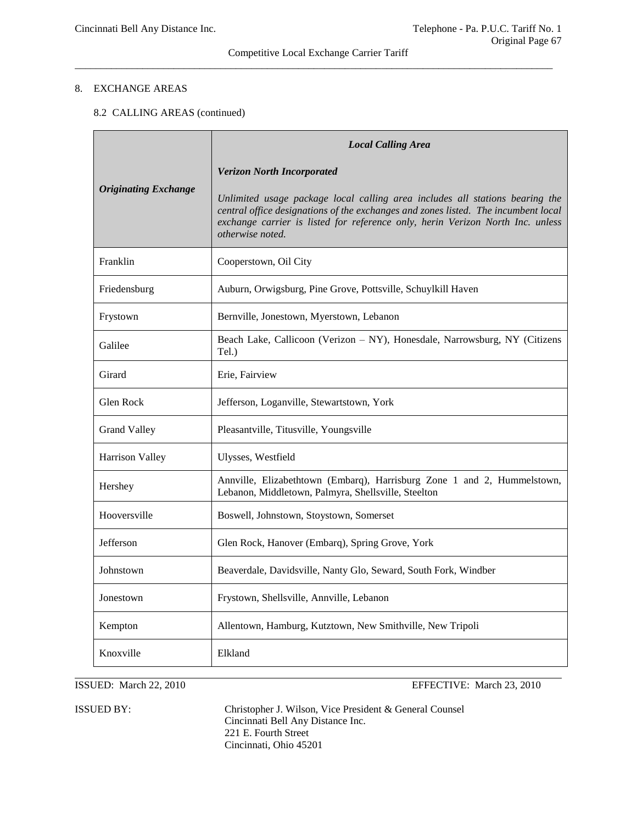## Competitive Local Exchange Carrier Tariff \_\_\_\_\_\_\_\_\_\_\_\_\_\_\_\_\_\_\_\_\_\_\_\_\_\_\_\_\_\_\_\_\_\_\_\_\_\_\_\_\_\_\_\_\_\_\_\_\_\_\_\_\_\_\_\_\_\_\_\_\_\_\_\_\_\_\_\_\_\_\_\_\_\_\_\_\_\_\_\_\_\_\_\_\_\_\_\_\_\_\_\_

# 8. EXCHANGE AREAS

# 8.2 CALLING AREAS (continued)

|                             | <b>Local Calling Area</b>                                                                                                                                                                                                                                                |
|-----------------------------|--------------------------------------------------------------------------------------------------------------------------------------------------------------------------------------------------------------------------------------------------------------------------|
| <b>Originating Exchange</b> | <b>Verizon North Incorporated</b>                                                                                                                                                                                                                                        |
|                             | Unlimited usage package local calling area includes all stations bearing the<br>central office designations of the exchanges and zones listed. The incumbent local<br>exchange carrier is listed for reference only, herin Verizon North Inc. unless<br>otherwise noted. |
| Franklin                    | Cooperstown, Oil City                                                                                                                                                                                                                                                    |
| Friedensburg                | Auburn, Orwigsburg, Pine Grove, Pottsville, Schuylkill Haven                                                                                                                                                                                                             |
| Frystown                    | Bernville, Jonestown, Myerstown, Lebanon                                                                                                                                                                                                                                 |
| Galilee                     | Beach Lake, Callicoon (Verizon – NY), Honesdale, Narrowsburg, NY (Citizens<br>Tel.)                                                                                                                                                                                      |
| Girard                      | Erie, Fairview                                                                                                                                                                                                                                                           |
| Glen Rock                   | Jefferson, Loganville, Stewartstown, York                                                                                                                                                                                                                                |
| <b>Grand Valley</b>         | Pleasantville, Titusville, Youngsville                                                                                                                                                                                                                                   |
| Harrison Valley             | Ulysses, Westfield                                                                                                                                                                                                                                                       |
| Hershey                     | Annville, Elizabethtown (Embarq), Harrisburg Zone 1 and 2, Hummelstown,<br>Lebanon, Middletown, Palmyra, Shellsville, Steelton                                                                                                                                           |
| Hooversville                | Boswell, Johnstown, Stoystown, Somerset                                                                                                                                                                                                                                  |
| Jefferson                   | Glen Rock, Hanover (Embarq), Spring Grove, York                                                                                                                                                                                                                          |
| Johnstown                   | Beaverdale, Davidsville, Nanty Glo, Seward, South Fork, Windber                                                                                                                                                                                                          |
| Jonestown                   | Frystown, Shellsville, Annville, Lebanon                                                                                                                                                                                                                                 |
| Kempton                     | Allentown, Hamburg, Kutztown, New Smithville, New Tripoli                                                                                                                                                                                                                |
| Knoxville                   | Elkland                                                                                                                                                                                                                                                                  |

ISSUED: March 22, 2010 EFFECTIVE: March 23, 2010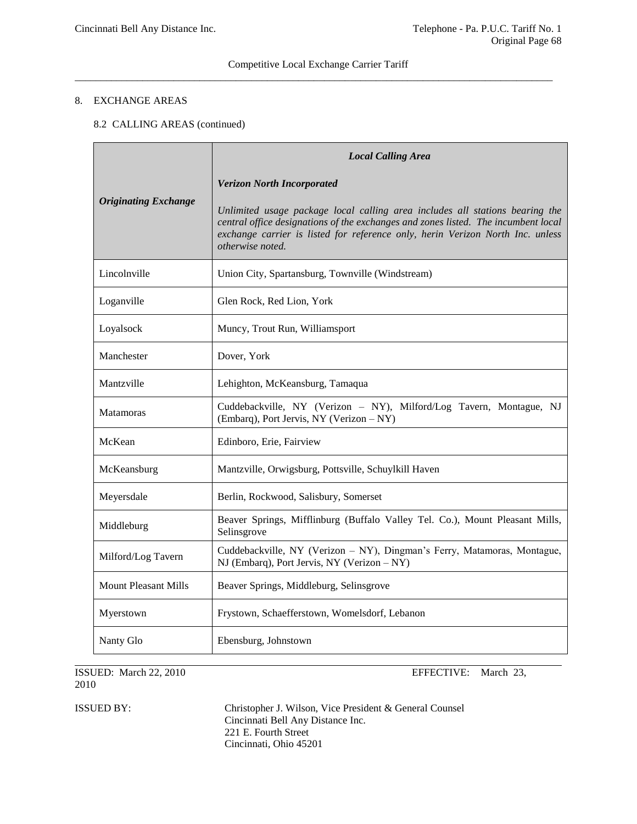# 8. EXCHANGE AREAS

# 8.2 CALLING AREAS (continued)

| <b>Originating Exchange</b> | <b>Local Calling Area</b>                                                                                                                                                                                                                                                |
|-----------------------------|--------------------------------------------------------------------------------------------------------------------------------------------------------------------------------------------------------------------------------------------------------------------------|
|                             | <b>Verizon North Incorporated</b>                                                                                                                                                                                                                                        |
|                             | Unlimited usage package local calling area includes all stations bearing the<br>central office designations of the exchanges and zones listed. The incumbent local<br>exchange carrier is listed for reference only, herin Verizon North Inc. unless<br>otherwise noted. |
| Lincolnville                | Union City, Spartansburg, Townville (Windstream)                                                                                                                                                                                                                         |
| Loganville                  | Glen Rock, Red Lion, York                                                                                                                                                                                                                                                |
| Loyalsock                   | Muncy, Trout Run, Williamsport                                                                                                                                                                                                                                           |
| Manchester                  | Dover, York                                                                                                                                                                                                                                                              |
| Mantzville                  | Lehighton, McKeansburg, Tamaqua                                                                                                                                                                                                                                          |
| <b>Matamoras</b>            | Cuddebackville, NY (Verizon - NY), Milford/Log Tavern, Montague, NJ<br>(Embarq), Port Jervis, NY (Verizon - NY)                                                                                                                                                          |
| McKean                      | Edinboro, Erie, Fairview                                                                                                                                                                                                                                                 |
| McKeansburg                 | Mantzville, Orwigsburg, Pottsville, Schuylkill Haven                                                                                                                                                                                                                     |
| Meyersdale                  | Berlin, Rockwood, Salisbury, Somerset                                                                                                                                                                                                                                    |
| Middleburg                  | Beaver Springs, Mifflinburg (Buffalo Valley Tel. Co.), Mount Pleasant Mills,<br>Selinsgrove                                                                                                                                                                              |
| Milford/Log Tavern          | Cuddebackville, NY (Verizon - NY), Dingman's Ferry, Matamoras, Montague,<br>NJ (Embarq), Port Jervis, NY (Verizon - NY)                                                                                                                                                  |
| <b>Mount Pleasant Mills</b> | Beaver Springs, Middleburg, Selinsgrove                                                                                                                                                                                                                                  |
| Myerstown                   | Frystown, Schaefferstown, Womelsdorf, Lebanon                                                                                                                                                                                                                            |
| Nanty Glo                   | Ebensburg, Johnstown                                                                                                                                                                                                                                                     |

2010

ISSUED: March 22, 2010 EFFECTIVE: March 23,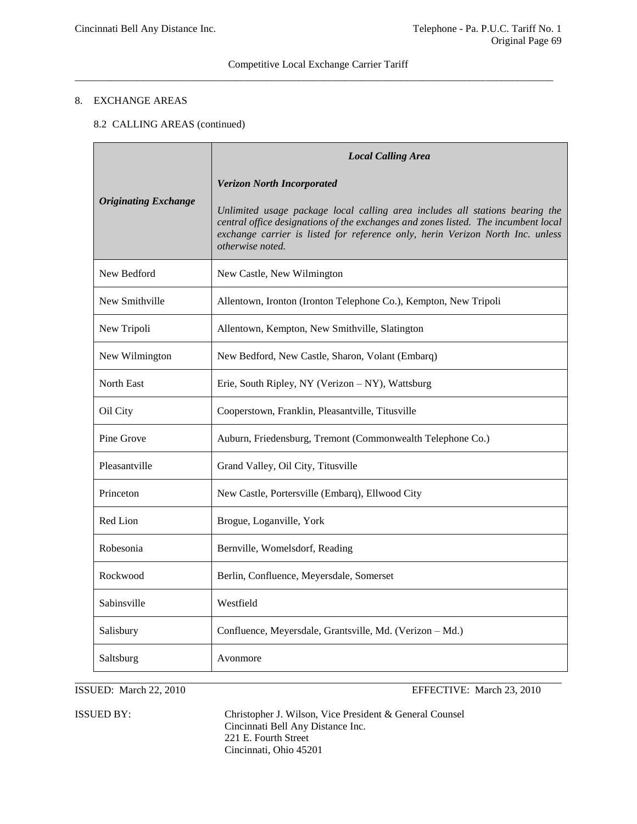# Competitive Local Exchange Carrier Tariff  $\overline{a_1}$  ,  $\overline{a_2}$  ,  $\overline{a_3}$  ,  $\overline{a_4}$  ,  $\overline{a_5}$  ,  $\overline{a_6}$  ,  $\overline{a_7}$  ,  $\overline{a_8}$  ,  $\overline{a_9}$  ,  $\overline{a_9}$  ,  $\overline{a_9}$  ,  $\overline{a_9}$  ,  $\overline{a_9}$  ,  $\overline{a_9}$  ,  $\overline{a_9}$  ,  $\overline{a_9}$  ,  $\overline{a_9}$  ,

# 8. EXCHANGE AREAS

# 8.2 CALLING AREAS (continued)

| <b>Originating Exchange</b> | <b>Local Calling Area</b>                                                                                                                                                                                                                                                |
|-----------------------------|--------------------------------------------------------------------------------------------------------------------------------------------------------------------------------------------------------------------------------------------------------------------------|
|                             | <b>Verizon North Incorporated</b>                                                                                                                                                                                                                                        |
|                             | Unlimited usage package local calling area includes all stations bearing the<br>central office designations of the exchanges and zones listed. The incumbent local<br>exchange carrier is listed for reference only, herin Verizon North Inc. unless<br>otherwise noted. |
| New Bedford                 | New Castle, New Wilmington                                                                                                                                                                                                                                               |
| New Smithville              | Allentown, Ironton (Ironton Telephone Co.), Kempton, New Tripoli                                                                                                                                                                                                         |
| New Tripoli                 | Allentown, Kempton, New Smithville, Slatington                                                                                                                                                                                                                           |
| New Wilmington              | New Bedford, New Castle, Sharon, Volant (Embarq)                                                                                                                                                                                                                         |
| <b>North East</b>           | Erie, South Ripley, NY (Verizon – NY), Wattsburg                                                                                                                                                                                                                         |
| Oil City                    | Cooperstown, Franklin, Pleasantville, Titusville                                                                                                                                                                                                                         |
| Pine Grove                  | Auburn, Friedensburg, Tremont (Commonwealth Telephone Co.)                                                                                                                                                                                                               |
| Pleasantville               | Grand Valley, Oil City, Titusville                                                                                                                                                                                                                                       |
| Princeton                   | New Castle, Portersville (Embarq), Ellwood City                                                                                                                                                                                                                          |
| Red Lion                    | Brogue, Loganville, York                                                                                                                                                                                                                                                 |
| Robesonia                   | Bernville, Womelsdorf, Reading                                                                                                                                                                                                                                           |
| Rockwood                    | Berlin, Confluence, Meyersdale, Somerset                                                                                                                                                                                                                                 |
| Sabinsville                 | Westfield                                                                                                                                                                                                                                                                |
| Salisbury                   | Confluence, Meyersdale, Grantsville, Md. (Verizon - Md.)                                                                                                                                                                                                                 |
| Saltsburg                   | Avonmore                                                                                                                                                                                                                                                                 |

ISSUED: March 22, 2010 EFFECTIVE: March 23, 2010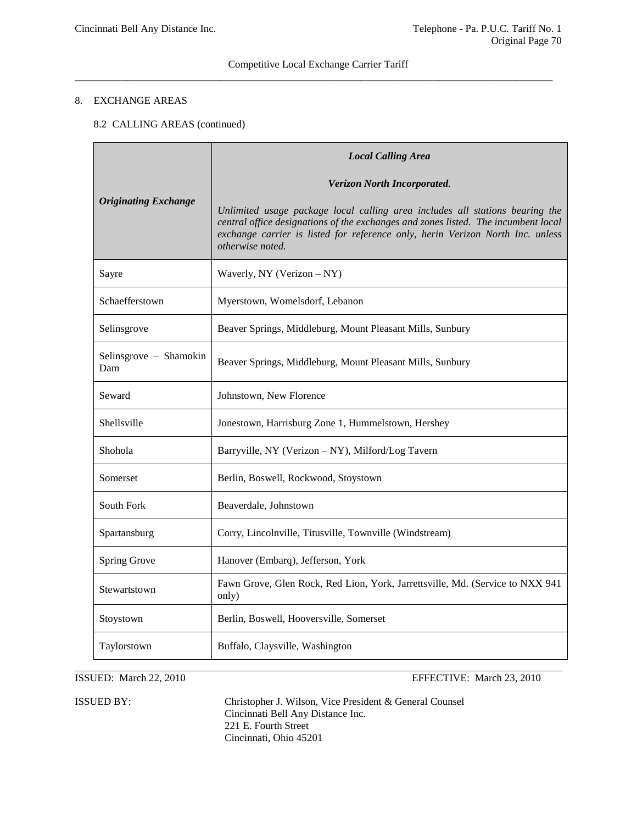# Competitive Local Exchange Carrier Tariff  $\overline{a}$  , and the contribution of the contribution of the contribution of the contribution of the contribution of the contribution of the contribution of the contribution of the contribution of the contribution of the co

# 8. EXCHANGE AREAS

# 8.2 CALLING AREAS (continued)

| <b>Originating Exchange</b>   | <b>Local Calling Area</b>                                                                                                                                                                                                                                                |
|-------------------------------|--------------------------------------------------------------------------------------------------------------------------------------------------------------------------------------------------------------------------------------------------------------------------|
|                               | Verizon North Incorporated.                                                                                                                                                                                                                                              |
|                               | Unlimited usage package local calling area includes all stations bearing the<br>central office designations of the exchanges and zones listed. The incumbent local<br>exchange carrier is listed for reference only, herin Verizon North Inc. unless<br>otherwise noted. |
| Sayre                         | Waverly, NY (Verizon - NY)                                                                                                                                                                                                                                               |
| Schaefferstown                | Myerstown, Womelsdorf, Lebanon                                                                                                                                                                                                                                           |
| Selinsgrove                   | Beaver Springs, Middleburg, Mount Pleasant Mills, Sunbury                                                                                                                                                                                                                |
| Selinsgrove - Shamokin<br>Dam | Beaver Springs, Middleburg, Mount Pleasant Mills, Sunbury                                                                                                                                                                                                                |
| Seward                        | Johnstown, New Florence                                                                                                                                                                                                                                                  |
| Shellsville                   | Jonestown, Harrisburg Zone 1, Hummelstown, Hershey                                                                                                                                                                                                                       |
| Shohola                       | Barryville, NY (Verizon - NY), Milford/Log Tavern                                                                                                                                                                                                                        |
| Somerset                      | Berlin, Boswell, Rockwood, Stoystown                                                                                                                                                                                                                                     |
| South Fork                    | Beaverdale, Johnstown                                                                                                                                                                                                                                                    |
| Spartansburg                  | Corry, Lincolnville, Titusville, Townville (Windstream)                                                                                                                                                                                                                  |
| Spring Grove                  | Hanover (Embarq), Jefferson, York                                                                                                                                                                                                                                        |
| Stewartstown                  | Fawn Grove, Glen Rock, Red Lion, York, Jarrettsville, Md. (Service to NXX 941<br>only)                                                                                                                                                                                   |
| Stoystown                     | Berlin, Boswell, Hooversville, Somerset                                                                                                                                                                                                                                  |
| Taylorstown                   | Buffalo, Claysville, Washington                                                                                                                                                                                                                                          |

ISSUED: March 22, 2010 EFFECTIVE: March 23, 2010